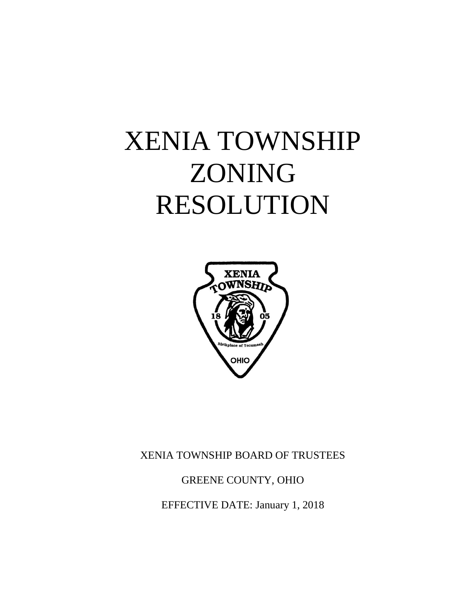# XENIA TOWNSHIP ZONING RESOLUTION



# XENIA TOWNSHIP BOARD OF TRUSTEES

# GREENE COUNTY, OHIO

EFFECTIVE DATE: January 1, 2018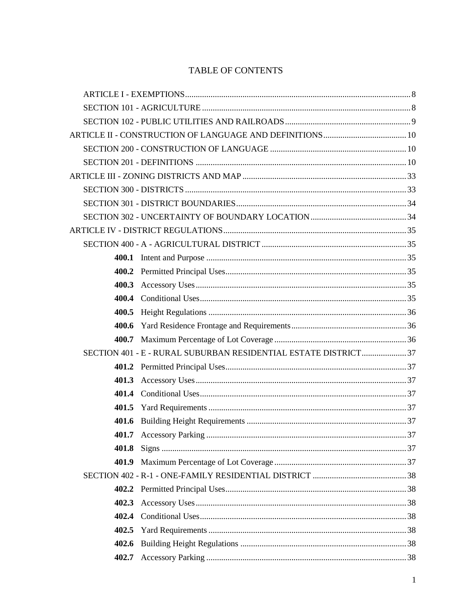# TABLE OF CONTENTS

| 400.3 |                                                                |  |
|-------|----------------------------------------------------------------|--|
|       |                                                                |  |
| 400.5 |                                                                |  |
| 400.6 |                                                                |  |
|       |                                                                |  |
|       | SECTION 401 - E - RURAL SUBURBAN RESIDENTIAL ESTATE DISTRICT37 |  |
|       |                                                                |  |
|       |                                                                |  |
|       |                                                                |  |
|       |                                                                |  |
|       |                                                                |  |
|       |                                                                |  |
| 401.8 |                                                                |  |
| 401.9 |                                                                |  |
|       |                                                                |  |
| 402.2 |                                                                |  |
| 402.3 |                                                                |  |
| 402.4 |                                                                |  |
| 402.5 |                                                                |  |
| 402.6 |                                                                |  |
| 402.7 |                                                                |  |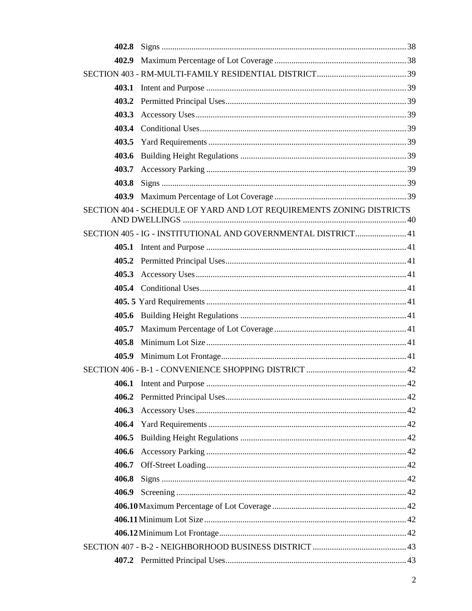|       | SECTION 404 - SCHEDULE OF YARD AND LOT REQUIREMENTS ZONING DISTRICTS |  |
|-------|----------------------------------------------------------------------|--|
|       | SECTION 405 - IG - INSTITUTIONAL AND GOVERNMENTAL DISTRICT 41        |  |
|       |                                                                      |  |
|       |                                                                      |  |
|       |                                                                      |  |
|       |                                                                      |  |
|       |                                                                      |  |
|       |                                                                      |  |
|       |                                                                      |  |
| 405.8 |                                                                      |  |
|       |                                                                      |  |
|       |                                                                      |  |
|       |                                                                      |  |
|       |                                                                      |  |
|       |                                                                      |  |
|       |                                                                      |  |
| 406.5 |                                                                      |  |
|       |                                                                      |  |
|       |                                                                      |  |
| 406.8 |                                                                      |  |
|       |                                                                      |  |
|       |                                                                      |  |
|       |                                                                      |  |
|       |                                                                      |  |
|       |                                                                      |  |
|       |                                                                      |  |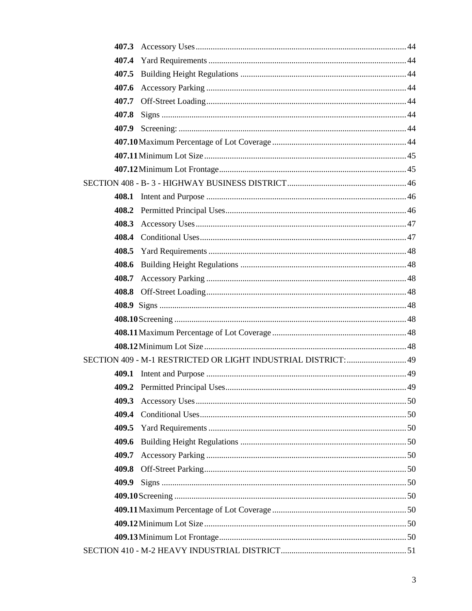| 408.4 |  |  |
|-------|--|--|
|       |  |  |
| 408.6 |  |  |
| 408.7 |  |  |
|       |  |  |
|       |  |  |
|       |  |  |
|       |  |  |
|       |  |  |
|       |  |  |
|       |  |  |
|       |  |  |
| 409.3 |  |  |
| 409.4 |  |  |
| 409.5 |  |  |
| 409.6 |  |  |
| 409.7 |  |  |
| 409.8 |  |  |
| 409.9 |  |  |
|       |  |  |
|       |  |  |
|       |  |  |
|       |  |  |
|       |  |  |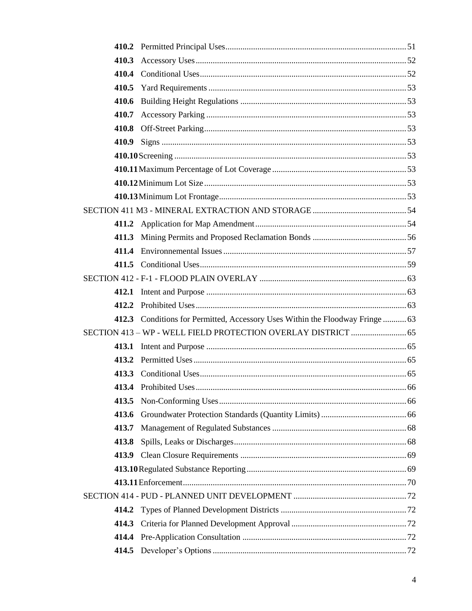| 410.7 |                                                                               |  |
|-------|-------------------------------------------------------------------------------|--|
|       |                                                                               |  |
|       |                                                                               |  |
|       |                                                                               |  |
|       |                                                                               |  |
|       |                                                                               |  |
|       |                                                                               |  |
|       |                                                                               |  |
|       |                                                                               |  |
| 411.3 |                                                                               |  |
|       |                                                                               |  |
|       |                                                                               |  |
|       |                                                                               |  |
|       |                                                                               |  |
|       |                                                                               |  |
|       | 412.3 Conditions for Permitted, Accessory Uses Within the Floodway Fringe  63 |  |
|       | SECTION 413 - WP - WELL FIELD PROTECTION OVERLAY DISTRICT  65                 |  |
|       |                                                                               |  |
|       |                                                                               |  |
|       |                                                                               |  |
|       |                                                                               |  |
| 413.5 |                                                                               |  |
| 413.6 |                                                                               |  |
| 413.7 |                                                                               |  |
| 413.8 |                                                                               |  |
|       |                                                                               |  |
|       |                                                                               |  |
|       |                                                                               |  |
|       |                                                                               |  |
|       |                                                                               |  |
|       |                                                                               |  |
|       |                                                                               |  |
|       |                                                                               |  |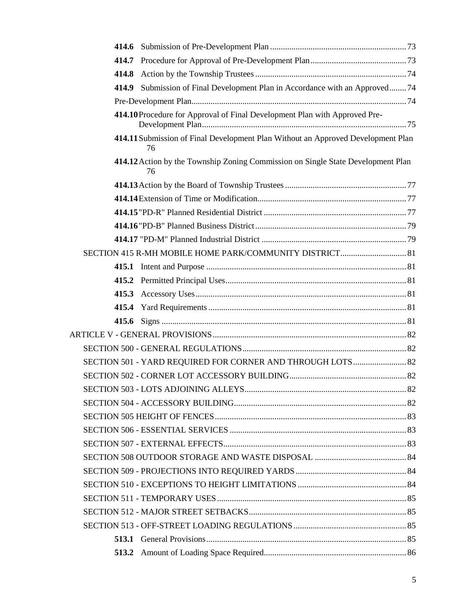| 414.8 |                                                                                        |  |
|-------|----------------------------------------------------------------------------------------|--|
|       | 414.9 Submission of Final Development Plan in Accordance with an Approved74            |  |
|       |                                                                                        |  |
|       | 414.10 Procedure for Approval of Final Development Plan with Approved Pre-             |  |
|       | 414.11 Submission of Final Development Plan Without an Approved Development Plan<br>76 |  |
|       | 414.12 Action by the Township Zoning Commission on Single State Development Plan<br>76 |  |
|       |                                                                                        |  |
|       |                                                                                        |  |
|       |                                                                                        |  |
|       |                                                                                        |  |
|       |                                                                                        |  |
|       |                                                                                        |  |
|       |                                                                                        |  |
|       |                                                                                        |  |
|       |                                                                                        |  |
|       |                                                                                        |  |
|       |                                                                                        |  |
|       |                                                                                        |  |
|       |                                                                                        |  |
|       | SECTION 501 - YARD REQUIRED FOR CORNER AND THROUGH LOTS 82                             |  |
|       |                                                                                        |  |
|       |                                                                                        |  |
|       |                                                                                        |  |
|       |                                                                                        |  |
|       |                                                                                        |  |
|       |                                                                                        |  |
|       |                                                                                        |  |
|       |                                                                                        |  |
|       |                                                                                        |  |
|       |                                                                                        |  |
|       |                                                                                        |  |
|       |                                                                                        |  |
|       |                                                                                        |  |
|       |                                                                                        |  |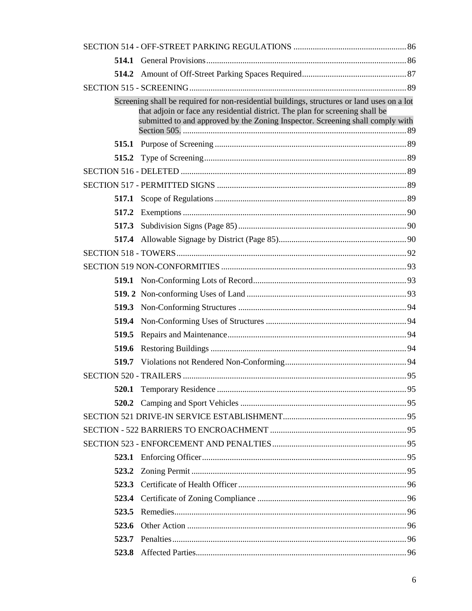|       | Screening shall be required for non-residential buildings, structures or land uses on a lot<br>that adjoin or face any residential district. The plan for screening shall be<br>submitted to and approved by the Zoning Inspector. Screening shall comply with |  |
|-------|----------------------------------------------------------------------------------------------------------------------------------------------------------------------------------------------------------------------------------------------------------------|--|
|       |                                                                                                                                                                                                                                                                |  |
|       |                                                                                                                                                                                                                                                                |  |
|       |                                                                                                                                                                                                                                                                |  |
|       |                                                                                                                                                                                                                                                                |  |
|       |                                                                                                                                                                                                                                                                |  |
|       |                                                                                                                                                                                                                                                                |  |
|       |                                                                                                                                                                                                                                                                |  |
|       |                                                                                                                                                                                                                                                                |  |
|       |                                                                                                                                                                                                                                                                |  |
|       |                                                                                                                                                                                                                                                                |  |
|       |                                                                                                                                                                                                                                                                |  |
|       |                                                                                                                                                                                                                                                                |  |
|       |                                                                                                                                                                                                                                                                |  |
|       |                                                                                                                                                                                                                                                                |  |
|       |                                                                                                                                                                                                                                                                |  |
| 519.6 |                                                                                                                                                                                                                                                                |  |
|       |                                                                                                                                                                                                                                                                |  |
|       |                                                                                                                                                                                                                                                                |  |
|       |                                                                                                                                                                                                                                                                |  |
|       |                                                                                                                                                                                                                                                                |  |
|       |                                                                                                                                                                                                                                                                |  |
|       |                                                                                                                                                                                                                                                                |  |
|       |                                                                                                                                                                                                                                                                |  |
|       |                                                                                                                                                                                                                                                                |  |
|       |                                                                                                                                                                                                                                                                |  |
|       |                                                                                                                                                                                                                                                                |  |
|       |                                                                                                                                                                                                                                                                |  |
|       |                                                                                                                                                                                                                                                                |  |
| 523.6 |                                                                                                                                                                                                                                                                |  |
|       |                                                                                                                                                                                                                                                                |  |
|       |                                                                                                                                                                                                                                                                |  |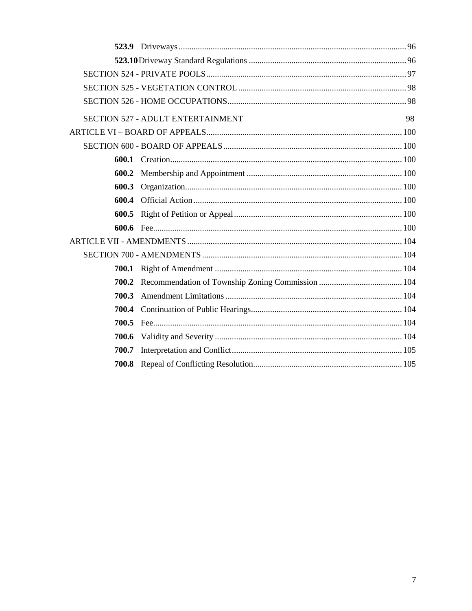|       | <b>SECTION 527 - ADULT ENTERTAINMENT</b> | 98 |
|-------|------------------------------------------|----|
|       |                                          |    |
|       |                                          |    |
|       |                                          |    |
| 600.2 |                                          |    |
| 600.3 |                                          |    |
| 600.4 |                                          |    |
| 600.5 |                                          |    |
|       |                                          |    |
|       |                                          |    |
|       |                                          |    |
|       |                                          |    |
| 700.2 |                                          |    |
| 700.3 |                                          |    |
| 700.4 |                                          |    |
| 700.5 |                                          |    |
| 700.6 |                                          |    |
| 700.7 |                                          |    |
|       |                                          |    |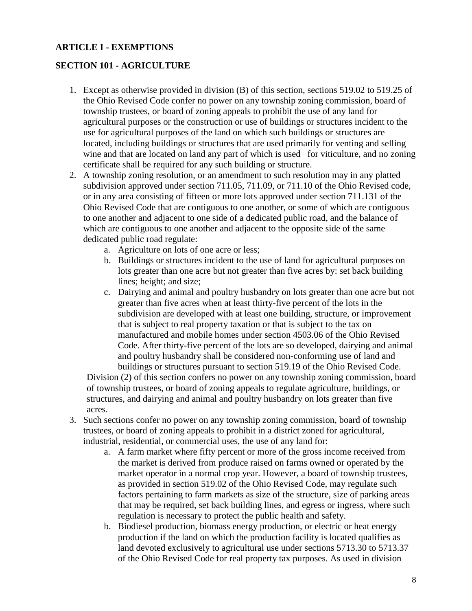# <span id="page-8-0"></span>**ARTICLE I - EXEMPTIONS**

# <span id="page-8-1"></span>**SECTION 101 - AGRICULTURE**

- 1. Except as otherwise provided in division (B) of this section, sections 519.02 to 519.25 of the Ohio Revised Code confer no power on any township zoning commission, board of township trustees, or board of zoning appeals to prohibit the use of any land for agricultural purposes or the construction or use of buildings or structures incident to the use for agricultural purposes of the land on which such buildings or structures are located, including buildings or structures that are used primarily for venting and selling wine and that are located on land any part of which is used for viticulture, and no zoning certificate shall be required for any such building or structure.
- 2. A township zoning resolution, or an amendment to such resolution may in any platted subdivision approved under section 711.05, 711.09, or 711.10 of the Ohio Revised code, or in any area consisting of fifteen or more lots approved under section 711.131 of the Ohio Revised Code that are contiguous to one another, or some of which are contiguous to one another and adjacent to one side of a dedicated public road, and the balance of which are contiguous to one another and adjacent to the opposite side of the same dedicated public road regulate:
	- a. Agriculture on lots of one acre or less;
	- b. Buildings or structures incident to the use of land for agricultural purposes on lots greater than one acre but not greater than five acres by: set back building lines; height; and size;
	- c. Dairying and animal and poultry husbandry on lots greater than one acre but not greater than five acres when at least thirty-five percent of the lots in the subdivision are developed with at least one building, structure, or improvement that is subject to real property taxation or that is subject to the tax on manufactured and mobile homes under section 4503.06 of the Ohio Revised Code. After thirty-five percent of the lots are so developed, dairying and animal and poultry husbandry shall be considered non-conforming use of land and buildings or structures pursuant to section 519.19 of the Ohio Revised Code.

Division (2) of this section confers no power on any township zoning commission, board of township trustees, or board of zoning appeals to regulate agriculture, buildings, or structures, and dairying and animal and poultry husbandry on lots greater than five acres.

- 3. Such sections confer no power on any township zoning commission, board of township trustees, or board of zoning appeals to prohibit in a district zoned for agricultural, industrial, residential, or commercial uses, the use of any land for:
	- a. A farm market where fifty percent or more of the gross income received from the market is derived from produce raised on farms owned or operated by the market operator in a normal crop year. However, a board of township trustees, as provided in section 519.02 of the Ohio Revised Code, may regulate such factors pertaining to farm markets as size of the structure, size of parking areas that may be required, set back building lines, and egress or ingress, where such regulation is necessary to protect the public health and safety.
	- b. Biodiesel production, biomass energy production, or electric or heat energy production if the land on which the production facility is located qualifies as land devoted exclusively to agricultural use under sections 5713.30 to 5713.37 of the Ohio Revised Code for real property tax purposes. As used in division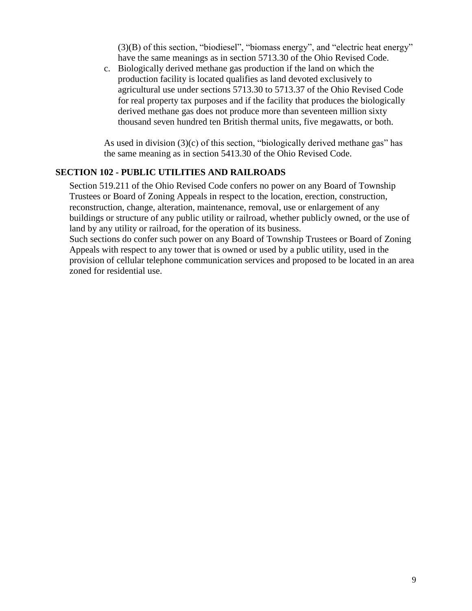(3)(B) of this section, "biodiesel", "biomass energy", and "electric heat energy" have the same meanings as in section 5713.30 of the Ohio Revised Code.

c. Biologically derived methane gas production if the land on which the production facility is located qualifies as land devoted exclusively to agricultural use under sections 5713.30 to 5713.37 of the Ohio Revised Code for real property tax purposes and if the facility that produces the biologically derived methane gas does not produce more than seventeen million sixty thousand seven hundred ten British thermal units, five megawatts, or both.

As used in division (3)(c) of this section, "biologically derived methane gas" has the same meaning as in section 5413.30 of the Ohio Revised Code.

#### <span id="page-9-0"></span>**SECTION 102 - PUBLIC UTILITIES AND RAILROADS**

Section 519.211 of the Ohio Revised Code confers no power on any Board of Township Trustees or Board of Zoning Appeals in respect to the location, erection, construction, reconstruction, change, alteration, maintenance, removal, use or enlargement of any buildings or structure of any public utility or railroad, whether publicly owned, or the use of land by any utility or railroad, for the operation of its business.

Such sections do confer such power on any Board of Township Trustees or Board of Zoning Appeals with respect to any tower that is owned or used by a public utility, used in the provision of cellular telephone communication services and proposed to be located in an area zoned for residential use.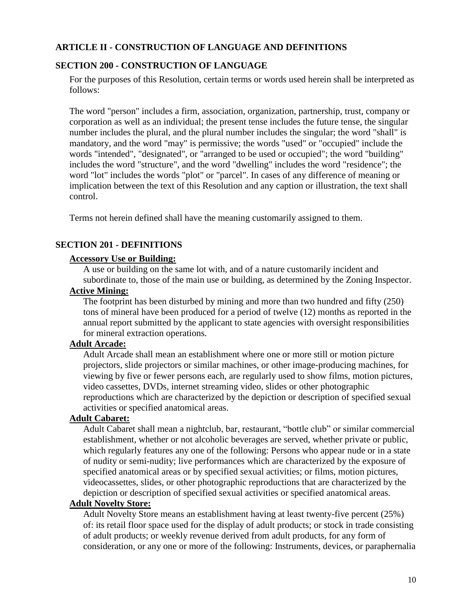## <span id="page-10-0"></span>**ARTICLE II - CONSTRUCTION OF LANGUAGE AND DEFINITIONS**

## <span id="page-10-1"></span>**SECTION 200 - CONSTRUCTION OF LANGUAGE**

For the purposes of this Resolution, certain terms or words used herein shall be interpreted as follows:

The word "person" includes a firm, association, organization, partnership, trust, company or corporation as well as an individual; the present tense includes the future tense, the singular number includes the plural, and the plural number includes the singular; the word "shall" is mandatory, and the word "may" is permissive; the words "used" or "occupied" include the words "intended", "designated", or "arranged to be used or occupied"; the word "building" includes the word "structure", and the word "dwelling" includes the word "residence"; the word "lot" includes the words "plot" or "parcel". In cases of any difference of meaning or implication between the text of this Resolution and any caption or illustration, the text shall control.

Terms not herein defined shall have the meaning customarily assigned to them.

#### <span id="page-10-2"></span>**SECTION 201 - DEFINITIONS**

#### **Accessory Use or Building:**

A use or building on the same lot with, and of a nature customarily incident and subordinate to, those of the main use or building, as determined by the Zoning Inspector.

#### **Active Mining:**

The footprint has been disturbed by mining and more than two hundred and fifty (250) tons of mineral have been produced for a period of twelve (12) months as reported in the annual report submitted by the applicant to state agencies with oversight responsibilities for mineral extraction operations.

## **Adult Arcade:**

Adult Arcade shall mean an establishment where one or more still or motion picture projectors, slide projectors or similar machines, or other image-producing machines, for viewing by five or fewer persons each, are regularly used to show films, motion pictures, video cassettes, DVDs, internet streaming video, slides or other photographic reproductions which are characterized by the depiction or description of specified sexual activities or specified anatomical areas.

#### **Adult Cabaret:**

Adult Cabaret shall mean a nightclub, bar, restaurant, "bottle club" or similar commercial establishment, whether or not alcoholic beverages are served, whether private or public, which regularly features any one of the following: Persons who appear nude or in a state of nudity or semi-nudity; live performances which are characterized by the exposure of specified anatomical areas or by specified sexual activities; or films, motion pictures, videocassettes, slides, or other photographic reproductions that are characterized by the depiction or description of specified sexual activities or specified anatomical areas.

#### **Adult Novelty Store:**

Adult Novelty Store means an establishment having at least twenty-five percent (25%) of: its retail floor space used for the display of adult products; or stock in trade consisting of adult products; or weekly revenue derived from adult products, for any form of consideration, or any one or more of the following: Instruments, devices, or paraphernalia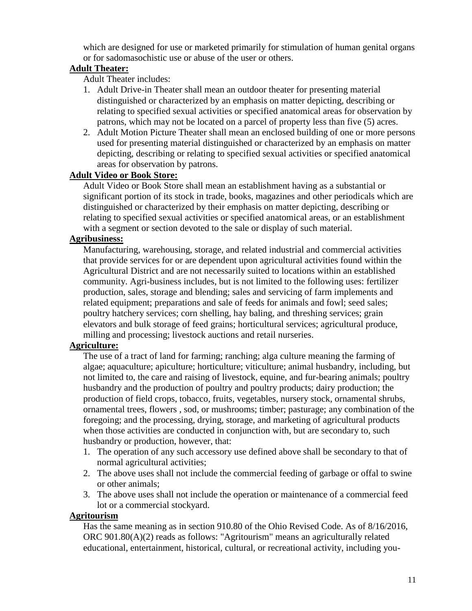which are designed for use or marketed primarily for stimulation of human genital organs or for sadomasochistic use or abuse of the user or others.

# **Adult Theater:**

Adult Theater includes:

- 1. Adult Drive-in Theater shall mean an outdoor theater for presenting material distinguished or characterized by an emphasis on matter depicting, describing or relating to specified sexual activities or specified anatomical areas for observation by patrons, which may not be located on a parcel of property less than five (5) acres.
- 2. Adult Motion Picture Theater shall mean an enclosed building of one or more persons used for presenting material distinguished or characterized by an emphasis on matter depicting, describing or relating to specified sexual activities or specified anatomical areas for observation by patrons.

# **Adult Video or Book Store:**

Adult Video or Book Store shall mean an establishment having as a substantial or significant portion of its stock in trade, books, magazines and other periodicals which are distinguished or characterized by their emphasis on matter depicting, describing or relating to specified sexual activities or specified anatomical areas, or an establishment with a segment or section devoted to the sale or display of such material.

# **Agribusiness:**

Manufacturing, warehousing, storage, and related industrial and commercial activities that provide services for or are dependent upon agricultural activities found within the Agricultural District and are not necessarily suited to locations within an established community. Agri-business includes, but is not limited to the following uses: fertilizer production, sales, storage and blending; sales and servicing of farm implements and related equipment; preparations and sale of feeds for animals and fowl; seed sales; poultry hatchery services; corn shelling, hay baling, and threshing services; grain elevators and bulk storage of feed grains; horticultural services; agricultural produce, milling and processing; livestock auctions and retail nurseries.

# **Agriculture:**

The use of a tract of land for farming; ranching; alga culture meaning the farming of algae; aquaculture; apiculture; horticulture; viticulture; animal husbandry, including, but not limited to, the care and raising of livestock, equine, and fur-bearing animals; poultry husbandry and the production of poultry and poultry products; dairy production; the production of field crops, tobacco, fruits, vegetables, nursery stock, ornamental shrubs, ornamental trees, flowers , sod, or mushrooms; timber; pasturage; any combination of the foregoing; and the processing, drying, storage, and marketing of agricultural products when those activities are conducted in conjunction with, but are secondary to, such husbandry or production, however, that:

- 1. The operation of any such accessory use defined above shall be secondary to that of normal agricultural activities;
- 2. The above uses shall not include the commercial feeding of garbage or offal to swine or other animals;
- 3. The above uses shall not include the operation or maintenance of a commercial feed lot or a commercial stockyard.

# **Agritourism**

Has the same meaning as in section 910.80 of the Ohio Revised Code. As of 8/16/2016, ORC 901.80(A)(2) reads as follows: "Agritourism" means an agriculturally related educational, entertainment, historical, cultural, or recreational activity, including you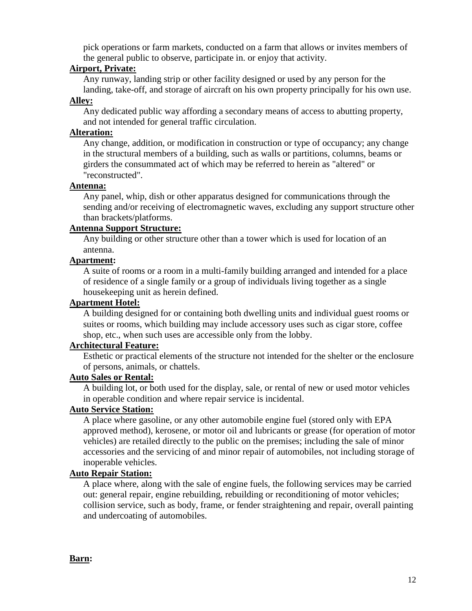pick operations or farm markets, conducted on a farm that allows or invites members of the general public to observe, participate in. or enjoy that activity.

## **Airport, Private:**

Any runway, landing strip or other facility designed or used by any person for the

landing, take-off, and storage of aircraft on his own property principally for his own use. **Alley:**

Any dedicated public way affording a secondary means of access to abutting property, and not intended for general traffic circulation.

## **Alteration:**

Any change, addition, or modification in construction or type of occupancy; any change in the structural members of a building, such as walls or partitions, columns, beams or girders the consummated act of which may be referred to herein as "altered" or "reconstructed".

## **Antenna:**

Any panel, whip, dish or other apparatus designed for communications through the sending and/or receiving of electromagnetic waves, excluding any support structure other than brackets/platforms.

#### **Antenna Support Structure:**

Any building or other structure other than a tower which is used for location of an antenna.

# **Apartment:**

A suite of rooms or a room in a multi-family building arranged and intended for a place of residence of a single family or a group of individuals living together as a single housekeeping unit as herein defined.

# **Apartment Hotel:**

A building designed for or containing both dwelling units and individual guest rooms or suites or rooms, which building may include accessory uses such as cigar store, coffee shop, etc., when such uses are accessible only from the lobby.

# **Architectural Feature:**

Esthetic or practical elements of the structure not intended for the shelter or the enclosure of persons, animals, or chattels.

# **Auto Sales or Rental:**

A building lot, or both used for the display, sale, or rental of new or used motor vehicles in operable condition and where repair service is incidental.

# **Auto Service Station:**

A place where gasoline, or any other automobile engine fuel (stored only with EPA approved method), kerosene, or motor oil and lubricants or grease (for operation of motor vehicles) are retailed directly to the public on the premises; including the sale of minor accessories and the servicing of and minor repair of automobiles, not including storage of inoperable vehicles.

# **Auto Repair Station:**

A place where, along with the sale of engine fuels, the following services may be carried out: general repair, engine rebuilding, rebuilding or reconditioning of motor vehicles; collision service, such as body, frame, or fender straightening and repair, overall painting and undercoating of automobiles.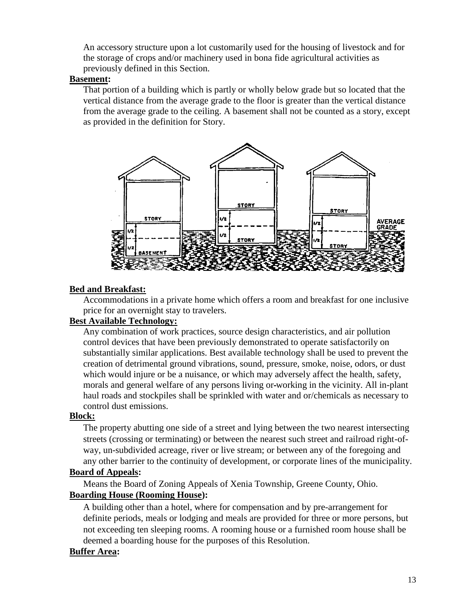An accessory structure upon a lot customarily used for the housing of livestock and for the storage of crops and/or machinery used in bona fide agricultural activities as previously defined in this Section.

## **Basement:**

That portion of a building which is partly or wholly below grade but so located that the vertical distance from the average grade to the floor is greater than the vertical distance from the average grade to the ceiling. A basement shall not be counted as a story, except as provided in the definition for Story.



# **Bed and Breakfast:**

Accommodations in a private home which offers a room and breakfast for one inclusive price for an overnight stay to travelers.

# **Best Available Technology:**

Any combination of work practices, source design characteristics, and air pollution control devices that have been previously demonstrated to operate satisfactorily on substantially similar applications. Best available technology shall be used to prevent the creation of detrimental ground vibrations, sound, pressure, smoke, noise, odors, or dust which would injure or be a nuisance, or which may adversely affect the health, safety, morals and general welfare of any persons living or working in the vicinity. All in-plant haul roads and stockpiles shall be sprinkled with water and or/chemicals as necessary to control dust emissions.

# **Block:**

The property abutting one side of a street and lying between the two nearest intersecting streets (crossing or terminating) or between the nearest such street and railroad right-ofway, un-subdivided acreage, river or live stream; or between any of the foregoing and any other barrier to the continuity of development, or corporate lines of the municipality.

# **Board of Appeals:**

Means the Board of Zoning Appeals of Xenia Township, Greene County, Ohio.

# **Boarding House (Rooming House):**

A building other than a hotel, where for compensation and by pre-arrangement for definite periods, meals or lodging and meals are provided for three or more persons, but not exceeding ten sleeping rooms. A rooming house or a furnished room house shall be deemed a boarding house for the purposes of this Resolution.

# **Buffer Area:**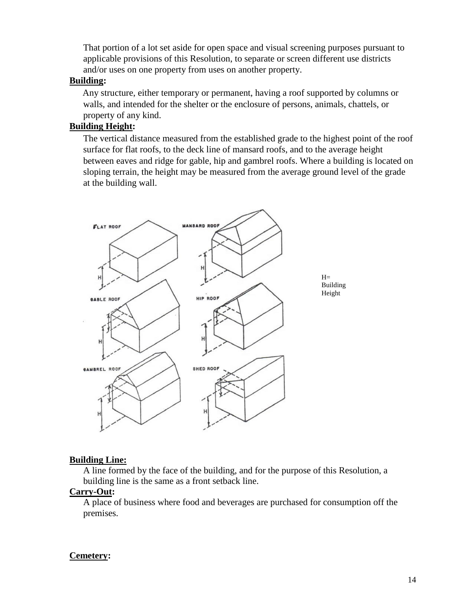That portion of a lot set aside for open space and visual screening purposes pursuant to applicable provisions of this Resolution, to separate or screen different use districts and/or uses on one property from uses on another property.

#### **Building:**

Any structure, either temporary or permanent, having a roof supported by columns or walls, and intended for the shelter or the enclosure of persons, animals, chattels, or property of any kind.

## **Building Height:**

The vertical distance measured from the established grade to the highest point of the roof surface for flat roofs, to the deck line of mansard roofs, and to the average height between eaves and ridge for gable, hip and gambrel roofs. Where a building is located on sloping terrain, the height may be measured from the average ground level of the grade at the building wall.



#### **Building Line:**

A line formed by the face of the building, and for the purpose of this Resolution, a building line is the same as a front setback line.

#### **Carry-Out:**

A place of business where food and beverages are purchased for consumption off the premises.

#### **Cemetery:**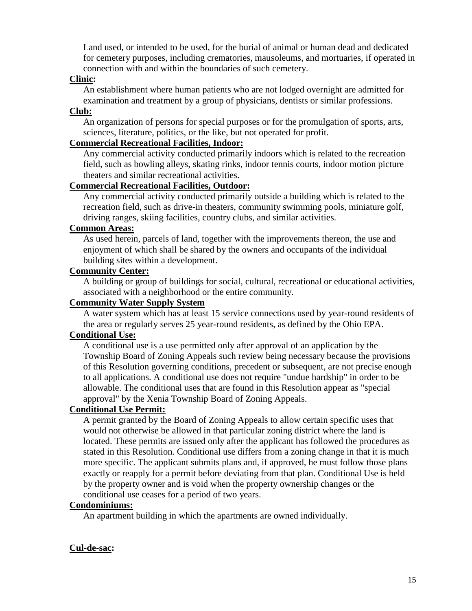Land used, or intended to be used, for the burial of animal or human dead and dedicated for cemetery purposes, including crematories, mausoleums, and mortuaries, if operated in connection with and within the boundaries of such cemetery.

#### **Clinic:**

An establishment where human patients who are not lodged overnight are admitted for examination and treatment by a group of physicians, dentists or similar professions.

## **Club:**

An organization of persons for special purposes or for the promulgation of sports, arts, sciences, literature, politics, or the like, but not operated for profit.

#### **Commercial Recreational Facilities, Indoor:**

Any commercial activity conducted primarily indoors which is related to the recreation field, such as bowling alleys, skating rinks, indoor tennis courts, indoor motion picture theaters and similar recreational activities.

#### **Commercial Recreational Facilities, Outdoor:**

Any commercial activity conducted primarily outside a building which is related to the recreation field, such as drive-in theaters, community swimming pools, miniature golf, driving ranges, skiing facilities, country clubs, and similar activities.

#### **Common Areas:**

As used herein, parcels of land, together with the improvements thereon, the use and enjoyment of which shall be shared by the owners and occupants of the individual building sites within a development.

#### **Community Center:**

A building or group of buildings for social, cultural, recreational or educational activities, associated with a neighborhood or the entire community.

# **Community Water Supply System**

A water system which has at least 15 service connections used by year-round residents of the area or regularly serves 25 year-round residents, as defined by the Ohio EPA.

## **Conditional Use:**

A conditional use is a use permitted only after approval of an application by the Township Board of Zoning Appeals such review being necessary because the provisions of this Resolution governing conditions, precedent or subsequent, are not precise enough to all applications. A conditional use does not require "undue hardship" in order to be allowable. The conditional uses that are found in this Resolution appear as "special approval" by the Xenia Township Board of Zoning Appeals.

# **Conditional Use Permit:**

A permit granted by the Board of Zoning Appeals to allow certain specific uses that would not otherwise be allowed in that particular zoning district where the land is located. These permits are issued only after the applicant has followed the procedures as stated in this Resolution. Conditional use differs from a zoning change in that it is much more specific. The applicant submits plans and, if approved, he must follow those plans exactly or reapply for a permit before deviating from that plan. Conditional Use is held by the property owner and is void when the property ownership changes or the conditional use ceases for a period of two years.

## **Condominiums:**

An apartment building in which the apartments are owned individually.

#### **Cul-de-sac:**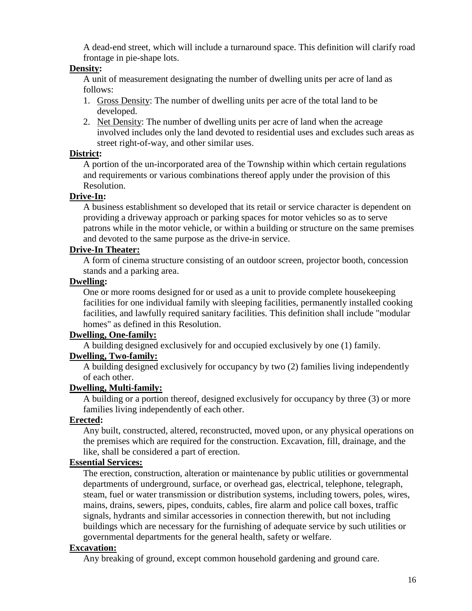A dead-end street, which will include a turnaround space. This definition will clarify road frontage in pie-shape lots.

#### **Density:**

A unit of measurement designating the number of dwelling units per acre of land as follows:

- 1. Gross Density: The number of dwelling units per acre of the total land to be developed.
- 2. Net Density: The number of dwelling units per acre of land when the acreage involved includes only the land devoted to residential uses and excludes such areas as street right-of-way, and other similar uses.

#### **District:**

A portion of the un-incorporated area of the Township within which certain regulations and requirements or various combinations thereof apply under the provision of this Resolution.

#### **Drive-In:**

A business establishment so developed that its retail or service character is dependent on providing a driveway approach or parking spaces for motor vehicles so as to serve patrons while in the motor vehicle, or within a building or structure on the same premises and devoted to the same purpose as the drive-in service.

## **Drive-In Theater:**

A form of cinema structure consisting of an outdoor screen, projector booth, concession stands and a parking area.

## **Dwelling:**

One or more rooms designed for or used as a unit to provide complete housekeeping facilities for one individual family with sleeping facilities, permanently installed cooking facilities, and lawfully required sanitary facilities. This definition shall include "modular homes" as defined in this Resolution.

# **Dwelling, One-family:**

A building designed exclusively for and occupied exclusively by one (1) family.

# **Dwelling, Two-family:**

A building designed exclusively for occupancy by two (2) families living independently of each other.

# **Dwelling, Multi-family:**

A building or a portion thereof, designed exclusively for occupancy by three (3) or more families living independently of each other.

# **Erected:**

Any built, constructed, altered, reconstructed, moved upon, or any physical operations on the premises which are required for the construction. Excavation, fill, drainage, and the like, shall be considered a part of erection.

# **Essential Services:**

The erection, construction, alteration or maintenance by public utilities or governmental departments of underground, surface, or overhead gas, electrical, telephone, telegraph, steam, fuel or water transmission or distribution systems, including towers, poles, wires, mains, drains, sewers, pipes, conduits, cables, fire alarm and police call boxes, traffic signals, hydrants and similar accessories in connection therewith, but not including buildings which are necessary for the furnishing of adequate service by such utilities or governmental departments for the general health, safety or welfare.

## **Excavation:**

Any breaking of ground, except common household gardening and ground care.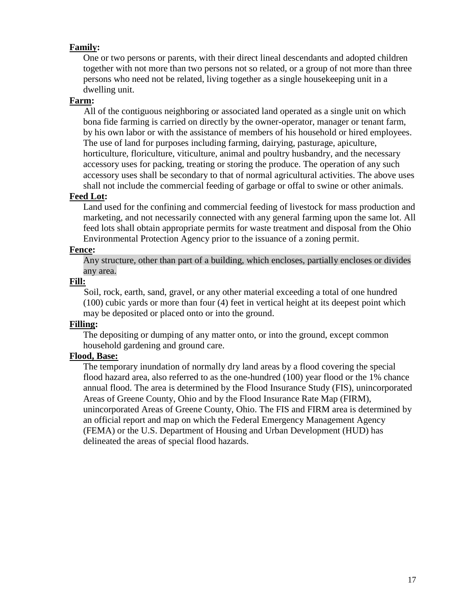## **Family:**

One or two persons or parents, with their direct lineal descendants and adopted children together with not more than two persons not so related, or a group of not more than three persons who need not be related, living together as a single housekeeping unit in a dwelling unit.

## **Farm:**

All of the contiguous neighboring or associated land operated as a single unit on which bona fide farming is carried on directly by the owner-operator, manager or tenant farm, by his own labor or with the assistance of members of his household or hired employees. The use of land for purposes including farming, dairying, pasturage, apiculture, horticulture, floriculture, viticulture, animal and poultry husbandry, and the necessary accessory uses for packing, treating or storing the produce. The operation of any such accessory uses shall be secondary to that of normal agricultural activities. The above uses shall not include the commercial feeding of garbage or offal to swine or other animals.

#### **Feed Lot:**

Land used for the confining and commercial feeding of livestock for mass production and marketing, and not necessarily connected with any general farming upon the same lot. All feed lots shall obtain appropriate permits for waste treatment and disposal from the Ohio Environmental Protection Agency prior to the issuance of a zoning permit.

#### **Fence:**

Any structure, other than part of a building, which encloses, partially encloses or divides any area.

## **Fill:**

Soil, rock, earth, sand, gravel, or any other material exceeding a total of one hundred (100) cubic yards or more than four (4) feet in vertical height at its deepest point which may be deposited or placed onto or into the ground.

#### **Filling:**

The depositing or dumping of any matter onto, or into the ground, except common household gardening and ground care.

# **Flood, Base:**

The temporary inundation of normally dry land areas by a flood covering the special flood hazard area, also referred to as the one-hundred (100) year flood or the 1% chance annual flood. The area is determined by the Flood Insurance Study (FIS), unincorporated Areas of Greene County, Ohio and by the Flood Insurance Rate Map (FIRM), unincorporated Areas of Greene County, Ohio. The FIS and FIRM area is determined by an official report and map on which the Federal Emergency Management Agency (FEMA) or the U.S. Department of Housing and Urban Development (HUD) has delineated the areas of special flood hazards.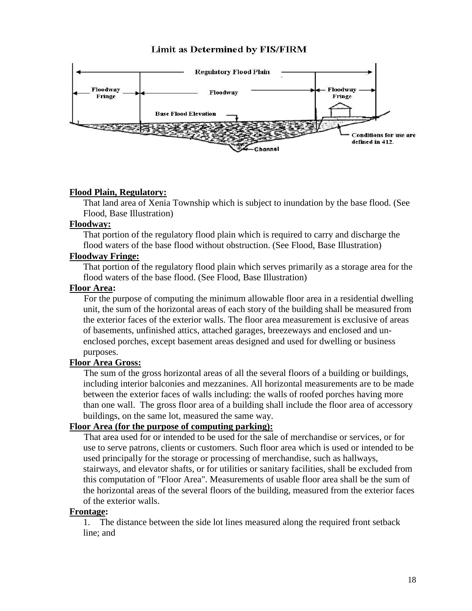#### **Limit as Determined by FIS/FIRM**



#### **Flood Plain, Regulatory:**

That land area of Xenia Township which is subject to inundation by the base flood. (See Flood, Base Illustration)

#### **Floodway:**

That portion of the regulatory flood plain which is required to carry and discharge the flood waters of the base flood without obstruction. (See Flood, Base Illustration)

#### **Floodway Fringe:**

That portion of the regulatory flood plain which serves primarily as a storage area for the flood waters of the base flood. (See Flood, Base Illustration)

#### **Floor Area:**

For the purpose of computing the minimum allowable floor area in a residential dwelling unit, the sum of the horizontal areas of each story of the building shall be measured from the exterior faces of the exterior walls. The floor area measurement is exclusive of areas of basements, unfinished attics, attached garages, breezeways and enclosed and unenclosed porches, except basement areas designed and used for dwelling or business purposes.

# **Floor Area Gross:**

The sum of the gross horizontal areas of all the several floors of a building or buildings, including interior balconies and mezzanines. All horizontal measurements are to be made between the exterior faces of walls including: the walls of roofed porches having more than one wall. The gross floor area of a building shall include the floor area of accessory buildings, on the same lot, measured the same way.

#### **Floor Area (for the purpose of computing parking):**

That area used for or intended to be used for the sale of merchandise or services, or for use to serve patrons, clients or customers. Such floor area which is used or intended to be used principally for the storage or processing of merchandise, such as hallways, stairways, and elevator shafts, or for utilities or sanitary facilities, shall be excluded from this computation of "Floor Area". Measurements of usable floor area shall be the sum of the horizontal areas of the several floors of the building, measured from the exterior faces of the exterior walls.

#### **Frontage:**

1. The distance between the side lot lines measured along the required front setback line; and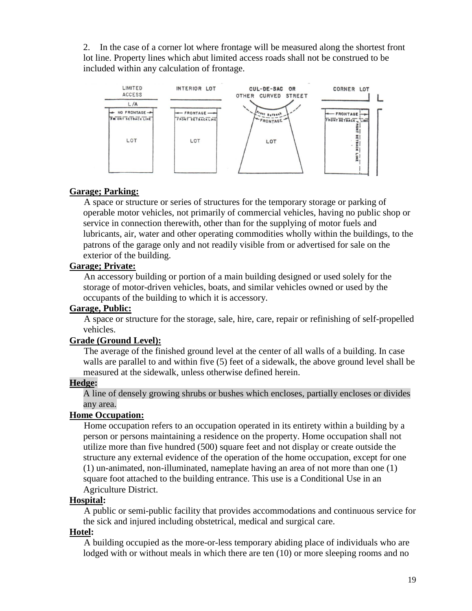2. In the case of a corner lot where frontage will be measured along the shortest front lot line. Property lines which abut limited access roads shall not be construed to be included within any calculation of frontage.



#### **Garage; Parking:**

A space or structure or series of structures for the temporary storage or parking of operable motor vehicles, not primarily of commercial vehicles, having no public shop or service in connection therewith, other than for the supplying of motor fuels and lubricants, air, water and other operating commodities wholly within the buildings, to the patrons of the garage only and not readily visible from or advertised for sale on the exterior of the building.

#### **Garage; Private:**

An accessory building or portion of a main building designed or used solely for the storage of motor-driven vehicles, boats, and similar vehicles owned or used by the occupants of the building to which it is accessory.

#### **Garage, Public:**

A space or structure for the storage, sale, hire, care, repair or refinishing of self-propelled vehicles.

#### **Grade (Ground Level):**

The average of the finished ground level at the center of all walls of a building. In case walls are parallel to and within five (5) feet of a sidewalk, the above ground level shall be measured at the sidewalk, unless otherwise defined herein.

#### **Hedge:**

A line of densely growing shrubs or bushes which encloses, partially encloses or divides any area.

#### **Home Occupation:**

Home occupation refers to an occupation operated in its entirety within a building by a person or persons maintaining a residence on the property. Home occupation shall not utilize more than five hundred (500) square feet and not display or create outside the structure any external evidence of the operation of the home occupation, except for one (1) un-animated, non-illuminated, nameplate having an area of not more than one (1) square foot attached to the building entrance. This use is a Conditional Use in an Agriculture District.

#### **Hospital:**

A public or semi-public facility that provides accommodations and continuous service for the sick and injured including obstetrical, medical and surgical care.

#### **Hotel:**

A building occupied as the more-or-less temporary abiding place of individuals who are lodged with or without meals in which there are ten (10) or more sleeping rooms and no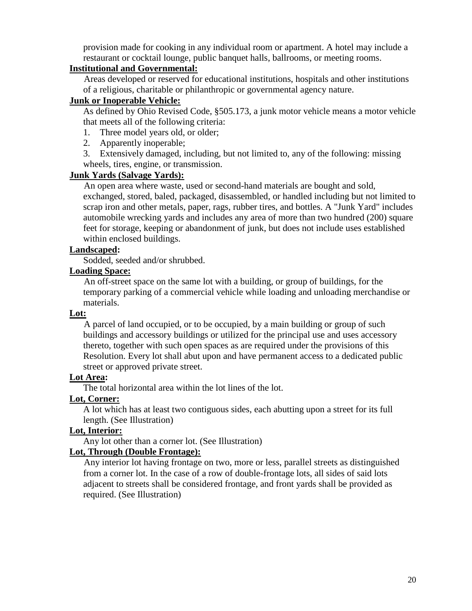provision made for cooking in any individual room or apartment. A hotel may include a restaurant or cocktail lounge, public banquet halls, ballrooms, or meeting rooms.

## **Institutional and Governmental:**

Areas developed or reserved for educational institutions, hospitals and other institutions of a religious, charitable or philanthropic or governmental agency nature.

#### **Junk or Inoperable Vehicle:**

As defined by Ohio Revised Code, §505.173, a junk motor vehicle means a motor vehicle that meets all of the following criteria:

- 1. Three model years old, or older;
- 2. Apparently inoperable;
- 3. Extensively damaged, including, but not limited to, any of the following: missing wheels, tires, engine, or transmission.

# **Junk Yards (Salvage Yards):**

An open area where waste, used or second-hand materials are bought and sold, exchanged, stored, baled, packaged, disassembled, or handled including but not limited to scrap iron and other metals, paper, rags, rubber tires, and bottles. A "Junk Yard" includes automobile wrecking yards and includes any area of more than two hundred (200) square feet for storage, keeping or abandonment of junk, but does not include uses established within enclosed buildings.

#### **Landscaped:**

Sodded, seeded and/or shrubbed.

#### **Loading Space:**

An off-street space on the same lot with a building, or group of buildings, for the temporary parking of a commercial vehicle while loading and unloading merchandise or materials.

#### **Lot:**

A parcel of land occupied, or to be occupied, by a main building or group of such buildings and accessory buildings or utilized for the principal use and uses accessory thereto, together with such open spaces as are required under the provisions of this Resolution. Every lot shall abut upon and have permanent access to a dedicated public street or approved private street.

#### **Lot Area:**

The total horizontal area within the lot lines of the lot.

#### **Lot, Corner:**

A lot which has at least two contiguous sides, each abutting upon a street for its full length. (See Illustration)

## **Lot, Interior:**

Any lot other than a corner lot. (See Illustration)

## **Lot, Through (Double Frontage):**

Any interior lot having frontage on two, more or less, parallel streets as distinguished from a corner lot. In the case of a row of double-frontage lots, all sides of said lots adjacent to streets shall be considered frontage, and front yards shall be provided as required. (See Illustration)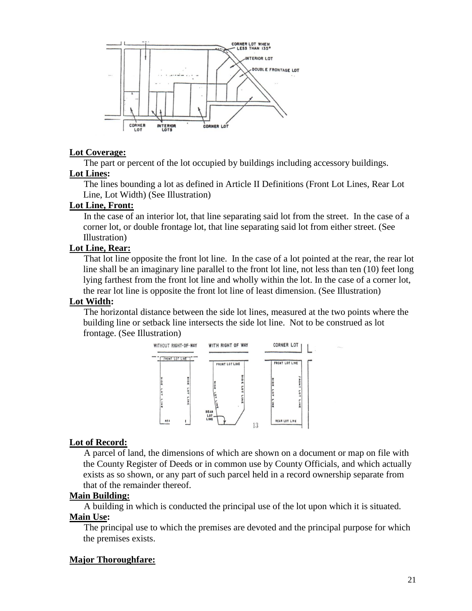

#### **Lot Coverage:**

The part or percent of the lot occupied by buildings including accessory buildings. **Lot Lines:**

The lines bounding a lot as defined in Article II Definitions (Front Lot Lines, Rear Lot Line, Lot Width) (See Illustration)

## **Lot Line, Front:**

In the case of an interior lot, that line separating said lot from the street. In the case of a corner lot, or double frontage lot, that line separating said lot from either street. (See Illustration)

## **Lot Line, Rear:**

That lot line opposite the front lot line. In the case of a lot pointed at the rear, the rear lot line shall be an imaginary line parallel to the front lot line, not less than ten (10) feet long lying farthest from the front lot line and wholly within the lot. In the case of a corner lot, the rear lot line is opposite the front lot line of least dimension. (See Illustration)

## **Lot Width:**

The horizontal distance between the side lot lines, measured at the two points where the building line or setback line intersects the side lot line. Not to be construed as lot frontage. (See Illustration)



#### **Lot of Record:**

A parcel of land, the dimensions of which are shown on a document or map on file with the County Register of Deeds or in common use by County Officials, and which actually exists as so shown, or any part of such parcel held in a record ownership separate from that of the remainder thereof.

#### **Main Building:**

A building in which is conducted the principal use of the lot upon which it is situated.

#### **Main Use:**

The principal use to which the premises are devoted and the principal purpose for which the premises exists.

# **Major Thoroughfare:**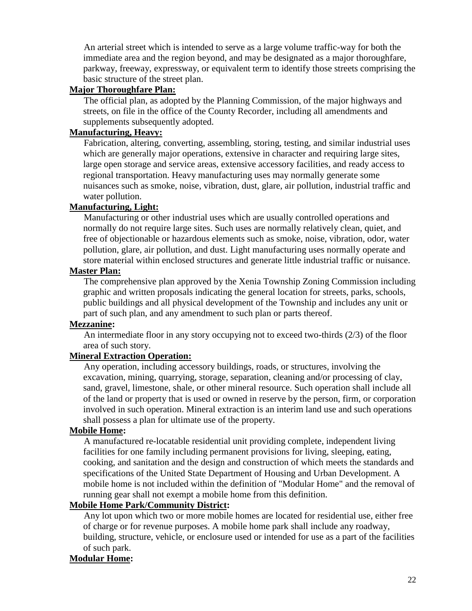An arterial street which is intended to serve as a large volume traffic-way for both the immediate area and the region beyond, and may be designated as a major thoroughfare, parkway, freeway, expressway, or equivalent term to identify those streets comprising the basic structure of the street plan.

#### **Major Thoroughfare Plan:**

The official plan, as adopted by the Planning Commission, of the major highways and streets, on file in the office of the County Recorder, including all amendments and supplements subsequently adopted.

#### **Manufacturing, Heavy:**

Fabrication, altering, converting, assembling, storing, testing, and similar industrial uses which are generally major operations, extensive in character and requiring large sites, large open storage and service areas, extensive accessory facilities, and ready access to regional transportation. Heavy manufacturing uses may normally generate some nuisances such as smoke, noise, vibration, dust, glare, air pollution, industrial traffic and water pollution.

## **Manufacturing, Light:**

Manufacturing or other industrial uses which are usually controlled operations and normally do not require large sites. Such uses are normally relatively clean, quiet, and free of objectionable or hazardous elements such as smoke, noise, vibration, odor, water pollution, glare, air pollution, and dust. Light manufacturing uses normally operate and store material within enclosed structures and generate little industrial traffic or nuisance.

#### **Master Plan:**

The comprehensive plan approved by the Xenia Township Zoning Commission including graphic and written proposals indicating the general location for streets, parks, schools, public buildings and all physical development of the Township and includes any unit or part of such plan, and any amendment to such plan or parts thereof.

#### **Mezzanine:**

An intermediate floor in any story occupying not to exceed two-thirds (2/3) of the floor area of such story.

# **Mineral Extraction Operation:**

Any operation, including accessory buildings, roads, or structures, involving the excavation, mining, quarrying, storage, separation, cleaning and/or processing of clay, sand, gravel, limestone, shale, or other mineral resource. Such operation shall include all of the land or property that is used or owned in reserve by the person, firm, or corporation involved in such operation. Mineral extraction is an interim land use and such operations shall possess a plan for ultimate use of the property.

#### **Mobile Home:**

A manufactured re-locatable residential unit providing complete, independent living facilities for one family including permanent provisions for living, sleeping, eating, cooking, and sanitation and the design and construction of which meets the standards and specifications of the United State Department of Housing and Urban Development. A mobile home is not included within the definition of "Modular Home" and the removal of running gear shall not exempt a mobile home from this definition.

# **Mobile Home Park/Community District:**

Any lot upon which two or more mobile homes are located for residential use, either free of charge or for revenue purposes. A mobile home park shall include any roadway, building, structure, vehicle, or enclosure used or intended for use as a part of the facilities of such park.

#### **Modular Home:**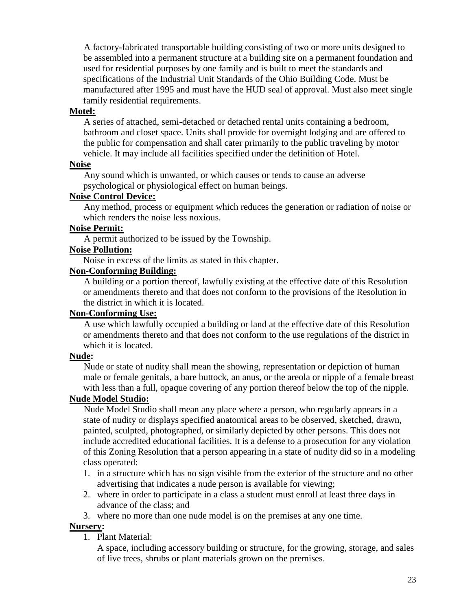A factory-fabricated transportable building consisting of two or more units designed to be assembled into a permanent structure at a building site on a permanent foundation and used for residential purposes by one family and is built to meet the standards and specifications of the Industrial Unit Standards of the Ohio Building Code. Must be manufactured after 1995 and must have the HUD seal of approval. Must also meet single family residential requirements.

#### **Motel:**

A series of attached, semi-detached or detached rental units containing a bedroom, bathroom and closet space. Units shall provide for overnight lodging and are offered to the public for compensation and shall cater primarily to the public traveling by motor vehicle. It may include all facilities specified under the definition of Hotel.

#### **Noise**

Any sound which is unwanted, or which causes or tends to cause an adverse psychological or physiological effect on human beings.

#### **Noise Control Device:**

Any method, process or equipment which reduces the generation or radiation of noise or which renders the noise less noxious.

#### **Noise Permit:**

A permit authorized to be issued by the Township.

## **Noise Pollution:**

Noise in excess of the limits as stated in this chapter.

#### **Non-Conforming Building:**

A building or a portion thereof, lawfully existing at the effective date of this Resolution or amendments thereto and that does not conform to the provisions of the Resolution in the district in which it is located.

#### **Non-Conforming Use:**

A use which lawfully occupied a building or land at the effective date of this Resolution or amendments thereto and that does not conform to the use regulations of the district in which it is located.

#### **Nude:**

Nude or state of nudity shall mean the showing, representation or depiction of human male or female genitals, a bare buttock, an anus, or the areola or nipple of a female breast with less than a full, opaque covering of any portion thereof below the top of the nipple.

#### **Nude Model Studio:**

Nude Model Studio shall mean any place where a person, who regularly appears in a state of nudity or displays specified anatomical areas to be observed, sketched, drawn, painted, sculpted, photographed, or similarly depicted by other persons. This does not include accredited educational facilities. It is a defense to a prosecution for any violation of this Zoning Resolution that a person appearing in a state of nudity did so in a modeling class operated:

- 1. in a structure which has no sign visible from the exterior of the structure and no other advertising that indicates a nude person is available for viewing;
- 2. where in order to participate in a class a student must enroll at least three days in advance of the class; and
- 3. where no more than one nude model is on the premises at any one time.

#### **Nursery:**

1. Plant Material:

A space, including accessory building or structure, for the growing, storage, and sales of live trees, shrubs or plant materials grown on the premises.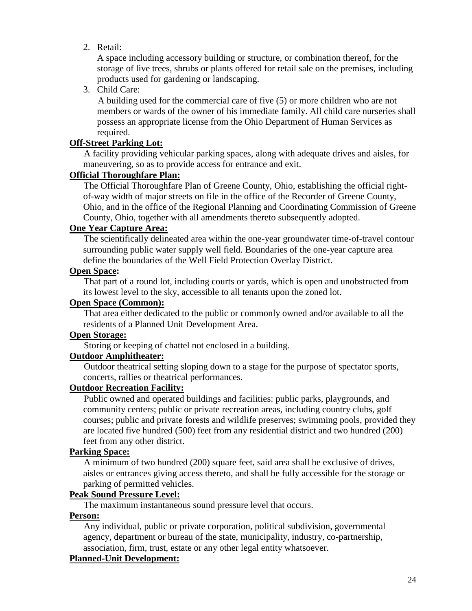2. Retail:

A space including accessory building or structure, or combination thereof, for the storage of live trees, shrubs or plants offered for retail sale on the premises, including products used for gardening or landscaping.

3. Child Care:

A building used for the commercial care of five (5) or more children who are not members or wards of the owner of his immediate family. All child care nurseries shall possess an appropriate license from the Ohio Department of Human Services as required.

### **Off-Street Parking Lot:**

A facility providing vehicular parking spaces, along with adequate drives and aisles, for maneuvering, so as to provide access for entrance and exit.

#### **Official Thoroughfare Plan:**

The Official Thoroughfare Plan of Greene County, Ohio, establishing the official rightof-way width of major streets on file in the office of the Recorder of Greene County, Ohio, and in the office of the Regional Planning and Coordinating Commission of Greene County, Ohio, together with all amendments thereto subsequently adopted.

#### **One Year Capture Area:**

The scientifically delineated area within the one-year groundwater time-of-travel contour surrounding public water supply well field. Boundaries of the one-year capture area define the boundaries of the Well Field Protection Overlay District.

#### **Open Space:**

That part of a round lot, including courts or yards, which is open and unobstructed from its lowest level to the sky, accessible to all tenants upon the zoned lot.

## **Open Space (Common):**

That area either dedicated to the public or commonly owned and/or available to all the residents of a Planned Unit Development Area.

## **Open Storage:**

Storing or keeping of chattel not enclosed in a building.

# **Outdoor Amphitheater:**

Outdoor theatrical setting sloping down to a stage for the purpose of spectator sports, concerts, rallies or theatrical performances.

#### **Outdoor Recreation Facility:**

Public owned and operated buildings and facilities: public parks, playgrounds, and community centers; public or private recreation areas, including country clubs, golf courses; public and private forests and wildlife preserves; swimming pools, provided they are located five hundred (500) feet from any residential district and two hundred (200) feet from any other district.

# **Parking Space:**

A minimum of two hundred (200) square feet, said area shall be exclusive of drives, aisles or entrances giving access thereto, and shall be fully accessible for the storage or parking of permitted vehicles.

# **Peak Sound Pressure Level:**

The maximum instantaneous sound pressure level that occurs.

#### **Person:**

Any individual, public or private corporation, political subdivision, governmental agency, department or bureau of the state, municipality, industry, co-partnership, association, firm, trust, estate or any other legal entity whatsoever.

#### **Planned-Unit Development:**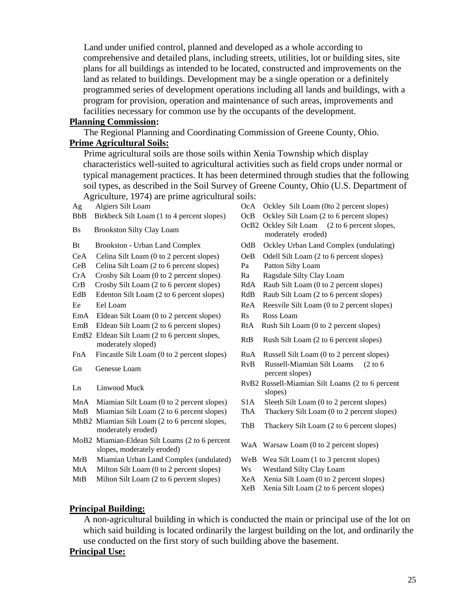Land under unified control, planned and developed as a whole according to comprehensive and detailed plans, including streets, utilities, lot or building sites, site plans for all buildings as intended to be located, constructed and improvements on the land as related to buildings. Development may be a single operation or a definitely programmed series of development operations including all lands and buildings, with a program for provision, operation and maintenance of such areas, improvements and facilities necessary for common use by the occupants of the development.

#### **Planning Commission:**

The Regional Planning and Coordinating Commission of Greene County, Ohio.

#### **Prime Agricultural Soils:**

Prime agricultural soils are those soils within Xenia Township which display characteristics well-suited to agricultural activities such as field crops under normal or typical management practices. It has been determined through studies that the following soil types, as described in the Soil Survey of Greene County, Ohio (U.S. Department of Agriculture, 1974) are prime agricultural soils:

- 
- BbB Birkbeck Silt Loam (1 to 4 percent slopes) OcB Ockley Silt Loam (2 to 6 percent slopes)
- 
- 
- CeA Celina Silt Loam (0 to 2 percent slopes) OeB Odell Silt Loam (2 to 6 percent slopes)
- CeB Celina Silt Loam (2 to 6 percent slopes) Pa Patton Silty Loam
- CrA Crosby Silt Loam (0 to 2 percent slopes) Ra Ragsdale Silty Clay Loam
- 
- EdB Edenton Silt Loam (2 to 6 percent slopes) RdB Raub Silt Loam (2 to 6 percent slopes) Ee Eel Loam ReA Reesvile Silt Loam (0 to 2 percent slopes)
- EmA Eldean Silt Loam (0 to 2 percent slopes) Rs Ross Loam
- EmB Eldean Silt Loam (2 to 6 percent slopes) RtA Rush Silt Loam (0 to 2 percent slopes)
- EmB2 Eldean Silt Loam (2 to 6 percent slopes, Encear Sin Loam (2 to 6 percent slopes)<br>moderately sloped) RtB Rush Silt Loam (2 to 6 percent slopes)
- FnA Fincastle Silt Loam (0 to 2 percent slopes) RuA Russell Silt Loam (0 to 2 percent slopes)
- 
- 
- MnA Miamian Silt Loam (0 to 2 percent slopes) S1A Sleeth Silt Loam (0 to 2 percent slopes)
- MnB Miamian Silt Loam (2 to 6 percent slopes) ThA Thackery Silt Loam (0 to 2 percent slopes) MhB2 Miamian Silt Loam (2 to 6 percent slopes,
- mannan Sin Loam  $(2 \text{ to 0})$  percent slopes,<br>moderately eroded)
- MoB2 Miamian-Eldean Silt Loams (2 to 6 percent slopes, moderately eroded) WaA Warsaw Loam (0 to 2 percent slopes)
- 
- MtA Milton Silt Loam (0 to 2 percent slopes) Ws Westland Silty Clay Loam
- 
- Ag Algiers Silt Loam OcA Ockley Silt Loam (0to 2 percent slopes)
	-
- Bs Brookston Silty Clay Loam OcB2 Ockley Silt Loam (2 to 6 percent slopes, moderately eroded)
- Bt Brookston Urban Land Complex OdB Ockley Urban Land Complex (undulating)
	-
	-
	-
- CrB Crosby Silt Loam (2 to 6 percent slopes) RdA Raub Silt Loam (0 to 2 percent slopes)
	-
	-
	-
	-
	-
	-
- Gn Genesse Loam RvB Russell-Miamian Silt Loams (2 to 6 percent slopes)
- Ln Linwood Muck RvB2 Russell-Miamian Silt Loams (2 to 6 percent slopes)
	-
	-
	-
	-
- MrB Miamian Urban Land Complex (undulated) WeB Wea Silt Loam (1 to 3 percent slopes)
	-
- MtB Milton Silt Loam (2 to 6 percent slopes) XeA Xenia Silt Loam (0 to 2 percent slopes)
	- XeB Xenia Silt Loam (2 to 6 percent slopes)

#### **Principal Building:**

A non-agricultural building in which is conducted the main or principal use of the lot on which said building is located ordinarily the largest building on the lot, and ordinarily the use conducted on the first story of such building above the basement.

#### **Principal Use:**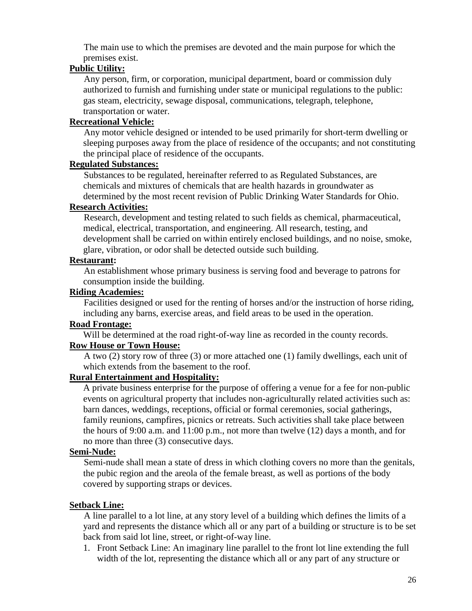The main use to which the premises are devoted and the main purpose for which the premises exist.

## **Public Utility:**

Any person, firm, or corporation, municipal department, board or commission duly authorized to furnish and furnishing under state or municipal regulations to the public: gas steam, electricity, sewage disposal, communications, telegraph, telephone, transportation or water.

# **Recreational Vehicle:**

Any motor vehicle designed or intended to be used primarily for short-term dwelling or sleeping purposes away from the place of residence of the occupants; and not constituting the principal place of residence of the occupants.

#### **Regulated Substances:**

Substances to be regulated, hereinafter referred to as Regulated Substances, are chemicals and mixtures of chemicals that are health hazards in groundwater as determined by the most recent revision of Public Drinking Water Standards for Ohio.

## **Research Activities:**

Research, development and testing related to such fields as chemical, pharmaceutical, medical, electrical, transportation, and engineering. All research, testing, and development shall be carried on within entirely enclosed buildings, and no noise, smoke, glare, vibration, or odor shall be detected outside such building.

## **Restaurant:**

An establishment whose primary business is serving food and beverage to patrons for consumption inside the building.

#### **Riding Academies:**

Facilities designed or used for the renting of horses and/or the instruction of horse riding, including any barns, exercise areas, and field areas to be used in the operation.

#### **Road Frontage:**

Will be determined at the road right-of-way line as recorded in the county records.

#### **Row House or Town House:**

A two (2) story row of three (3) or more attached one (1) family dwellings, each unit of which extends from the basement to the roof.

# **Rural Entertainment and Hospitality:**

A private business enterprise for the purpose of offering a venue for a fee for non-public events on agricultural property that includes non-agriculturally related activities such as: barn dances, weddings, receptions, official or formal ceremonies, social gatherings, family reunions, campfires, picnics or retreats. Such activities shall take place between the hours of 9:00 a.m. and 11:00 p.m., not more than twelve (12) days a month, and for no more than three (3) consecutive days.

# **Semi-Nude:**

Semi-nude shall mean a state of dress in which clothing covers no more than the genitals, the pubic region and the areola of the female breast, as well as portions of the body covered by supporting straps or devices.

# **Setback Line:**

A line parallel to a lot line, at any story level of a building which defines the limits of a yard and represents the distance which all or any part of a building or structure is to be set back from said lot line, street, or right-of-way line.

1. Front Setback Line: An imaginary line parallel to the front lot line extending the full width of the lot, representing the distance which all or any part of any structure or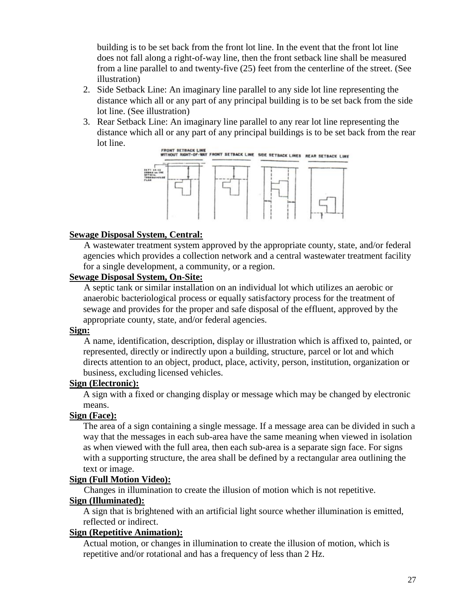building is to be set back from the front lot line. In the event that the front lot line does not fall along a right-of-way line, then the front setback line shall be measured from a line parallel to and twenty-five (25) feet from the centerline of the street. (See illustration)

- 2. Side Setback Line: An imaginary line parallel to any side lot line representing the distance which all or any part of any principal building is to be set back from the side lot line. (See illustration)
- 3. Rear Setback Line: An imaginary line parallel to any rear lot line representing the distance which all or any part of any principal buildings is to be set back from the rear lot line.



#### **Sewage Disposal System, Central:**

A wastewater treatment system approved by the appropriate county, state, and/or federal agencies which provides a collection network and a central wastewater treatment facility for a single development, a community, or a region.

#### **Sewage Disposal System, On-Site:**

A septic tank or similar installation on an individual lot which utilizes an aerobic or anaerobic bacteriological process or equally satisfactory process for the treatment of sewage and provides for the proper and safe disposal of the effluent, approved by the appropriate county, state, and/or federal agencies.

#### **Sign:**

A name, identification, description, display or illustration which is affixed to, painted, or represented, directly or indirectly upon a building, structure, parcel or lot and which directs attention to an object, product, place, activity, person, institution, organization or business, excluding licensed vehicles.

#### **Sign (Electronic):**

A sign with a fixed or changing display or message which may be changed by electronic means.

#### **Sign (Face):**

The area of a sign containing a single message. If a message area can be divided in such a way that the messages in each sub-area have the same meaning when viewed in isolation as when viewed with the full area, then each sub-area is a separate sign face. For signs with a supporting structure, the area shall be defined by a rectangular area outlining the text or image.

#### **Sign (Full Motion Video):**

Changes in illumination to create the illusion of motion which is not repetitive.

#### **Sign (Illuminated):**

A sign that is brightened with an artificial light source whether illumination is emitted, reflected or indirect.

#### **Sign (Repetitive Animation):**

Actual motion, or changes in illumination to create the illusion of motion, which is repetitive and/or rotational and has a frequency of less than 2 Hz.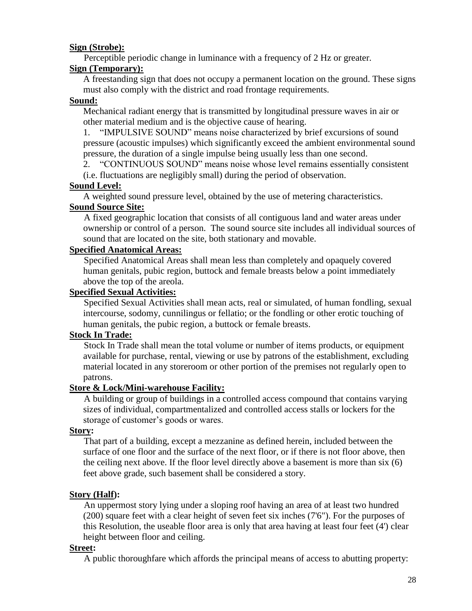## **Sign (Strobe):**

Perceptible periodic change in luminance with a frequency of 2 Hz or greater.

## **Sign (Temporary):**

A freestanding sign that does not occupy a permanent location on the ground. These signs must also comply with the district and road frontage requirements.

## **Sound:**

Mechanical radiant energy that is transmitted by longitudinal pressure waves in air or other material medium and is the objective cause of hearing.

1. "IMPULSIVE SOUND" means noise characterized by brief excursions of sound pressure (acoustic impulses) which significantly exceed the ambient environmental sound pressure, the duration of a single impulse being usually less than one second.

2. "CONTINUOUS SOUND" means noise whose level remains essentially consistent

(i.e. fluctuations are negligibly small) during the period of observation.

## **Sound Level:**

A weighted sound pressure level, obtained by the use of metering characteristics. **Sound Source Site:**

A fixed geographic location that consists of all contiguous land and water areas under ownership or control of a person. The sound source site includes all individual sources of sound that are located on the site, both stationary and movable.

#### **Specified Anatomical Areas:**

Specified Anatomical Areas shall mean less than completely and opaquely covered human genitals, pubic region, buttock and female breasts below a point immediately above the top of the areola.

#### **Specified Sexual Activities:**

Specified Sexual Activities shall mean acts, real or simulated, of human fondling, sexual intercourse, sodomy, cunnilingus or fellatio; or the fondling or other erotic touching of human genitals, the pubic region, a buttock or female breasts.

# **Stock In Trade:**

Stock In Trade shall mean the total volume or number of items products, or equipment available for purchase, rental, viewing or use by patrons of the establishment, excluding material located in any storeroom or other portion of the premises not regularly open to patrons.

# **Store & Lock/Mini-warehouse Facility:**

A building or group of buildings in a controlled access compound that contains varying sizes of individual, compartmentalized and controlled access stalls or lockers for the storage of customer's goods or wares.

#### **Story:**

That part of a building, except a mezzanine as defined herein, included between the surface of one floor and the surface of the next floor, or if there is not floor above, then the ceiling next above. If the floor level directly above a basement is more than six (6) feet above grade, such basement shall be considered a story.

# **Story (Half):**

An uppermost story lying under a sloping roof having an area of at least two hundred (200) square feet with a clear height of seven feet six inches (7'6"). For the purposes of this Resolution, the useable floor area is only that area having at least four feet (4') clear height between floor and ceiling.

#### **Street:**

A public thoroughfare which affords the principal means of access to abutting property: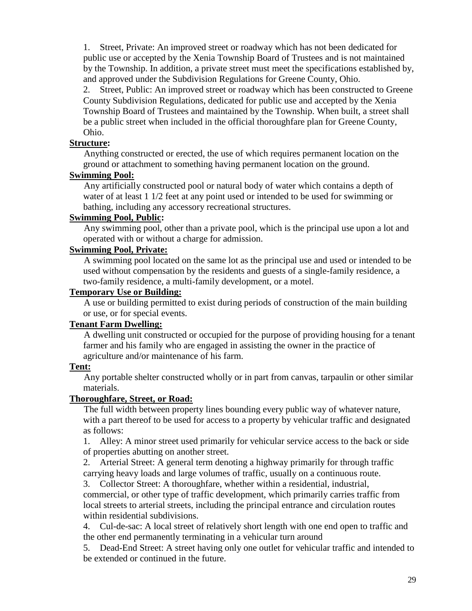1. Street, Private: An improved street or roadway which has not been dedicated for public use or accepted by the Xenia Township Board of Trustees and is not maintained by the Township. In addition, a private street must meet the specifications established by, and approved under the Subdivision Regulations for Greene County, Ohio.

2. Street, Public: An improved street or roadway which has been constructed to Greene County Subdivision Regulations, dedicated for public use and accepted by the Xenia Township Board of Trustees and maintained by the Township. When built, a street shall be a public street when included in the official thoroughfare plan for Greene County, Ohio.

#### **Structure:**

Anything constructed or erected, the use of which requires permanent location on the ground or attachment to something having permanent location on the ground.

## **Swimming Pool:**

Any artificially constructed pool or natural body of water which contains a depth of water of at least 1 1/2 feet at any point used or intended to be used for swimming or bathing, including any accessory recreational structures.

#### **Swimming Pool, Public:**

Any swimming pool, other than a private pool, which is the principal use upon a lot and operated with or without a charge for admission.

#### **Swimming Pool, Private:**

A swimming pool located on the same lot as the principal use and used or intended to be used without compensation by the residents and guests of a single-family residence, a two-family residence, a multi-family development, or a motel.

#### **Temporary Use or Building:**

A use or building permitted to exist during periods of construction of the main building or use, or for special events.

#### **Tenant Farm Dwelling:**

A dwelling unit constructed or occupied for the purpose of providing housing for a tenant farmer and his family who are engaged in assisting the owner in the practice of agriculture and/or maintenance of his farm.

#### **Tent:**

Any portable shelter constructed wholly or in part from canvas, tarpaulin or other similar materials.

#### **Thoroughfare, Street, or Road:**

The full width between property lines bounding every public way of whatever nature, with a part thereof to be used for access to a property by vehicular traffic and designated as follows:

1. Alley: A minor street used primarily for vehicular service access to the back or side of properties abutting on another street.

2. Arterial Street: A general term denoting a highway primarily for through traffic carrying heavy loads and large volumes of traffic, usually on a continuous route.

3. Collector Street: A thoroughfare, whether within a residential, industrial,

commercial, or other type of traffic development, which primarily carries traffic from local streets to arterial streets, including the principal entrance and circulation routes within residential subdivisions.

4. Cul-de-sac: A local street of relatively short length with one end open to traffic and the other end permanently terminating in a vehicular turn around

5. Dead-End Street: A street having only one outlet for vehicular traffic and intended to be extended or continued in the future.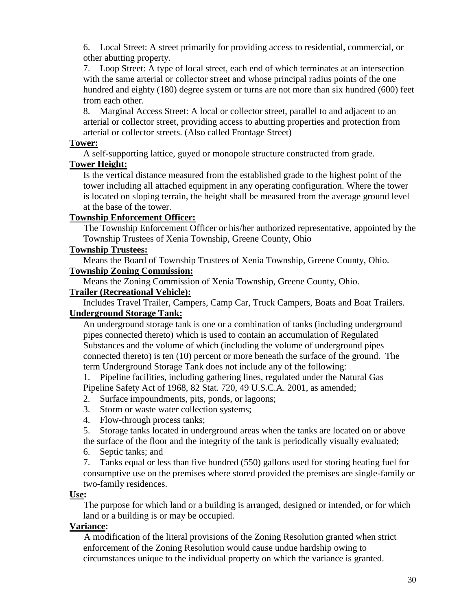6. Local Street: A street primarily for providing access to residential, commercial, or other abutting property.

7. Loop Street: A type of local street, each end of which terminates at an intersection with the same arterial or collector street and whose principal radius points of the one hundred and eighty (180) degree system or turns are not more than six hundred (600) feet from each other.

8. Marginal Access Street: A local or collector street, parallel to and adjacent to an arterial or collector street, providing access to abutting properties and protection from arterial or collector streets. (Also called Frontage Street)

#### **Tower:**

A self-supporting lattice, guyed or monopole structure constructed from grade.

# **Tower Height:**

Is the vertical distance measured from the established grade to the highest point of the tower including all attached equipment in any operating configuration. Where the tower is located on sloping terrain, the height shall be measured from the average ground level at the base of the tower.

## **Township Enforcement Officer:**

The Township Enforcement Officer or his/her authorized representative, appointed by the Township Trustees of Xenia Township, Greene County, Ohio

# **Township Trustees:**

Means the Board of Township Trustees of Xenia Township, Greene County, Ohio.

## **Township Zoning Commission:**

Means the Zoning Commission of Xenia Township, Greene County, Ohio.

#### **Trailer (Recreational Vehicle):**

Includes Travel Trailer, Campers, Camp Car, Truck Campers, Boats and Boat Trailers. **Underground Storage Tank:**

An underground storage tank is one or a combination of tanks (including underground pipes connected thereto) which is used to contain an accumulation of Regulated Substances and the volume of which (including the volume of underground pipes connected thereto) is ten (10) percent or more beneath the surface of the ground. The term Underground Storage Tank does not include any of the following:

1. Pipeline facilities, including gathering lines, regulated under the Natural Gas Pipeline Safety Act of 1968, 82 Stat. 720, 49 U.S.C.A. 2001, as amended;

- 2. Surface impoundments, pits, ponds, or lagoons;
- 3. Storm or waste water collection systems;
- 4. Flow-through process tanks;
- 5. Storage tanks located in underground areas when the tanks are located on or above

the surface of the floor and the integrity of the tank is periodically visually evaluated;

6. Septic tanks; and

7. Tanks equal or less than five hundred (550) gallons used for storing heating fuel for consumptive use on the premises where stored provided the premises are single-family or two-family residences.

#### **Use:**

The purpose for which land or a building is arranged, designed or intended, or for which land or a building is or may be occupied.

# **Variance:**

A modification of the literal provisions of the Zoning Resolution granted when strict enforcement of the Zoning Resolution would cause undue hardship owing to circumstances unique to the individual property on which the variance is granted.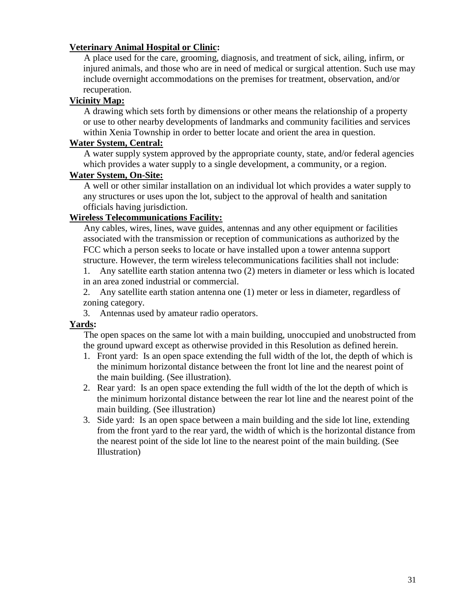## **Veterinary Animal Hospital or Clinic:**

A place used for the care, grooming, diagnosis, and treatment of sick, ailing, infirm, or injured animals, and those who are in need of medical or surgical attention. Such use may include overnight accommodations on the premises for treatment, observation, and/or recuperation.

#### **Vicinity Map:**

A drawing which sets forth by dimensions or other means the relationship of a property or use to other nearby developments of landmarks and community facilities and services within Xenia Township in order to better locate and orient the area in question.

#### **Water System, Central:**

A water supply system approved by the appropriate county, state, and/or federal agencies which provides a water supply to a single development, a community, or a region.

#### **Water System, On-Site:**

A well or other similar installation on an individual lot which provides a water supply to any structures or uses upon the lot, subject to the approval of health and sanitation officials having jurisdiction.

## **Wireless Telecommunications Facility:**

Any cables, wires, lines, wave guides, antennas and any other equipment or facilities associated with the transmission or reception of communications as authorized by the FCC which a person seeks to locate or have installed upon a tower antenna support structure. However, the term wireless telecommunications facilities shall not include:

1. Any satellite earth station antenna two (2) meters in diameter or less which is located in an area zoned industrial or commercial.

2. Any satellite earth station antenna one (1) meter or less in diameter, regardless of zoning category.

3. Antennas used by amateur radio operators.

#### **Yards:**

The open spaces on the same lot with a main building, unoccupied and unobstructed from the ground upward except as otherwise provided in this Resolution as defined herein.

- 1. Front yard: Is an open space extending the full width of the lot, the depth of which is the minimum horizontal distance between the front lot line and the nearest point of the main building. (See illustration).
- 2. Rear yard: Is an open space extending the full width of the lot the depth of which is the minimum horizontal distance between the rear lot line and the nearest point of the main building. (See illustration)
- 3. Side yard: Is an open space between a main building and the side lot line, extending from the front yard to the rear yard, the width of which is the horizontal distance from the nearest point of the side lot line to the nearest point of the main building. (See Illustration)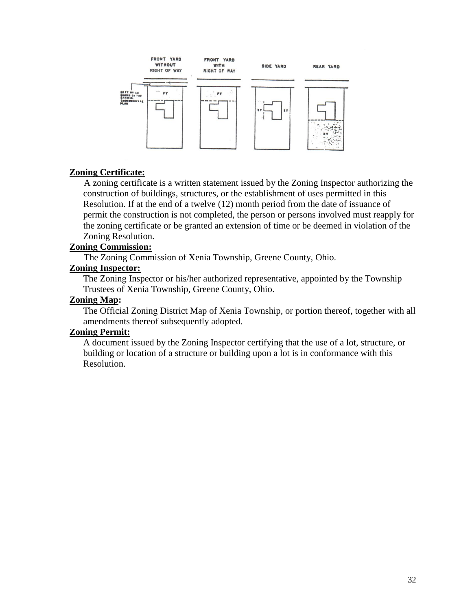

## **Zoning Certificate:**

A zoning certificate is a written statement issued by the Zoning Inspector authorizing the construction of buildings, structures, or the establishment of uses permitted in this Resolution. If at the end of a twelve (12) month period from the date of issuance of permit the construction is not completed, the person or persons involved must reapply for the zoning certificate or be granted an extension of time or be deemed in violation of the Zoning Resolution.

## **Zoning Commission:**

The Zoning Commission of Xenia Township, Greene County, Ohio.

# **Zoning Inspector:**

The Zoning Inspector or his/her authorized representative, appointed by the Township Trustees of Xenia Township, Greene County, Ohio.

#### **Zoning Map:**

The Official Zoning District Map of Xenia Township, or portion thereof, together with all amendments thereof subsequently adopted.

# **Zoning Permit:**

A document issued by the Zoning Inspector certifying that the use of a lot, structure, or building or location of a structure or building upon a lot is in conformance with this Resolution.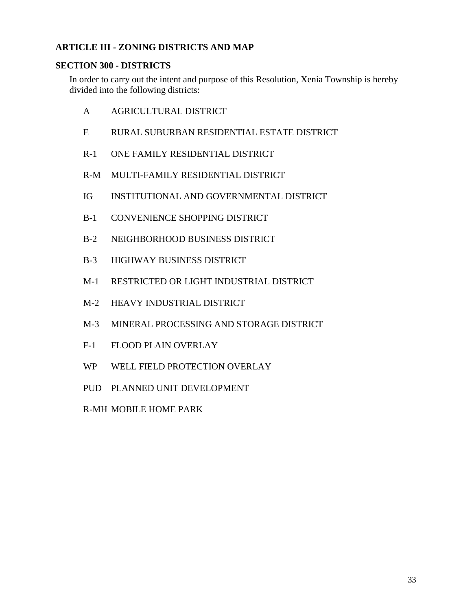# <span id="page-33-0"></span>**ARTICLE III - ZONING DISTRICTS AND MAP**

## <span id="page-33-1"></span>**SECTION 300 - DISTRICTS**

In order to carry out the intent and purpose of this Resolution, Xenia Township is hereby divided into the following districts:

- A AGRICULTURAL DISTRICT
- E RURAL SUBURBAN RESIDENTIAL ESTATE DISTRICT
- R-1 ONE FAMILY RESIDENTIAL DISTRICT
- R-M MULTI-FAMILY RESIDENTIAL DISTRICT
- IG INSTITUTIONAL AND GOVERNMENTAL DISTRICT
- B-1 CONVENIENCE SHOPPING DISTRICT
- B-2 NEIGHBORHOOD BUSINESS DISTRICT
- B-3 HIGHWAY BUSINESS DISTRICT
- M-1 RESTRICTED OR LIGHT INDUSTRIAL DISTRICT
- M-2 HEAVY INDUSTRIAL DISTRICT
- M-3 MINERAL PROCESSING AND STORAGE DISTRICT
- F-1 FLOOD PLAIN OVERLAY
- WP WELL FIELD PROTECTION OVERLAY
- PUD PLANNED UNIT DEVELOPMENT
- R-MH MOBILE HOME PARK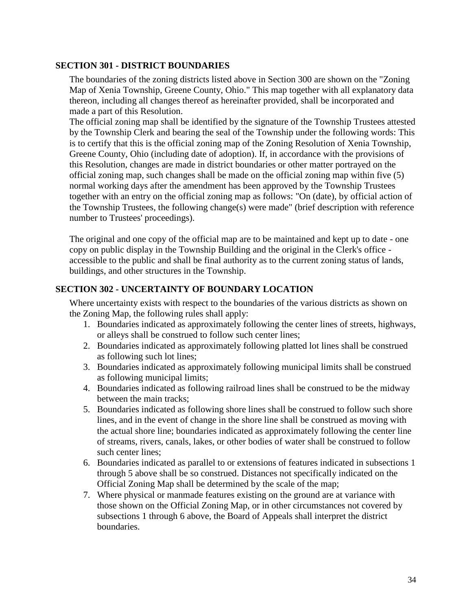#### <span id="page-34-0"></span>**SECTION 301 - DISTRICT BOUNDARIES**

The boundaries of the zoning districts listed above in Section 300 are shown on the "Zoning Map of Xenia Township, Greene County, Ohio." This map together with all explanatory data thereon, including all changes thereof as hereinafter provided, shall be incorporated and made a part of this Resolution.

The official zoning map shall be identified by the signature of the Township Trustees attested by the Township Clerk and bearing the seal of the Township under the following words: This is to certify that this is the official zoning map of the Zoning Resolution of Xenia Township, Greene County, Ohio (including date of adoption). If, in accordance with the provisions of this Resolution, changes are made in district boundaries or other matter portrayed on the official zoning map, such changes shall be made on the official zoning map within five (5) normal working days after the amendment has been approved by the Township Trustees together with an entry on the official zoning map as follows: "On (date), by official action of the Township Trustees, the following change(s) were made" (brief description with reference number to Trustees' proceedings).

The original and one copy of the official map are to be maintained and kept up to date - one copy on public display in the Township Building and the original in the Clerk's office accessible to the public and shall be final authority as to the current zoning status of lands, buildings, and other structures in the Township.

# <span id="page-34-1"></span>**SECTION 302 - UNCERTAINTY OF BOUNDARY LOCATION**

Where uncertainty exists with respect to the boundaries of the various districts as shown on the Zoning Map, the following rules shall apply:

- 1. Boundaries indicated as approximately following the center lines of streets, highways, or alleys shall be construed to follow such center lines;
- 2. Boundaries indicated as approximately following platted lot lines shall be construed as following such lot lines;
- 3. Boundaries indicated as approximately following municipal limits shall be construed as following municipal limits;
- 4. Boundaries indicated as following railroad lines shall be construed to be the midway between the main tracks;
- 5. Boundaries indicated as following shore lines shall be construed to follow such shore lines, and in the event of change in the shore line shall be construed as moving with the actual shore line; boundaries indicated as approximately following the center line of streams, rivers, canals, lakes, or other bodies of water shall be construed to follow such center lines;
- 6. Boundaries indicated as parallel to or extensions of features indicated in subsections 1 through 5 above shall be so construed. Distances not specifically indicated on the Official Zoning Map shall be determined by the scale of the map;
- 7. Where physical or manmade features existing on the ground are at variance with those shown on the Official Zoning Map, or in other circumstances not covered by subsections 1 through 6 above, the Board of Appeals shall interpret the district boundaries.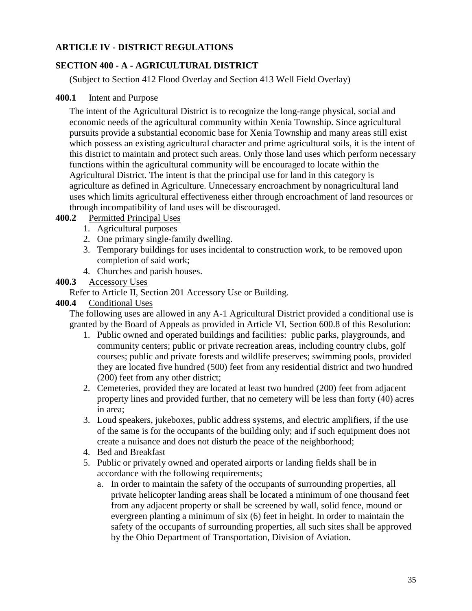# <span id="page-35-0"></span>**ARTICLE IV - DISTRICT REGULATIONS**

# <span id="page-35-1"></span>**SECTION 400 - A - AGRICULTURAL DISTRICT**

(Subject to Section 412 Flood Overlay and Section 413 Well Field Overlay)

## <span id="page-35-2"></span>**400.1** Intent and Purpose

The intent of the Agricultural District is to recognize the long-range physical, social and economic needs of the agricultural community within Xenia Township. Since agricultural pursuits provide a substantial economic base for Xenia Township and many areas still exist which possess an existing agricultural character and prime agricultural soils, it is the intent of this district to maintain and protect such areas. Only those land uses which perform necessary functions within the agricultural community will be encouraged to locate within the Agricultural District. The intent is that the principal use for land in this category is agriculture as defined in Agriculture. Unnecessary encroachment by nonagricultural land uses which limits agricultural effectiveness either through encroachment of land resources or through incompatibility of land uses will be discouraged.

# <span id="page-35-3"></span>**400.2** Permitted Principal Uses

- 1. Agricultural purposes
- 2. One primary single-family dwelling.
- 3. Temporary buildings for uses incidental to construction work, to be removed upon completion of said work;
- 4. Churches and parish houses.

## <span id="page-35-4"></span>**400.3** Accessory Uses

Refer to Article II, Section 201 Accessory Use or Building.

## <span id="page-35-5"></span>**400.4** Conditional Uses

The following uses are allowed in any A-1 Agricultural District provided a conditional use is granted by the Board of Appeals as provided in Article VI, Section 600.8 of this Resolution:

- 1. Public owned and operated buildings and facilities: public parks, playgrounds, and community centers; public or private recreation areas, including country clubs, golf courses; public and private forests and wildlife preserves; swimming pools, provided they are located five hundred (500) feet from any residential district and two hundred (200) feet from any other district;
- 2. Cemeteries, provided they are located at least two hundred (200) feet from adjacent property lines and provided further, that no cemetery will be less than forty (40) acres in area;
- 3. Loud speakers, jukeboxes, public address systems, and electric amplifiers, if the use of the same is for the occupants of the building only; and if such equipment does not create a nuisance and does not disturb the peace of the neighborhood;
- 4. Bed and Breakfast
- 5. Public or privately owned and operated airports or landing fields shall be in accordance with the following requirements;
	- a. In order to maintain the safety of the occupants of surrounding properties, all private helicopter landing areas shall be located a minimum of one thousand feet from any adjacent property or shall be screened by wall, solid fence, mound or evergreen planting a minimum of six (6) feet in height. In order to maintain the safety of the occupants of surrounding properties, all such sites shall be approved by the Ohio Department of Transportation, Division of Aviation.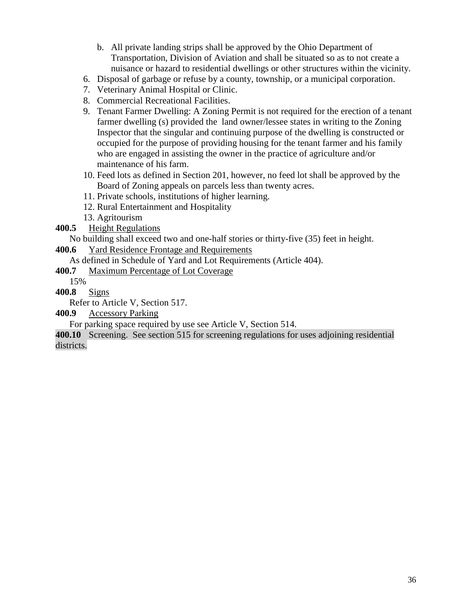- b. All private landing strips shall be approved by the Ohio Department of Transportation, Division of Aviation and shall be situated so as to not create a nuisance or hazard to residential dwellings or other structures within the vicinity.
- 6. Disposal of garbage or refuse by a county, township, or a municipal corporation.
- 7. Veterinary Animal Hospital or Clinic.
- 8. Commercial Recreational Facilities.
- 9. Tenant Farmer Dwelling: A Zoning Permit is not required for the erection of a tenant farmer dwelling (s) provided the land owner/lessee states in writing to the Zoning Inspector that the singular and continuing purpose of the dwelling is constructed or occupied for the purpose of providing housing for the tenant farmer and his family who are engaged in assisting the owner in the practice of agriculture and/or maintenance of his farm.
- 10. Feed lots as defined in Section 201, however, no feed lot shall be approved by the Board of Zoning appeals on parcels less than twenty acres.
- 11. Private schools, institutions of higher learning.
- 12. Rural Entertainment and Hospitality
- 13. Agritourism
- **400.5** Height Regulations

No building shall exceed two and one-half stories or thirty-five (35) feet in height.

**400.6** Yard Residence Frontage and Requirements

As defined in Schedule of Yard and Lot Requirements (Article 404).

**400.7** Maximum Percentage of Lot Coverage

15%

**400.8** Signs

Refer to Article V, Section 517.

**400.9** Accessory Parking

For parking space required by use see Article V, Section 514.

**400.10** Screening. See section 515 for screening regulations for uses adjoining residential districts.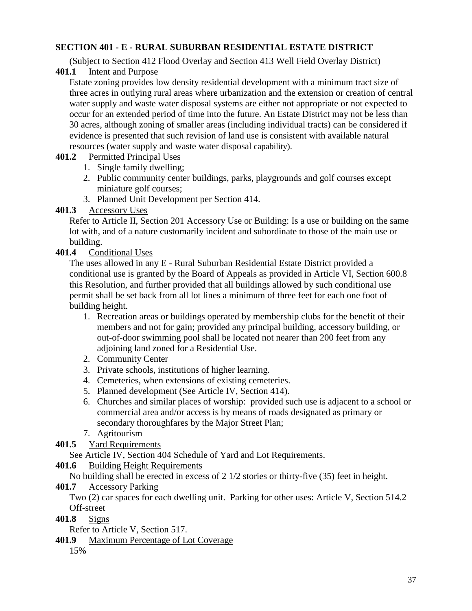## **SECTION 401 - E - RURAL SUBURBAN RESIDENTIAL ESTATE DISTRICT**

(Subject to Section 412 Flood Overlay and Section 413 Well Field Overlay District)

**401.1** Intent and Purpose

Estate zoning provides low density residential development with a minimum tract size of three acres in outlying rural areas where urbanization and the extension or creation of central water supply and waste water disposal systems are either not appropriate or not expected to occur for an extended period of time into the future. An Estate District may not be less than 30 acres, although zoning of smaller areas (including individual tracts) can be considered if evidence is presented that such revision of land use is consistent with available natural resources (water supply and waste water disposal capability).

## **401.2** Permitted Principal Uses

- 1. Single family dwelling;
- 2. Public community center buildings, parks, playgrounds and golf courses except miniature golf courses;
- 3. Planned Unit Development per Section 414.

## **401.3** Accessory Uses

Refer to Article II, Section 201 Accessory Use or Building: Is a use or building on the same lot with, and of a nature customarily incident and subordinate to those of the main use or building.

## **401.4** Conditional Uses

The uses allowed in any E - Rural Suburban Residential Estate District provided a conditional use is granted by the Board of Appeals as provided in Article VI, Section 600.8 this Resolution, and further provided that all buildings allowed by such conditional use permit shall be set back from all lot lines a minimum of three feet for each one foot of building height.

- 1. Recreation areas or buildings operated by membership clubs for the benefit of their members and not for gain; provided any principal building, accessory building, or out-of-door swimming pool shall be located not nearer than 200 feet from any adjoining land zoned for a Residential Use.
- 2. Community Center
- 3. Private schools, institutions of higher learning.
- 4. Cemeteries, when extensions of existing cemeteries.
- 5. Planned development (See Article IV, Section 414).
- 6. Churches and similar places of worship: provided such use is adjacent to a school or commercial area and/or access is by means of roads designated as primary or secondary thoroughfares by the Major Street Plan;
- 7. Agritourism
- **401.5** Yard Requirements

See Article IV, Section 404 Schedule of Yard and Lot Requirements.

## **401.6** Building Height Requirements

No building shall be erected in excess of 2 1/2 stories or thirty-five (35) feet in height.

## **401.7** Accessory Parking

Two (2) car spaces for each dwelling unit. Parking for other uses: Article V, Section 514.2 Off-street

**401.8** Signs

Refer to Article V, Section 517.

**401.9** Maximum Percentage of Lot Coverage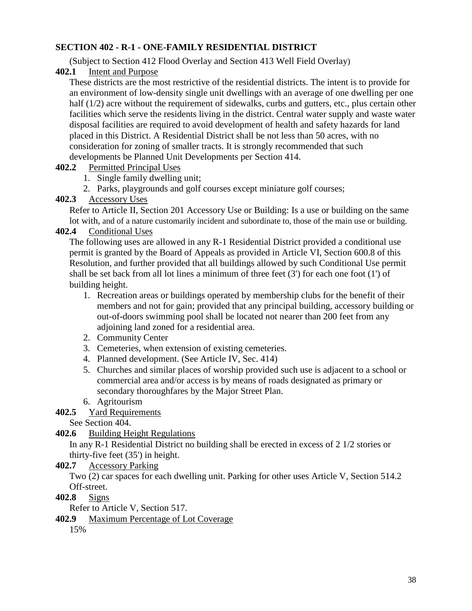## **SECTION 402 - R-1 - ONE-FAMILY RESIDENTIAL DISTRICT**

(Subject to Section 412 Flood Overlay and Section 413 Well Field Overlay)

**402.1** Intent and Purpose

These districts are the most restrictive of the residential districts. The intent is to provide for an environment of low-density single unit dwellings with an average of one dwelling per one half (1/2) acre without the requirement of sidewalks, curbs and gutters, etc., plus certain other facilities which serve the residents living in the district. Central water supply and waste water disposal facilities are required to avoid development of health and safety hazards for land placed in this District. A Residential District shall be not less than 50 acres, with no consideration for zoning of smaller tracts. It is strongly recommended that such developments be Planned Unit Developments per Section 414.

- **402.2** Permitted Principal Uses
	- 1. Single family dwelling unit;
	- 2. Parks, playgrounds and golf courses except miniature golf courses;

### **402.3** Accessory Uses

Refer to Article II, Section 201 Accessory Use or Building: Is a use or building on the same lot with, and of a nature customarily incident and subordinate to, those of the main use or building.

## **402.4** Conditional Uses

The following uses are allowed in any R-1 Residential District provided a conditional use permit is granted by the Board of Appeals as provided in Article VI, Section 600.8 of this Resolution, and further provided that all buildings allowed by such Conditional Use permit shall be set back from all lot lines a minimum of three feet  $(3')$  for each one foot  $(1')$  of building height.

- 1. Recreation areas or buildings operated by membership clubs for the benefit of their members and not for gain; provided that any principal building, accessory building or out-of-doors swimming pool shall be located not nearer than 200 feet from any adjoining land zoned for a residential area.
- 2. Community Center
- 3. Cemeteries, when extension of existing cemeteries.
- 4. Planned development. (See Article IV, Sec. 414)
- 5. Churches and similar places of worship provided such use is adjacent to a school or commercial area and/or access is by means of roads designated as primary or secondary thoroughfares by the Major Street Plan.
- 6. Agritourism

## **402.5** Yard Requirements

See Section 404.

```
402.6 Building Height Regulations
```
In any R-1 Residential District no building shall be erected in excess of 2 1/2 stories or thirty-five feet (35') in height.

**402.7** Accessory Parking

Two (2) car spaces for each dwelling unit. Parking for other uses Article V, Section 514.2 Off-street.

**402.8** Signs

Refer to Article V, Section 517.

### **402.9** Maximum Percentage of Lot Coverage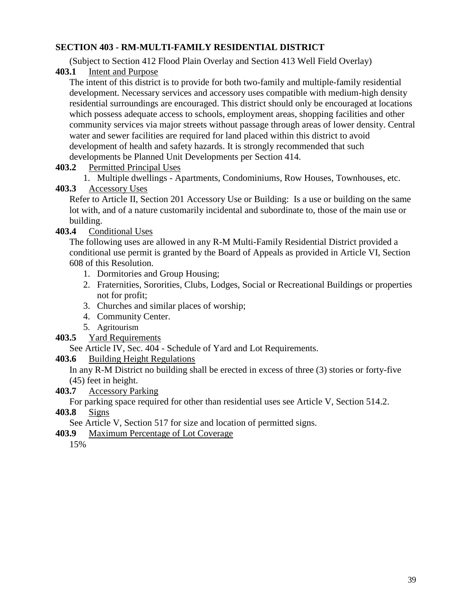### **SECTION 403 - RM-MULTI-FAMILY RESIDENTIAL DISTRICT**

(Subject to Section 412 Flood Plain Overlay and Section 413 Well Field Overlay)

**403.1** Intent and Purpose

The intent of this district is to provide for both two-family and multiple-family residential development. Necessary services and accessory uses compatible with medium-high density residential surroundings are encouraged. This district should only be encouraged at locations which possess adequate access to schools, employment areas, shopping facilities and other community services via major streets without passage through areas of lower density. Central water and sewer facilities are required for land placed within this district to avoid development of health and safety hazards. It is strongly recommended that such developments be Planned Unit Developments per Section 414.

**403.2** Permitted Principal Uses

1. Multiple dwellings - Apartments, Condominiums, Row Houses, Townhouses, etc.

## **403.3** Accessory Uses

Refer to Article II, Section 201 Accessory Use or Building: Is a use or building on the same lot with, and of a nature customarily incidental and subordinate to, those of the main use or building.

# **403.4** Conditional Uses

The following uses are allowed in any R-M Multi-Family Residential District provided a conditional use permit is granted by the Board of Appeals as provided in Article VI, Section 608 of this Resolution.

- 1. Dormitories and Group Housing;
- 2. Fraternities, Sororities, Clubs, Lodges, Social or Recreational Buildings or properties not for profit;
- 3. Churches and similar places of worship;
- 4. Community Center.
- 5. Agritourism
- **403.5** Yard Requirements

See Article IV, Sec. 404 - Schedule of Yard and Lot Requirements.

**403.6** Building Height Regulations

In any R-M District no building shall be erected in excess of three (3) stories or forty-five (45) feet in height.

**403.7** Accessory Parking

For parking space required for other than residential uses see Article V, Section 514.2.

**403.8** Signs

See Article V, Section 517 for size and location of permitted signs.

**403.9** Maximum Percentage of Lot Coverage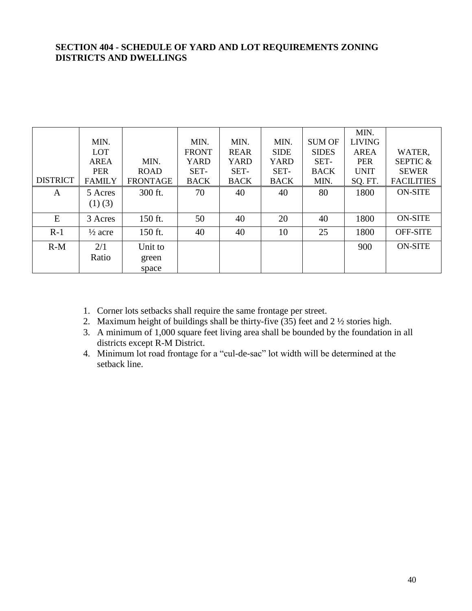#### **SECTION 404 - SCHEDULE OF YARD AND LOT REQUIREMENTS ZONING DISTRICTS AND DWELLINGS**

|                 |                    |                 |              |             |             |               | MIN.          |                     |
|-----------------|--------------------|-----------------|--------------|-------------|-------------|---------------|---------------|---------------------|
|                 | MIN.               |                 | MIN.         | MIN.        | MIN.        | <b>SUM OF</b> | <b>LIVING</b> |                     |
|                 | <b>LOT</b>         |                 | <b>FRONT</b> | <b>REAR</b> | <b>SIDE</b> | <b>SIDES</b>  | AREA          | WATER,              |
|                 | <b>AREA</b>        | MIN.            | <b>YARD</b>  | YARD        | YARD        | SET-          | <b>PER</b>    | <b>SEPTIC &amp;</b> |
|                 | <b>PER</b>         | <b>ROAD</b>     | SET-         | SET-        | SET-        | <b>BACK</b>   | <b>UNIT</b>   | <b>SEWER</b>        |
| <b>DISTRICT</b> | <b>FAMILY</b>      | <b>FRONTAGE</b> | <b>BACK</b>  | <b>BACK</b> | <b>BACK</b> | MIN.          | SQ. FT.       | <b>FACILITIES</b>   |
| A               | 5 Acres            | 300 ft.         | 70           | 40          | 40          | 80            | 1800          | <b>ON-SITE</b>      |
|                 | $(1)$ (3)          |                 |              |             |             |               |               |                     |
| E               | 3 Acres            | 150 ft.         | 50           | 40          | 20          | 40            | 1800          | <b>ON-SITE</b>      |
| $R-1$           | $\frac{1}{2}$ acre | 150 ft.         | 40           | 40          | 10          | 25            | 1800          | <b>OFF-SITE</b>     |
| $R-M$           | 2/1                | Unit to         |              |             |             |               | 900           | <b>ON-SITE</b>      |
|                 | Ratio              | green           |              |             |             |               |               |                     |
|                 |                    | space           |              |             |             |               |               |                     |

- 1. Corner lots setbacks shall require the same frontage per street.
- 2. Maximum height of buildings shall be thirty-five (35) feet and 2 ½ stories high.
- 3. A minimum of 1,000 square feet living area shall be bounded by the foundation in all districts except R-M District.
- 4. Minimum lot road frontage for a "cul-de-sac" lot width will be determined at the setback line.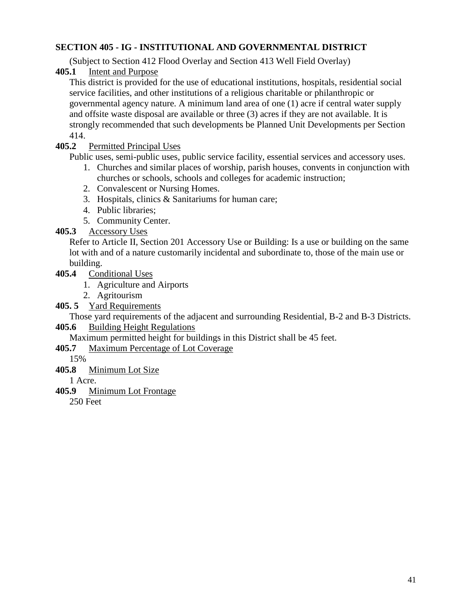## **SECTION 405 - IG - INSTITUTIONAL AND GOVERNMENTAL DISTRICT**

(Subject to Section 412 Flood Overlay and Section 413 Well Field Overlay)

**405.1** Intent and Purpose

This district is provided for the use of educational institutions, hospitals, residential social service facilities, and other institutions of a religious charitable or philanthropic or governmental agency nature. A minimum land area of one (1) acre if central water supply and offsite waste disposal are available or three (3) acres if they are not available. It is strongly recommended that such developments be Planned Unit Developments per Section 414.

## **405.2** Permitted Principal Uses

Public uses, semi-public uses, public service facility, essential services and accessory uses.

- 1. Churches and similar places of worship, parish houses, convents in conjunction with churches or schools, schools and colleges for academic instruction;
- 2. Convalescent or Nursing Homes.
- 3. Hospitals, clinics & Sanitariums for human care;
- 4. Public libraries;
- 5. Community Center.

## **405.3** Accessory Uses

Refer to Article II, Section 201 Accessory Use or Building: Is a use or building on the same lot with and of a nature customarily incidental and subordinate to, those of the main use or building.

- **405.4** Conditional Uses
	- 1. Agriculture and Airports
	- 2. Agritourism

## **405. 5** Yard Requirements

Those yard requirements of the adjacent and surrounding Residential, B-2 and B-3 Districts.

## **405.6** Building Height Regulations

Maximum permitted height for buildings in this District shall be 45 feet.

## **405.7** Maximum Percentage of Lot Coverage

15%

**405.8** Minimum Lot Size

1 Acre.

**405.9** Minimum Lot Frontage

250 Feet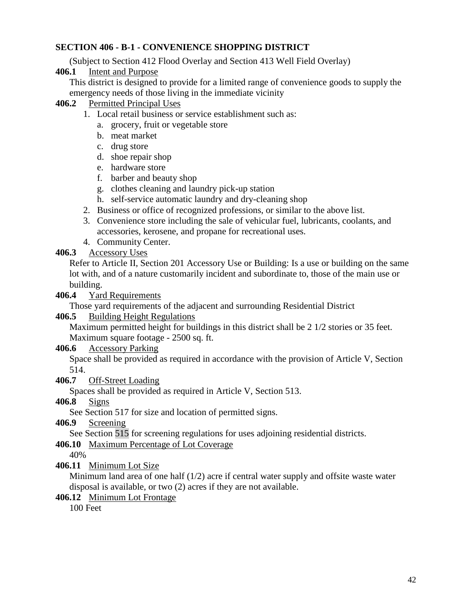## **SECTION 406 - B-1 - CONVENIENCE SHOPPING DISTRICT**

(Subject to Section 412 Flood Overlay and Section 413 Well Field Overlay)

**406.1** Intent and Purpose

This district is designed to provide for a limited range of convenience goods to supply the emergency needs of those living in the immediate vicinity

### **406.2** Permitted Principal Uses

- 1. Local retail business or service establishment such as:
	- a. grocery, fruit or vegetable store
	- b. meat market
	- c. drug store
	- d. shoe repair shop
	- e. hardware store
	- f. barber and beauty shop
	- g. clothes cleaning and laundry pick-up station
	- h. self-service automatic laundry and dry-cleaning shop
- 2. Business or office of recognized professions, or similar to the above list.
- 3. Convenience store including the sale of vehicular fuel, lubricants, coolants, and accessories, kerosene, and propane for recreational uses.
- 4. Community Center.

## **406.3** Accessory Uses

Refer to Article II, Section 201 Accessory Use or Building: Is a use or building on the same lot with, and of a nature customarily incident and subordinate to, those of the main use or building.

### **406.4** Yard Requirements

Those yard requirements of the adjacent and surrounding Residential District

### **406.5** Building Height Regulations

Maximum permitted height for buildings in this district shall be 2 1/2 stories or 35 feet. Maximum square footage - 2500 sq. ft.

### **406.6** Accessory Parking

Space shall be provided as required in accordance with the provision of Article V, Section 514.

### **406.7** Off-Street Loading

Spaces shall be provided as required in Article V, Section 513.

**406.8** Signs

See Section 517 for size and location of permitted signs.

**406.9** Screening

See Section 515 for screening regulations for uses adjoining residential districts.

**406.10** Maximum Percentage of Lot Coverage

40%

**406.11** Minimum Lot Size

Minimum land area of one half  $(1/2)$  acre if central water supply and offsite waste water disposal is available, or two (2) acres if they are not available.

**406.12** Minimum Lot Frontage

100 Feet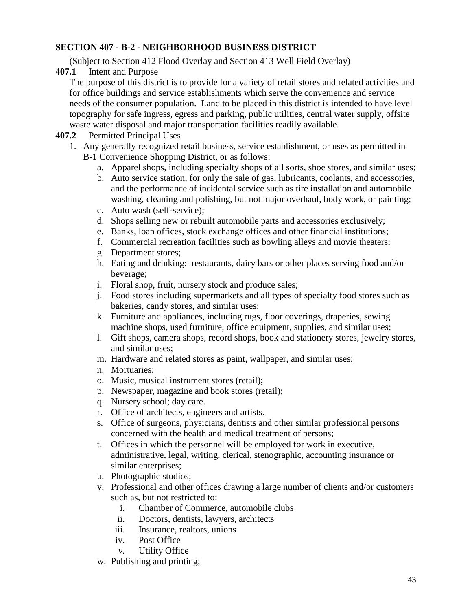## **SECTION 407 - B-2 - NEIGHBORHOOD BUSINESS DISTRICT**

(Subject to Section 412 Flood Overlay and Section 413 Well Field Overlay)

**407.1** Intent and Purpose

The purpose of this district is to provide for a variety of retail stores and related activities and for office buildings and service establishments which serve the convenience and service needs of the consumer population. Land to be placed in this district is intended to have level topography for safe ingress, egress and parking, public utilities, central water supply, offsite waste water disposal and major transportation facilities readily available.

### **407.2** Permitted Principal Uses

- 1. Any generally recognized retail business, service establishment, or uses as permitted in B-1 Convenience Shopping District, or as follows:
	- a. Apparel shops, including specialty shops of all sorts, shoe stores, and similar uses;
	- b. Auto service station, for only the sale of gas, lubricants, coolants, and accessories, and the performance of incidental service such as tire installation and automobile washing, cleaning and polishing, but not major overhaul, body work, or painting;
	- c. Auto wash (self-service);
	- d. Shops selling new or rebuilt automobile parts and accessories exclusively;
	- e. Banks, loan offices, stock exchange offices and other financial institutions;
	- f. Commercial recreation facilities such as bowling alleys and movie theaters;
	- g. Department stores;
	- h. Eating and drinking: restaurants, dairy bars or other places serving food and/or beverage;
	- i. Floral shop, fruit, nursery stock and produce sales;
	- j. Food stores including supermarkets and all types of specialty food stores such as bakeries, candy stores, and similar uses;
	- k. Furniture and appliances, including rugs, floor coverings, draperies, sewing machine shops, used furniture, office equipment, supplies, and similar uses;
	- l. Gift shops, camera shops, record shops, book and stationery stores, jewelry stores, and similar uses;
	- m. Hardware and related stores as paint, wallpaper, and similar uses;
	- n. Mortuaries;
	- o. Music, musical instrument stores (retail);
	- p. Newspaper, magazine and book stores (retail);
	- q. Nursery school; day care.
	- r. Office of architects, engineers and artists.
	- s. Office of surgeons, physicians, dentists and other similar professional persons concerned with the health and medical treatment of persons;
	- t. Offices in which the personnel will be employed for work in executive, administrative, legal, writing, clerical, stenographic, accounting insurance or similar enterprises;
	- u. Photographic studios;
	- v. Professional and other offices drawing a large number of clients and/or customers such as, but not restricted to:
		- i. Chamber of Commerce, automobile clubs
		- ii. Doctors, dentists, lawyers, architects
		- iii. Insurance, realtors, unions
		- iv. Post Office
		- *v.* Utility Office
	- w. Publishing and printing;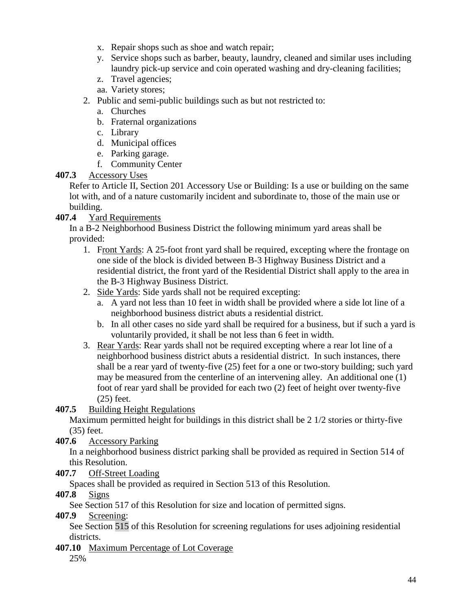- x. Repair shops such as shoe and watch repair;
- y. Service shops such as barber, beauty, laundry, cleaned and similar uses including laundry pick-up service and coin operated washing and dry-cleaning facilities;
- z. Travel agencies;
- aa. Variety stores;
- 2. Public and semi-public buildings such as but not restricted to:
	- a. Churches
	- b. Fraternal organizations
	- c. Library
	- d. Municipal offices
	- e. Parking garage.
	- f. Community Center

## **407.3** Accessory Uses

Refer to Article II, Section 201 Accessory Use or Building: Is a use or building on the same lot with, and of a nature customarily incident and subordinate to, those of the main use or building.

## **407.4** Yard Requirements

In a B-2 Neighborhood Business District the following minimum yard areas shall be provided:

- 1. Front Yards: A 25-foot front yard shall be required, excepting where the frontage on one side of the block is divided between B-3 Highway Business District and a residential district, the front yard of the Residential District shall apply to the area in the B-3 Highway Business District.
- 2. Side Yards: Side yards shall not be required excepting:
	- a. A yard not less than 10 feet in width shall be provided where a side lot line of a neighborhood business district abuts a residential district.
	- b. In all other cases no side yard shall be required for a business, but if such a yard is voluntarily provided, it shall be not less than 6 feet in width.
- 3. Rear Yards: Rear yards shall not be required excepting where a rear lot line of a neighborhood business district abuts a residential district. In such instances, there shall be a rear yard of twenty-five (25) feet for a one or two-story building; such yard may be measured from the centerline of an intervening alley. An additional one (1) foot of rear yard shall be provided for each two (2) feet of height over twenty-five (25) feet.
- **407.5** Building Height Regulations

Maximum permitted height for buildings in this district shall be 2 1/2 stories or thirty-five (35) feet.

**407.6** Accessory Parking

In a neighborhood business district parking shall be provided as required in Section 514 of this Resolution.

**407.7** Off-Street Loading

Spaces shall be provided as required in Section 513 of this Resolution.

**407.8** Signs

See Section 517 of this Resolution for size and location of permitted signs.

**407.9** Screening:

See Section 515 of this Resolution for screening regulations for uses adjoining residential districts.

**407.10** Maximum Percentage of Lot Coverage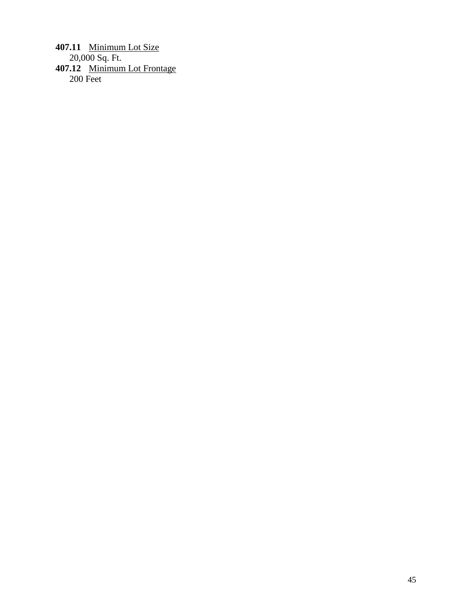**407.11** Minimum Lot Size 20,000 Sq. Ft. **407.12** Minimum Lot Frontage 200 Feet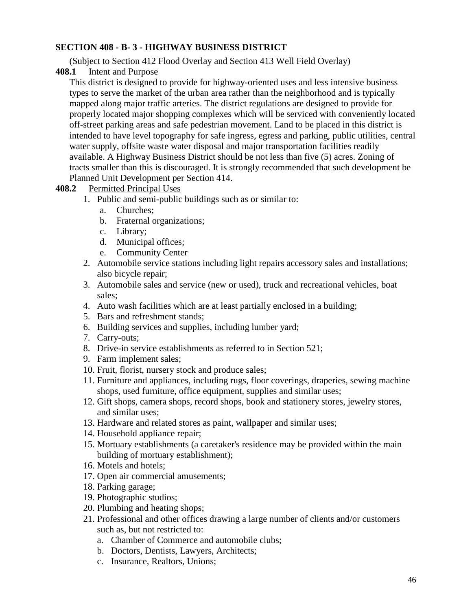### **SECTION 408 - B- 3 - HIGHWAY BUSINESS DISTRICT**

(Subject to Section 412 Flood Overlay and Section 413 Well Field Overlay)

**408.1** Intent and Purpose

This district is designed to provide for highway-oriented uses and less intensive business types to serve the market of the urban area rather than the neighborhood and is typically mapped along major traffic arteries. The district regulations are designed to provide for properly located major shopping complexes which will be serviced with conveniently located off-street parking areas and safe pedestrian movement. Land to be placed in this district is intended to have level topography for safe ingress, egress and parking, public utilities, central water supply, offsite waste water disposal and major transportation facilities readily available. A Highway Business District should be not less than five (5) acres. Zoning of tracts smaller than this is discouraged. It is strongly recommended that such development be Planned Unit Development per Section 414.

## **408.2** Permitted Principal Uses

- 1. Public and semi-public buildings such as or similar to:
	- a. Churches;
	- b. Fraternal organizations;
	- c. Library;
	- d. Municipal offices;
	- e. Community Center
- 2. Automobile service stations including light repairs accessory sales and installations; also bicycle repair;
- 3. Automobile sales and service (new or used), truck and recreational vehicles, boat sales;
- 4. Auto wash facilities which are at least partially enclosed in a building;
- 5. Bars and refreshment stands;
- 6. Building services and supplies, including lumber yard;
- 7. Carry-outs;
- 8. Drive-in service establishments as referred to in Section 521;
- 9. Farm implement sales;
- 10. Fruit, florist, nursery stock and produce sales;
- 11. Furniture and appliances, including rugs, floor coverings, draperies, sewing machine shops, used furniture, office equipment, supplies and similar uses;
- 12. Gift shops, camera shops, record shops, book and stationery stores, jewelry stores, and similar uses;
- 13. Hardware and related stores as paint, wallpaper and similar uses;
- 14. Household appliance repair;
- 15. Mortuary establishments (a caretaker's residence may be provided within the main building of mortuary establishment);
- 16. Motels and hotels;
- 17. Open air commercial amusements;
- 18. Parking garage;
- 19. Photographic studios;
- 20. Plumbing and heating shops;
- 21. Professional and other offices drawing a large number of clients and/or customers such as, but not restricted to:
	- a. Chamber of Commerce and automobile clubs;
	- b. Doctors, Dentists, Lawyers, Architects;
	- c. Insurance, Realtors, Unions;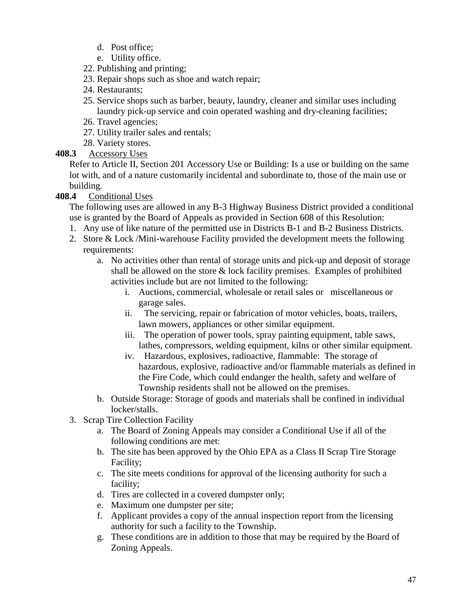- d. Post office;
- e. Utility office.
- 22. Publishing and printing;
- 23. Repair shops such as shoe and watch repair;
- 24. Restaurants;
- 25. Service shops such as barber, beauty, laundry, cleaner and similar uses including laundry pick-up service and coin operated washing and dry-cleaning facilities;
- 26. Travel agencies;
- 27. Utility trailer sales and rentals;
- 28. Variety stores.
- **408.3** Accessory Uses

Refer to Article II, Section 201 Accessory Use or Building: Is a use or building on the same lot with, and of a nature customarily incidental and subordinate to, those of the main use or building.

## **408.4** Conditional Uses

The following uses are allowed in any B-3 Highway Business District provided a conditional use is granted by the Board of Appeals as provided in Section 608 of this Resolution:

- 1. Any use of like nature of the permitted use in Districts B-1 and B-2 Business Districts.
- 2. Store & Lock /Mini-warehouse Facility provided the development meets the following requirements:
	- a. No activities other than rental of storage units and pick-up and deposit of storage shall be allowed on the store & lock facility premises. Examples of prohibited activities include but are not limited to the following:
		- i. Auctions, commercial, wholesale or retail sales or miscellaneous or garage sales.
		- ii. The servicing, repair or fabrication of motor vehicles, boats, trailers, lawn mowers, appliances or other similar equipment.
		- iii. The operation of power tools, spray painting equipment, table saws, lathes, compressors, welding equipment, kilns or other similar equipment.
		- iv. Hazardous, explosives, radioactive, flammable: The storage of hazardous, explosive, radioactive and/or flammable materials as defined in the Fire Code, which could endanger the health, safety and welfare of Township residents shall not be allowed on the premises.
	- b. Outside Storage: Storage of goods and materials shall be confined in individual locker/stalls.
- 3. Scrap Tire Collection Facility
	- a. The Board of Zoning Appeals may consider a Conditional Use if all of the following conditions are met:
	- b. The site has been approved by the Ohio EPA as a Class II Scrap Tire Storage Facility;
	- c. The site meets conditions for approval of the licensing authority for such a facility;
	- d. Tires are collected in a covered dumpster only;
	- e. Maximum one dumpster per site;
	- f. Applicant provides a copy of the annual inspection report from the licensing authority for such a facility to the Township.
	- g. These conditions are in addition to those that may be required by the Board of Zoning Appeals.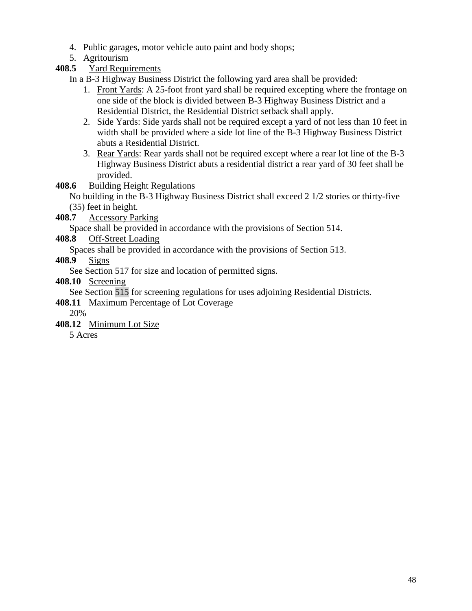- 4. Public garages, motor vehicle auto paint and body shops;
- 5. Agritourism

## **408.5** Yard Requirements

In a B-3 Highway Business District the following yard area shall be provided:

- 1. Front Yards: A 25-foot front yard shall be required excepting where the frontage on one side of the block is divided between B-3 Highway Business District and a Residential District, the Residential District setback shall apply.
- 2. Side Yards: Side yards shall not be required except a yard of not less than 10 feet in width shall be provided where a side lot line of the B-3 Highway Business District abuts a Residential District.
- 3. Rear Yards: Rear yards shall not be required except where a rear lot line of the B-3 Highway Business District abuts a residential district a rear yard of 30 feet shall be provided.

## **408.6** Building Height Regulations

No building in the B-3 Highway Business District shall exceed 2 1/2 stories or thirty-five (35) feet in height.

**408.7** Accessory Parking

Space shall be provided in accordance with the provisions of Section 514.

## **408.8** Off-Street Loading

Spaces shall be provided in accordance with the provisions of Section 513.

**408.9** Signs

See Section 517 for size and location of permitted signs.

**408.10** Screening

See Section 515 for screening regulations for uses adjoining Residential Districts.

- **408.11** Maximum Percentage of Lot Coverage
	- 20%
- **408.12** Minimum Lot Size

5 Acres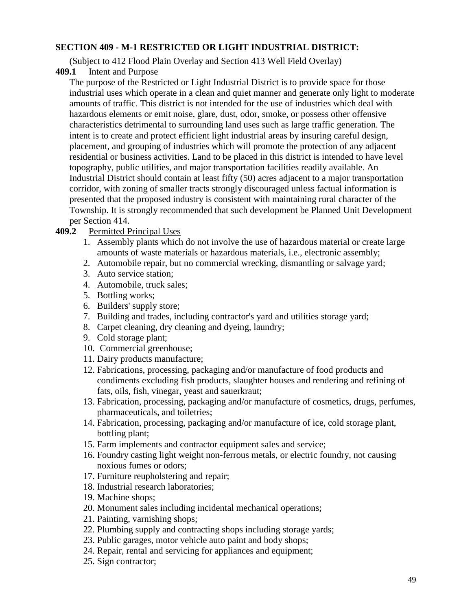#### **SECTION 409 - M-1 RESTRICTED OR LIGHT INDUSTRIAL DISTRICT:**

(Subject to 412 Flood Plain Overlay and Section 413 Well Field Overlay)

**409.1** Intent and Purpose

The purpose of the Restricted or Light Industrial District is to provide space for those industrial uses which operate in a clean and quiet manner and generate only light to moderate amounts of traffic. This district is not intended for the use of industries which deal with hazardous elements or emit noise, glare, dust, odor, smoke, or possess other offensive characteristics detrimental to surrounding land uses such as large traffic generation. The intent is to create and protect efficient light industrial areas by insuring careful design, placement, and grouping of industries which will promote the protection of any adjacent residential or business activities. Land to be placed in this district is intended to have level topography, public utilities, and major transportation facilities readily available. An Industrial District should contain at least fifty (50) acres adjacent to a major transportation corridor, with zoning of smaller tracts strongly discouraged unless factual information is presented that the proposed industry is consistent with maintaining rural character of the Township. It is strongly recommended that such development be Planned Unit Development per Section 414.

#### **409.2** Permitted Principal Uses

- 1. Assembly plants which do not involve the use of hazardous material or create large amounts of waste materials or hazardous materials, i.e., electronic assembly;
- 2. Automobile repair, but no commercial wrecking, dismantling or salvage yard;
- 3. Auto service station;
- 4. Automobile, truck sales;
- 5. Bottling works;
- 6. Builders' supply store;
- 7. Building and trades, including contractor's yard and utilities storage yard;
- 8. Carpet cleaning, dry cleaning and dyeing, laundry;
- 9. Cold storage plant;
- 10. Commercial greenhouse;
- 11. Dairy products manufacture;
- 12. Fabrications, processing, packaging and/or manufacture of food products and condiments excluding fish products, slaughter houses and rendering and refining of fats, oils, fish, vinegar, yeast and sauerkraut;
- 13. Fabrication, processing, packaging and/or manufacture of cosmetics, drugs, perfumes, pharmaceuticals, and toiletries;
- 14. Fabrication, processing, packaging and/or manufacture of ice, cold storage plant, bottling plant;
- 15. Farm implements and contractor equipment sales and service;
- 16. Foundry casting light weight non-ferrous metals, or electric foundry, not causing noxious fumes or odors;
- 17. Furniture reupholstering and repair;
- 18. Industrial research laboratories;
- 19. Machine shops;
- 20. Monument sales including incidental mechanical operations;
- 21. Painting, varnishing shops;
- 22. Plumbing supply and contracting shops including storage yards;
- 23. Public garages, motor vehicle auto paint and body shops;
- 24. Repair, rental and servicing for appliances and equipment;
- 25. Sign contractor;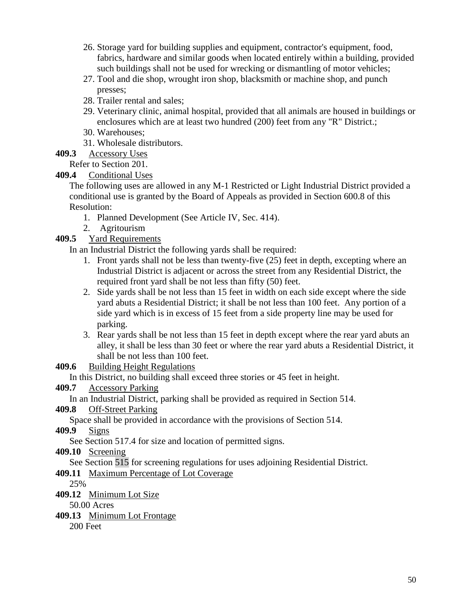- 26. Storage yard for building supplies and equipment, contractor's equipment, food, fabrics, hardware and similar goods when located entirely within a building, provided such buildings shall not be used for wrecking or dismantling of motor vehicles;
- 27. Tool and die shop, wrought iron shop, blacksmith or machine shop, and punch presses;
- 28. Trailer rental and sales;
- 29. Veterinary clinic, animal hospital, provided that all animals are housed in buildings or enclosures which are at least two hundred (200) feet from any "R" District.;
- 30. Warehouses;
- 31. Wholesale distributors.
- **409.3** Accessory Uses

## Refer to Section 201.

**409.4** Conditional Uses

The following uses are allowed in any M-1 Restricted or Light Industrial District provided a conditional use is granted by the Board of Appeals as provided in Section 600.8 of this Resolution:

- 1. Planned Development (See Article IV, Sec. 414).
- 2. Agritourism
- **409.5** Yard Requirements

In an Industrial District the following yards shall be required:

- 1. Front yards shall not be less than twenty-five (25) feet in depth, excepting where an Industrial District is adjacent or across the street from any Residential District, the required front yard shall be not less than fifty (50) feet.
- 2. Side yards shall be not less than 15 feet in width on each side except where the side yard abuts a Residential District; it shall be not less than 100 feet. Any portion of a side yard which is in excess of 15 feet from a side property line may be used for parking.
- 3. Rear yards shall be not less than 15 feet in depth except where the rear yard abuts an alley, it shall be less than 30 feet or where the rear yard abuts a Residential District, it shall be not less than 100 feet.

**409.6** Building Height Regulations

In this District, no building shall exceed three stories or 45 feet in height.

## **409.7** Accessory Parking

In an Industrial District, parking shall be provided as required in Section 514.

**409.8** Off-Street Parking

Space shall be provided in accordance with the provisions of Section 514.

```
409.9 Signs
```
See Section 517.4 for size and location of permitted signs.

**409.10** Screening

See Section 515 for screening regulations for uses adjoining Residential District.

**409.11** Maximum Percentage of Lot Coverage

25%

**409.12** Minimum Lot Size

50.00 Acres

**409.13** Minimum Lot Frontage

200 Feet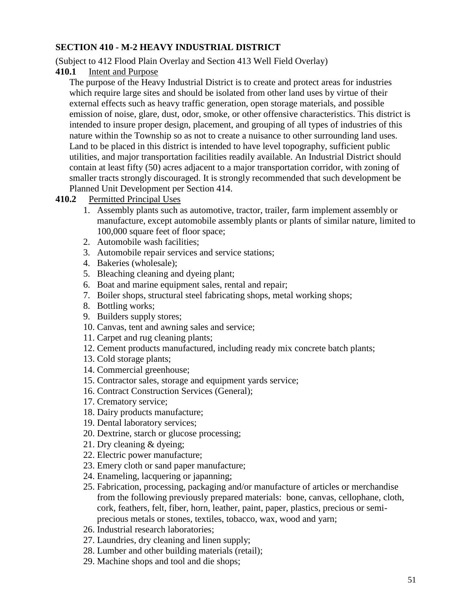### **SECTION 410 - M-2 HEAVY INDUSTRIAL DISTRICT**

(Subject to 412 Flood Plain Overlay and Section 413 Well Field Overlay)

**410.1** Intent and Purpose

The purpose of the Heavy Industrial District is to create and protect areas for industries which require large sites and should be isolated from other land uses by virtue of their external effects such as heavy traffic generation, open storage materials, and possible emission of noise, glare, dust, odor, smoke, or other offensive characteristics. This district is intended to insure proper design, placement, and grouping of all types of industries of this nature within the Township so as not to create a nuisance to other surrounding land uses. Land to be placed in this district is intended to have level topography, sufficient public utilities, and major transportation facilities readily available. An Industrial District should contain at least fifty (50) acres adjacent to a major transportation corridor, with zoning of smaller tracts strongly discouraged. It is strongly recommended that such development be Planned Unit Development per Section 414.

## **410.2** Permitted Principal Uses

- 1. Assembly plants such as automotive, tractor, trailer, farm implement assembly or manufacture, except automobile assembly plants or plants of similar nature, limited to 100,000 square feet of floor space;
- 2. Automobile wash facilities;
- 3. Automobile repair services and service stations;
- 4. Bakeries (wholesale);
- 5. Bleaching cleaning and dyeing plant;
- 6. Boat and marine equipment sales, rental and repair;
- 7. Boiler shops, structural steel fabricating shops, metal working shops;
- 8. Bottling works;
- 9. Builders supply stores;
- 10. Canvas, tent and awning sales and service;
- 11. Carpet and rug cleaning plants;
- 12. Cement products manufactured, including ready mix concrete batch plants;
- 13. Cold storage plants;
- 14. Commercial greenhouse;
- 15. Contractor sales, storage and equipment yards service;
- 16. Contract Construction Services (General);
- 17. Crematory service;
- 18. Dairy products manufacture;
- 19. Dental laboratory services;
- 20. Dextrine, starch or glucose processing;
- 21. Dry cleaning & dyeing;
- 22. Electric power manufacture;
- 23. Emery cloth or sand paper manufacture;
- 24. Enameling, lacquering or japanning;
- 25. Fabrication, processing, packaging and/or manufacture of articles or merchandise from the following previously prepared materials: bone, canvas, cellophane, cloth, cork, feathers, felt, fiber, horn, leather, paint, paper, plastics, precious or semiprecious metals or stones, textiles, tobacco, wax, wood and yarn;
- 26. Industrial research laboratories;
- 27. Laundries, dry cleaning and linen supply;
- 28. Lumber and other building materials (retail);
- 29. Machine shops and tool and die shops;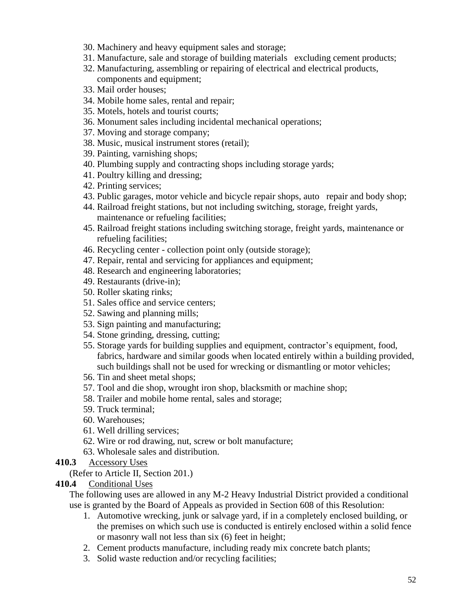- 30. Machinery and heavy equipment sales and storage;
- 31. Manufacture, sale and storage of building materials excluding cement products;
- 32. Manufacturing, assembling or repairing of electrical and electrical products, components and equipment;
- 33. Mail order houses;
- 34. Mobile home sales, rental and repair;
- 35. Motels, hotels and tourist courts;
- 36. Monument sales including incidental mechanical operations;
- 37. Moving and storage company;
- 38. Music, musical instrument stores (retail);
- 39. Painting, varnishing shops;
- 40. Plumbing supply and contracting shops including storage yards;
- 41. Poultry killing and dressing;
- 42. Printing services;
- 43. Public garages, motor vehicle and bicycle repair shops, auto repair and body shop;
- 44. Railroad freight stations, but not including switching, storage, freight yards, maintenance or refueling facilities;
- 45. Railroad freight stations including switching storage, freight yards, maintenance or refueling facilities;
- 46. Recycling center collection point only (outside storage);
- 47. Repair, rental and servicing for appliances and equipment;
- 48. Research and engineering laboratories;
- 49. Restaurants (drive-in);
- 50. Roller skating rinks;
- 51. Sales office and service centers;
- 52. Sawing and planning mills;
- 53. Sign painting and manufacturing;
- 54. Stone grinding, dressing, cutting;
- 55. Storage yards for building supplies and equipment, contractor's equipment, food, fabrics, hardware and similar goods when located entirely within a building provided, such buildings shall not be used for wrecking or dismantling or motor vehicles;
- 56. Tin and sheet metal shops;
- 57. Tool and die shop, wrought iron shop, blacksmith or machine shop;
- 58. Trailer and mobile home rental, sales and storage;
- 59. Truck terminal;
- 60. Warehouses;
- 61. Well drilling services;
- 62. Wire or rod drawing, nut, screw or bolt manufacture;
- 63. Wholesale sales and distribution.
- **410.3** Accessory Uses

(Refer to Article II, Section 201.)

**410.4** Conditional Uses

The following uses are allowed in any M-2 Heavy Industrial District provided a conditional use is granted by the Board of Appeals as provided in Section 608 of this Resolution:

- 1. Automotive wrecking, junk or salvage yard, if in a completely enclosed building, or the premises on which such use is conducted is entirely enclosed within a solid fence or masonry wall not less than six (6) feet in height;
- 2. Cement products manufacture, including ready mix concrete batch plants;
- 3. Solid waste reduction and/or recycling facilities;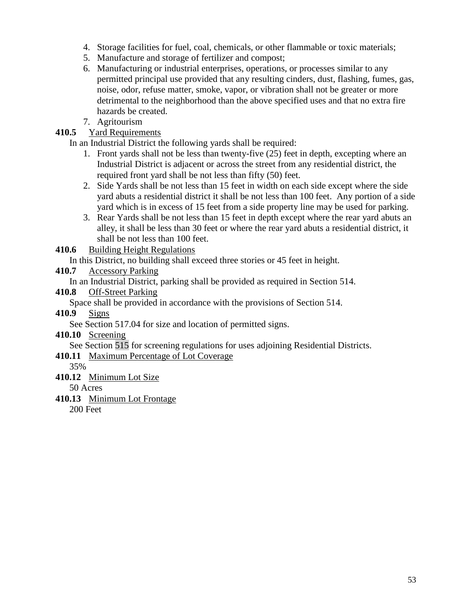- 4. Storage facilities for fuel, coal, chemicals, or other flammable or toxic materials;
- 5. Manufacture and storage of fertilizer and compost;
- 6. Manufacturing or industrial enterprises, operations, or processes similar to any permitted principal use provided that any resulting cinders, dust, flashing, fumes, gas, noise, odor, refuse matter, smoke, vapor, or vibration shall not be greater or more detrimental to the neighborhood than the above specified uses and that no extra fire hazards be created.
- 7. Agritourism

## **410.5** Yard Requirements

In an Industrial District the following yards shall be required:

- 1. Front yards shall not be less than twenty-five (25) feet in depth, excepting where an Industrial District is adjacent or across the street from any residential district, the required front yard shall be not less than fifty (50) feet.
- 2. Side Yards shall be not less than 15 feet in width on each side except where the side yard abuts a residential district it shall be not less than 100 feet. Any portion of a side yard which is in excess of 15 feet from a side property line may be used for parking.
- 3. Rear Yards shall be not less than 15 feet in depth except where the rear yard abuts an alley, it shall be less than 30 feet or where the rear yard abuts a residential district, it shall be not less than 100 feet.

**410.6** Building Height Regulations

In this District, no building shall exceed three stories or 45 feet in height.

### **410.7** Accessory Parking

In an Industrial District, parking shall be provided as required in Section 514.

### **410.8** Off-Street Parking

Space shall be provided in accordance with the provisions of Section 514.

**410.9** Signs

See Section 517.04 for size and location of permitted signs.

**410.10** Screening

See Section 515 for screening regulations for uses adjoining Residential Districts.

**410.11** Maximum Percentage of Lot Coverage

35%

**410.12** Minimum Lot Size

50 Acres

**410.13** Minimum Lot Frontage

200 Feet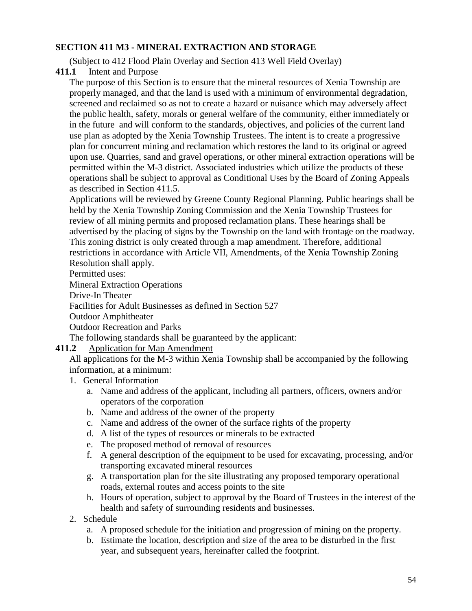## **SECTION 411 M3 - MINERAL EXTRACTION AND STORAGE**

(Subject to 412 Flood Plain Overlay and Section 413 Well Field Overlay)

**411.1** Intent and Purpose

The purpose of this Section is to ensure that the mineral resources of Xenia Township are properly managed, and that the land is used with a minimum of environmental degradation, screened and reclaimed so as not to create a hazard or nuisance which may adversely affect the public health, safety, morals or general welfare of the community, either immediately or in the future and will conform to the standards, objectives, and policies of the current land use plan as adopted by the Xenia Township Trustees. The intent is to create a progressive plan for concurrent mining and reclamation which restores the land to its original or agreed upon use. Quarries, sand and gravel operations, or other mineral extraction operations will be permitted within the M-3 district. Associated industries which utilize the products of these operations shall be subject to approval as Conditional Uses by the Board of Zoning Appeals as described in Section 411.5.

Applications will be reviewed by Greene County Regional Planning. Public hearings shall be held by the Xenia Township Zoning Commission and the Xenia Township Trustees for review of all mining permits and proposed reclamation plans. These hearings shall be advertised by the placing of signs by the Township on the land with frontage on the roadway. This zoning district is only created through a map amendment. Therefore, additional restrictions in accordance with Article VII, Amendments, of the Xenia Township Zoning Resolution shall apply.

Permitted uses:

Mineral Extraction Operations

Drive-In Theater

Facilities for Adult Businesses as defined in Section 527

Outdoor Amphitheater

Outdoor Recreation and Parks

The following standards shall be guaranteed by the applicant:

# **411.2** Application for Map Amendment

All applications for the M-3 within Xenia Township shall be accompanied by the following information, at a minimum:

- 1. General Information
	- a. Name and address of the applicant, including all partners, officers, owners and/or operators of the corporation
	- b. Name and address of the owner of the property
	- c. Name and address of the owner of the surface rights of the property
	- d. A list of the types of resources or minerals to be extracted
	- e. The proposed method of removal of resources
	- f. A general description of the equipment to be used for excavating, processing, and/or transporting excavated mineral resources
	- g. A transportation plan for the site illustrating any proposed temporary operational roads, external routes and access points to the site
	- h. Hours of operation, subject to approval by the Board of Trustees in the interest of the health and safety of surrounding residents and businesses.
- 2. Schedule
	- a. A proposed schedule for the initiation and progression of mining on the property.
	- b. Estimate the location, description and size of the area to be disturbed in the first year, and subsequent years, hereinafter called the footprint.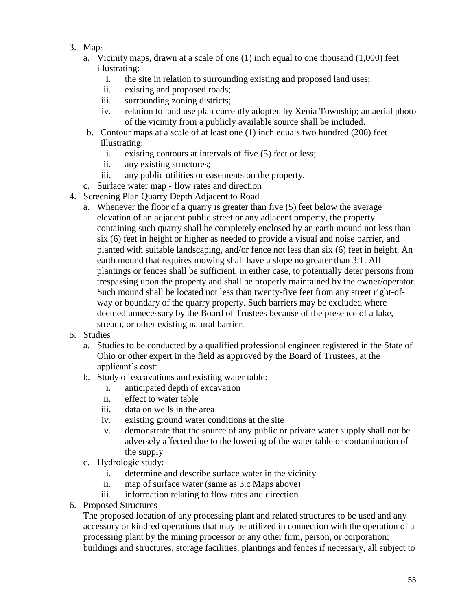- 3. Maps
	- a. Vicinity maps, drawn at a scale of one (1) inch equal to one thousand (1,000) feet illustrating:
		- i. the site in relation to surrounding existing and proposed land uses;
		- ii. existing and proposed roads;
		- iii. surrounding zoning districts;
		- iv. relation to land use plan currently adopted by Xenia Township; an aerial photo of the vicinity from a publicly available source shall be included.
	- b. Contour maps at a scale of at least one (1) inch equals two hundred (200) feet illustrating:
		- i. existing contours at intervals of five (5) feet or less;
		- ii. any existing structures;
		- iii. any public utilities or easements on the property.
	- c. Surface water map flow rates and direction
- 4. Screening Plan Quarry Depth Adjacent to Road
	- a. Whenever the floor of a quarry is greater than five (5) feet below the average elevation of an adjacent public street or any adjacent property, the property containing such quarry shall be completely enclosed by an earth mound not less than six (6) feet in height or higher as needed to provide a visual and noise barrier, and planted with suitable landscaping, and/or fence not less than six (6) feet in height. An earth mound that requires mowing shall have a slope no greater than 3:1. All plantings or fences shall be sufficient, in either case, to potentially deter persons from trespassing upon the property and shall be properly maintained by the owner/operator. Such mound shall be located not less than twenty-five feet from any street right-ofway or boundary of the quarry property. Such barriers may be excluded where deemed unnecessary by the Board of Trustees because of the presence of a lake, stream, or other existing natural barrier.
- 5. Studies
	- a. Studies to be conducted by a qualified professional engineer registered in the State of Ohio or other expert in the field as approved by the Board of Trustees, at the applicant's cost:
	- b. Study of excavations and existing water table:
		- i. anticipated depth of excavation
		- ii. effect to water table
		- iii. data on wells in the area
		- iv. existing ground water conditions at the site
		- v. demonstrate that the source of any public or private water supply shall not be adversely affected due to the lowering of the water table or contamination of the supply
	- c. Hydrologic study:
		- i. determine and describe surface water in the vicinity
		- ii. map of surface water (same as 3.c Maps above)
		- iii. information relating to flow rates and direction
- 6. Proposed Structures

The proposed location of any processing plant and related structures to be used and any accessory or kindred operations that may be utilized in connection with the operation of a processing plant by the mining processor or any other firm, person, or corporation; buildings and structures, storage facilities, plantings and fences if necessary, all subject to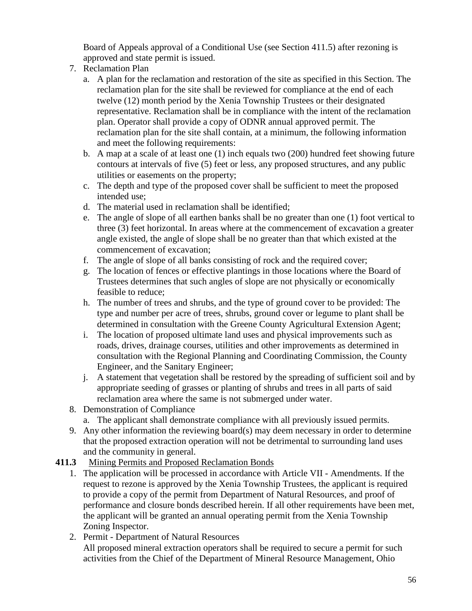Board of Appeals approval of a Conditional Use (see Section 411.5) after rezoning is approved and state permit is issued.

- 7. Reclamation Plan
	- a. A plan for the reclamation and restoration of the site as specified in this Section. The reclamation plan for the site shall be reviewed for compliance at the end of each twelve (12) month period by the Xenia Township Trustees or their designated representative. Reclamation shall be in compliance with the intent of the reclamation plan. Operator shall provide a copy of ODNR annual approved permit. The reclamation plan for the site shall contain, at a minimum, the following information and meet the following requirements:
	- b. A map at a scale of at least one (1) inch equals two (200) hundred feet showing future contours at intervals of five (5) feet or less, any proposed structures, and any public utilities or easements on the property;
	- c. The depth and type of the proposed cover shall be sufficient to meet the proposed intended use;
	- d. The material used in reclamation shall be identified;
	- e. The angle of slope of all earthen banks shall be no greater than one (1) foot vertical to three (3) feet horizontal. In areas where at the commencement of excavation a greater angle existed, the angle of slope shall be no greater than that which existed at the commencement of excavation;
	- f. The angle of slope of all banks consisting of rock and the required cover;
	- g. The location of fences or effective plantings in those locations where the Board of Trustees determines that such angles of slope are not physically or economically feasible to reduce;
	- h. The number of trees and shrubs, and the type of ground cover to be provided: The type and number per acre of trees, shrubs, ground cover or legume to plant shall be determined in consultation with the Greene County Agricultural Extension Agent;
	- i. The location of proposed ultimate land uses and physical improvements such as roads, drives, drainage courses, utilities and other improvements as determined in consultation with the Regional Planning and Coordinating Commission, the County Engineer, and the Sanitary Engineer;
	- j. A statement that vegetation shall be restored by the spreading of sufficient soil and by appropriate seeding of grasses or planting of shrubs and trees in all parts of said reclamation area where the same is not submerged under water.
- 8. Demonstration of Compliance
	- a. The applicant shall demonstrate compliance with all previously issued permits.
- 9. Any other information the reviewing board(s) may deem necessary in order to determine that the proposed extraction operation will not be detrimental to surrounding land uses and the community in general.

## **411.3** Mining Permits and Proposed Reclamation Bonds

- 1. The application will be processed in accordance with Article VII Amendments. If the request to rezone is approved by the Xenia Township Trustees, the applicant is required to provide a copy of the permit from Department of Natural Resources, and proof of performance and closure bonds described herein. If all other requirements have been met, the applicant will be granted an annual operating permit from the Xenia Township Zoning Inspector.
- 2. Permit Department of Natural Resources All proposed mineral extraction operators shall be required to secure a permit for such activities from the Chief of the Department of Mineral Resource Management, Ohio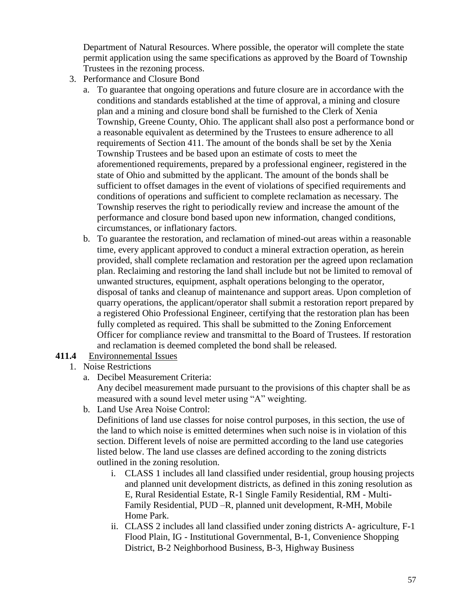Department of Natural Resources. Where possible, the operator will complete the state permit application using the same specifications as approved by the Board of Township Trustees in the rezoning process.

- 3. Performance and Closure Bond
	- a. To guarantee that ongoing operations and future closure are in accordance with the conditions and standards established at the time of approval, a mining and closure plan and a mining and closure bond shall be furnished to the Clerk of Xenia Township, Greene County, Ohio. The applicant shall also post a performance bond or a reasonable equivalent as determined by the Trustees to ensure adherence to all requirements of Section 411. The amount of the bonds shall be set by the Xenia Township Trustees and be based upon an estimate of costs to meet the aforementioned requirements, prepared by a professional engineer, registered in the state of Ohio and submitted by the applicant. The amount of the bonds shall be sufficient to offset damages in the event of violations of specified requirements and conditions of operations and sufficient to complete reclamation as necessary. The Township reserves the right to periodically review and increase the amount of the performance and closure bond based upon new information, changed conditions, circumstances, or inflationary factors.
	- b. To guarantee the restoration, and reclamation of mined-out areas within a reasonable time, every applicant approved to conduct a mineral extraction operation, as herein provided, shall complete reclamation and restoration per the agreed upon reclamation plan. Reclaiming and restoring the land shall include but not be limited to removal of unwanted structures, equipment, asphalt operations belonging to the operator, disposal of tanks and cleanup of maintenance and support areas. Upon completion of quarry operations, the applicant/operator shall submit a restoration report prepared by a registered Ohio Professional Engineer, certifying that the restoration plan has been fully completed as required. This shall be submitted to the Zoning Enforcement Officer for compliance review and transmittal to the Board of Trustees. If restoration and reclamation is deemed completed the bond shall be released.

### **411.4** Environnemental Issues

### 1. Noise Restrictions

a. Decibel Measurement Criteria:

Any decibel measurement made pursuant to the provisions of this chapter shall be as measured with a sound level meter using "A" weighting.

b. Land Use Area Noise Control:

Definitions of land use classes for noise control purposes, in this section, the use of the land to which noise is emitted determines when such noise is in violation of this section. Different levels of noise are permitted according to the land use categories listed below. The land use classes are defined according to the zoning districts outlined in the zoning resolution.

- i. CLASS 1 includes all land classified under residential, group housing projects and planned unit development districts, as defined in this zoning resolution as E, Rural Residential Estate, R-1 Single Family Residential, RM - Multi-Family Residential, PUD –R, planned unit development, R-MH, Mobile Home Park.
- ii. CLASS 2 includes all land classified under zoning districts A- agriculture, F-1 Flood Plain, IG - Institutional Governmental, B-1, Convenience Shopping District, B-2 Neighborhood Business, B-3, Highway Business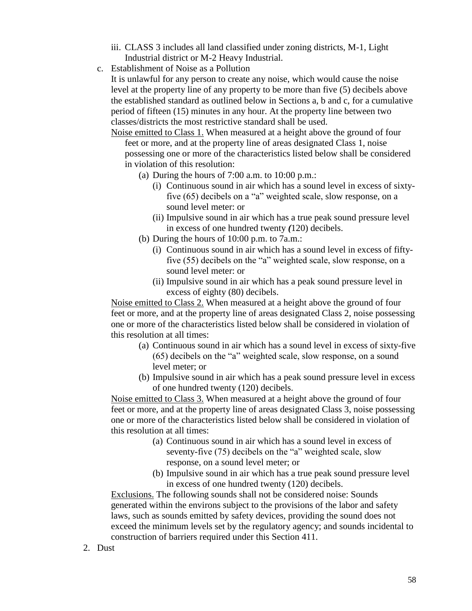- iii. CLASS 3 includes all land classified under zoning districts, M-1, Light Industrial district or M-2 Heavy Industrial.
- c. Establishment of Noise as a Pollution

It is unlawful for any person to create any noise, which would cause the noise level at the property line of any property to be more than five (5) decibels above the established standard as outlined below in Sections a, b and c, for a cumulative period of fifteen (15) minutes in any hour. At the property line between two classes/districts the most restrictive standard shall be used.

Noise emitted to Class 1. When measured at a height above the ground of four feet or more, and at the property line of areas designated Class 1, noise possessing one or more of the characteristics listed below shall be considered in violation of this resolution:

- (a) During the hours of  $7:00$  a.m. to  $10:00$  p.m.:
	- (i) Continuous sound in air which has a sound level in excess of sixtyfive (65) decibels on a "a" weighted scale, slow response, on a sound level meter: or
	- (ii) Impulsive sound in air which has a true peak sound pressure level in excess of one hundred twenty *(*120) decibels.
- (b) During the hours of 10:00 p.m. to 7a.m.:
	- (i) Continuous sound in air which has a sound level in excess of fiftyfive (55) decibels on the "a" weighted scale, slow response, on a sound level meter: or
	- (ii) Impulsive sound in air which has a peak sound pressure level in excess of eighty (80) decibels.

Noise emitted to Class 2. When measured at a height above the ground of four feet or more, and at the property line of areas designated Class 2, noise possessing one or more of the characteristics listed below shall be considered in violation of this resolution at all times:

- (a) Continuous sound in air which has a sound level in excess of sixty-five (65) decibels on the "a" weighted scale, slow response, on a sound level meter; or
- (b) Impulsive sound in air which has a peak sound pressure level in excess of one hundred twenty (120) decibels.

Noise emitted to Class 3. When measured at a height above the ground of four feet or more, and at the property line of areas designated Class 3, noise possessing one or more of the characteristics listed below shall be considered in violation of this resolution at all times:

- (a) Continuous sound in air which has a sound level in excess of seventy-five (75) decibels on the "a" weighted scale, slow response, on a sound level meter; or
- (b) Impulsive sound in air which has a true peak sound pressure level in excess of one hundred twenty (120) decibels.

Exclusions. The following sounds shall not be considered noise: Sounds generated within the environs subject to the provisions of the labor and safety laws, such as sounds emitted by safety devices, providing the sound does not exceed the minimum levels set by the regulatory agency; and sounds incidental to construction of barriers required under this Section 411.

2. Dust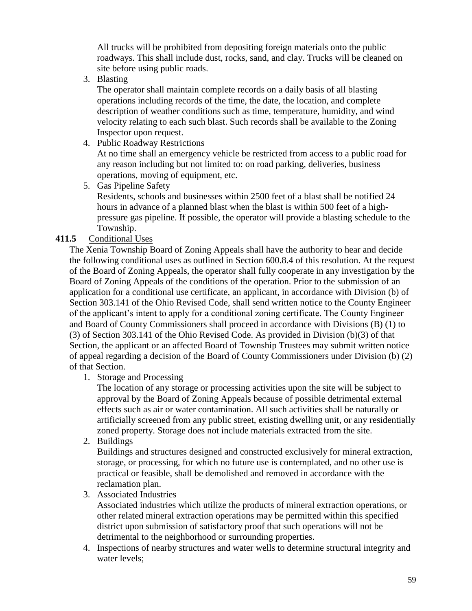All trucks will be prohibited from depositing foreign materials onto the public roadways. This shall include dust, rocks, sand, and clay. Trucks will be cleaned on site before using public roads.

3. Blasting

The operator shall maintain complete records on a daily basis of all blasting operations including records of the time, the date, the location, and complete description of weather conditions such as time, temperature, humidity, and wind velocity relating to each such blast. Such records shall be available to the Zoning Inspector upon request.

4. Public Roadway Restrictions

At no time shall an emergency vehicle be restricted from access to a public road for any reason including but not limited to: on road parking, deliveries, business operations, moving of equipment, etc.

5. Gas Pipeline Safety

Residents, schools and businesses within 2500 feet of a blast shall be notified 24 hours in advance of a planned blast when the blast is within 500 feet of a highpressure gas pipeline. If possible, the operator will provide a blasting schedule to the Township.

## **411.5** Conditional Uses

The Xenia Township Board of Zoning Appeals shall have the authority to hear and decide the following conditional uses as outlined in Section 600.8.4 of this resolution. At the request of the Board of Zoning Appeals, the operator shall fully cooperate in any investigation by the Board of Zoning Appeals of the conditions of the operation. Prior to the submission of an application for a conditional use certificate, an applicant, in accordance with Division (b) of Section 303.141 of the Ohio Revised Code, shall send written notice to the County Engineer of the applicant's intent to apply for a conditional zoning certificate. The County Engineer and Board of County Commissioners shall proceed in accordance with Divisions (B) (1) to (3) of Section 303.141 of the Ohio Revised Code. As provided in Division (b)(3) of that Section, the applicant or an affected Board of Township Trustees may submit written notice of appeal regarding a decision of the Board of County Commissioners under Division (b) (2) of that Section.

1. Storage and Processing

The location of any storage or processing activities upon the site will be subject to approval by the Board of Zoning Appeals because of possible detrimental external effects such as air or water contamination. All such activities shall be naturally or artificially screened from any public street, existing dwelling unit, or any residentially zoned property. Storage does not include materials extracted from the site.

2. Buildings

Buildings and structures designed and constructed exclusively for mineral extraction, storage, or processing, for which no future use is contemplated, and no other use is practical or feasible, shall be demolished and removed in accordance with the reclamation plan.

3. Associated Industries

Associated industries which utilize the products of mineral extraction operations, or other related mineral extraction operations may be permitted within this specified district upon submission of satisfactory proof that such operations will not be detrimental to the neighborhood or surrounding properties.

4. Inspections of nearby structures and water wells to determine structural integrity and water levels;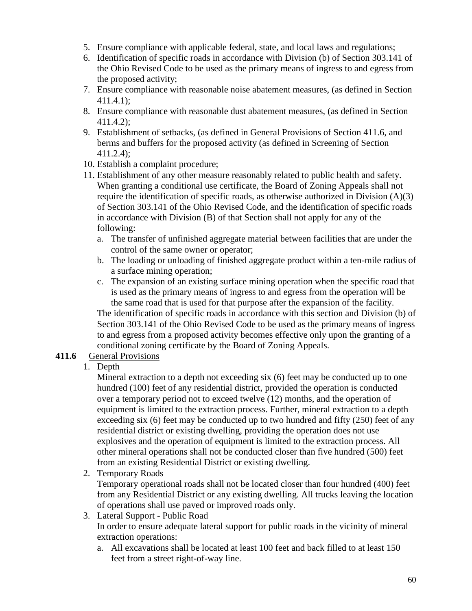- 5. Ensure compliance with applicable federal, state, and local laws and regulations;
- 6. Identification of specific roads in accordance with Division (b) of Section 303.141 of the Ohio Revised Code to be used as the primary means of ingress to and egress from the proposed activity;
- 7. Ensure compliance with reasonable noise abatement measures, (as defined in Section 411.4.1);
- 8. Ensure compliance with reasonable dust abatement measures, (as defined in Section 411.4.2);
- 9. Establishment of setbacks, (as defined in General Provisions of Section 411.6, and berms and buffers for the proposed activity (as defined in Screening of Section 411.2.4);
- 10. Establish a complaint procedure;
- 11. Establishment of any other measure reasonably related to public health and safety. When granting a conditional use certificate, the Board of Zoning Appeals shall not require the identification of specific roads, as otherwise authorized in Division (A)(3) of Section 303.141 of the Ohio Revised Code, and the identification of specific roads in accordance with Division (B) of that Section shall not apply for any of the following:
	- a. The transfer of unfinished aggregate material between facilities that are under the control of the same owner or operator;
	- b. The loading or unloading of finished aggregate product within a ten-mile radius of a surface mining operation;
	- c. The expansion of an existing surface mining operation when the specific road that is used as the primary means of ingress to and egress from the operation will be the same road that is used for that purpose after the expansion of the facility. The identification of specific roads in accordance with this section and Division (b) of Section 303.141 of the Ohio Revised Code to be used as the primary means of ingress to and egress from a proposed activity becomes effective only upon the granting of a conditional zoning certificate by the Board of Zoning Appeals.

### **411.6** General Provisions

1. Depth

Mineral extraction to a depth not exceeding six (6) feet may be conducted up to one hundred (100) feet of any residential district, provided the operation is conducted over a temporary period not to exceed twelve (12) months, and the operation of equipment is limited to the extraction process. Further, mineral extraction to a depth exceeding six (6) feet may be conducted up to two hundred and fifty (250) feet of any residential district or existing dwelling, providing the operation does not use explosives and the operation of equipment is limited to the extraction process. All other mineral operations shall not be conducted closer than five hundred (500) feet from an existing Residential District or existing dwelling.

2. Temporary Roads

Temporary operational roads shall not be located closer than four hundred (400) feet from any Residential District or any existing dwelling. All trucks leaving the location of operations shall use paved or improved roads only.

- 3. Lateral Support Public Road In order to ensure adequate lateral support for public roads in the vicinity of mineral extraction operations:
	- a. All excavations shall be located at least 100 feet and back filled to at least 150 feet from a street right-of-way line.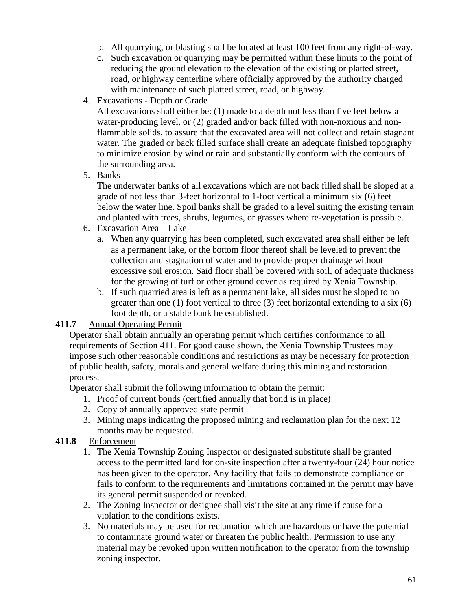- b. All quarrying, or blasting shall be located at least 100 feet from any right-of-way.
- c. Such excavation or quarrying may be permitted within these limits to the point of reducing the ground elevation to the elevation of the existing or platted street, road, or highway centerline where officially approved by the authority charged with maintenance of such platted street, road, or highway.
- 4. Excavations Depth or Grade

All excavations shall either be: (1) made to a depth not less than five feet below a water-producing level, or (2) graded and/or back filled with non-noxious and nonflammable solids, to assure that the excavated area will not collect and retain stagnant water. The graded or back filled surface shall create an adequate finished topography to minimize erosion by wind or rain and substantially conform with the contours of the surrounding area.

5. Banks

The underwater banks of all excavations which are not back filled shall be sloped at a grade of not less than 3-feet horizontal to 1-foot vertical a minimum six (6) feet below the water line. Spoil banks shall be graded to a level suiting the existing terrain and planted with trees, shrubs, legumes, or grasses where re-vegetation is possible.

- 6. Excavation Area Lake
	- a. When any quarrying has been completed, such excavated area shall either be left as a permanent lake, or the bottom floor thereof shall be leveled to prevent the collection and stagnation of water and to provide proper drainage without excessive soil erosion. Said floor shall be covered with soil, of adequate thickness for the growing of turf or other ground cover as required by Xenia Township.
	- b. If such quarried area is left as a permanent lake, all sides must be sloped to no greater than one (1) foot vertical to three (3) feet horizontal extending to a six (6) foot depth, or a stable bank be established.

## **411.7** Annual Operating Permit

Operator shall obtain annually an operating permit which certifies conformance to all requirements of Section 411. For good cause shown, the Xenia Township Trustees may impose such other reasonable conditions and restrictions as may be necessary for protection of public health, safety, morals and general welfare during this mining and restoration process.

Operator shall submit the following information to obtain the permit:

- 1. Proof of current bonds (certified annually that bond is in place)
- 2. Copy of annually approved state permit
- 3. Mining maps indicating the proposed mining and reclamation plan for the next 12 months may be requested.

## **411.8** Enforcement

- 1. The Xenia Township Zoning Inspector or designated substitute shall be granted access to the permitted land for on-site inspection after a twenty-four (24) hour notice has been given to the operator. Any facility that fails to demonstrate compliance or fails to conform to the requirements and limitations contained in the permit may have its general permit suspended or revoked.
- 2. The Zoning Inspector or designee shall visit the site at any time if cause for a violation to the conditions exists.
- 3. No materials may be used for reclamation which are hazardous or have the potential to contaminate ground water or threaten the public health. Permission to use any material may be revoked upon written notification to the operator from the township zoning inspector.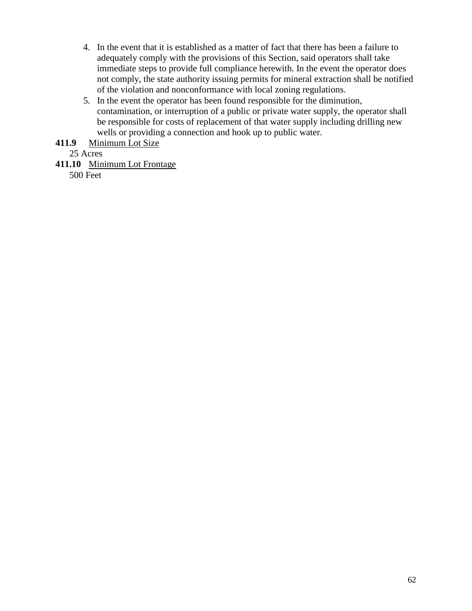- 4. In the event that it is established as a matter of fact that there has been a failure to adequately comply with the provisions of this Section, said operators shall take immediate steps to provide full compliance herewith. In the event the operator does not comply, the state authority issuing permits for mineral extraction shall be notified of the violation and nonconformance with local zoning regulations.
- 5. In the event the operator has been found responsible for the diminution, contamination, or interruption of a public or private water supply, the operator shall be responsible for costs of replacement of that water supply including drilling new wells or providing a connection and hook up to public water.

**411.9** Minimum Lot Size

25 Acres

**411.10** Minimum Lot Frontage

500 Feet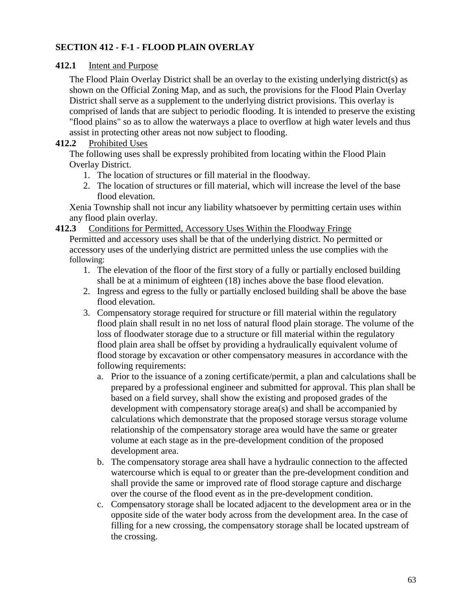## **SECTION 412 - F-1 - FLOOD PLAIN OVERLAY**

#### **412.1** Intent and Purpose

The Flood Plain Overlay District shall be an overlay to the existing underlying district(s) as shown on the Official Zoning Map, and as such, the provisions for the Flood Plain Overlay District shall serve as a supplement to the underlying district provisions. This overlay is comprised of lands that are subject to periodic flooding. It is intended to preserve the existing "flood plains" so as to allow the waterways a place to overflow at high water levels and thus assist in protecting other areas not now subject to flooding.

#### **412.2** Prohibited Uses

The following uses shall be expressly prohibited from locating within the Flood Plain Overlay District.

- 1. The location of structures or fill material in the floodway.
- 2. The location of structures or fill material, which will increase the level of the base flood elevation.

Xenia Township shall not incur any liability whatsoever by permitting certain uses within any flood plain overlay.

**412.3** Conditions for Permitted, Accessory Uses Within the Floodway Fringe

Permitted and accessory uses shall be that of the underlying district. No permitted or accessory uses of the underlying district are permitted unless the use complies with the following:

- 1. The elevation of the floor of the first story of a fully or partially enclosed building shall be at a minimum of eighteen (18) inches above the base flood elevation.
- 2. Ingress and egress to the fully or partially enclosed building shall be above the base flood elevation.
- 3. Compensatory storage required for structure or fill material within the regulatory flood plain shall result in no net loss of natural flood plain storage. The volume of the loss of floodwater storage due to a structure or fill material within the regulatory flood plain area shall be offset by providing a hydraulically equivalent volume of flood storage by excavation or other compensatory measures in accordance with the following requirements:
	- a. Prior to the issuance of a zoning certificate/permit, a plan and calculations shall be prepared by a professional engineer and submitted for approval. This plan shall be based on a field survey, shall show the existing and proposed grades of the development with compensatory storage area(s) and shall be accompanied by calculations which demonstrate that the proposed storage versus storage volume relationship of the compensatory storage area would have the same or greater volume at each stage as in the pre-development condition of the proposed development area.
	- b. The compensatory storage area shall have a hydraulic connection to the affected watercourse which is equal to or greater than the pre-development condition and shall provide the same or improved rate of flood storage capture and discharge over the course of the flood event as in the pre-development condition.
	- c. Compensatory storage shall be located adjacent to the development area or in the opposite side of the water body across from the development area. In the case of filling for a new crossing, the compensatory storage shall be located upstream of the crossing.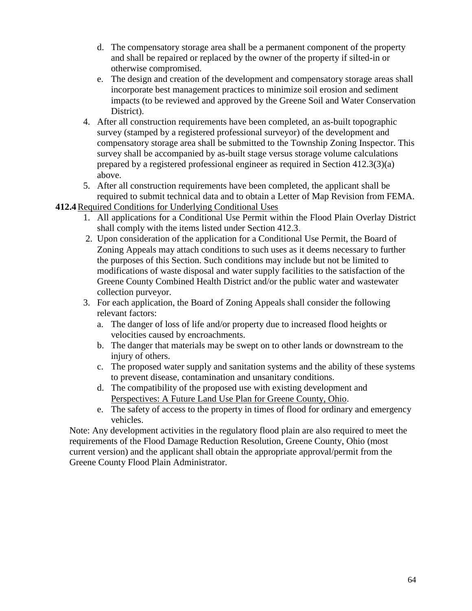- d. The compensatory storage area shall be a permanent component of the property and shall be repaired or replaced by the owner of the property if silted-in or otherwise compromised.
- e. The design and creation of the development and compensatory storage areas shall incorporate best management practices to minimize soil erosion and sediment impacts (to be reviewed and approved by the Greene Soil and Water Conservation District).
- 4. After all construction requirements have been completed, an as-built topographic survey (stamped by a registered professional surveyor) of the development and compensatory storage area shall be submitted to the Township Zoning Inspector. This survey shall be accompanied by as-built stage versus storage volume calculations prepared by a registered professional engineer as required in Section 412.3(3)(a) above.
- 5. After all construction requirements have been completed, the applicant shall be required to submit technical data and to obtain a Letter of Map Revision from FEMA.
- **412.4**Required Conditions for Underlying Conditional Uses
	- 1. All applications for a Conditional Use Permit within the Flood Plain Overlay District shall comply with the items listed under Section 412.3.
	- 2. Upon consideration of the application for a Conditional Use Permit, the Board of Zoning Appeals may attach conditions to such uses as it deems necessary to further the purposes of this Section. Such conditions may include but not be limited to modifications of waste disposal and water supply facilities to the satisfaction of the Greene County Combined Health District and/or the public water and wastewater collection purveyor.
	- 3. For each application, the Board of Zoning Appeals shall consider the following relevant factors:
		- a. The danger of loss of life and/or property due to increased flood heights or velocities caused by encroachments.
		- b. The danger that materials may be swept on to other lands or downstream to the injury of others.
		- c. The proposed water supply and sanitation systems and the ability of these systems to prevent disease, contamination and unsanitary conditions.
		- d. The compatibility of the proposed use with existing development and Perspectives: A Future Land Use Plan for Greene County, Ohio.
		- e. The safety of access to the property in times of flood for ordinary and emergency vehicles.

Note: Any development activities in the regulatory flood plain are also required to meet the requirements of the Flood Damage Reduction Resolution, Greene County, Ohio (most current version) and the applicant shall obtain the appropriate approval/permit from the Greene County Flood Plain Administrator.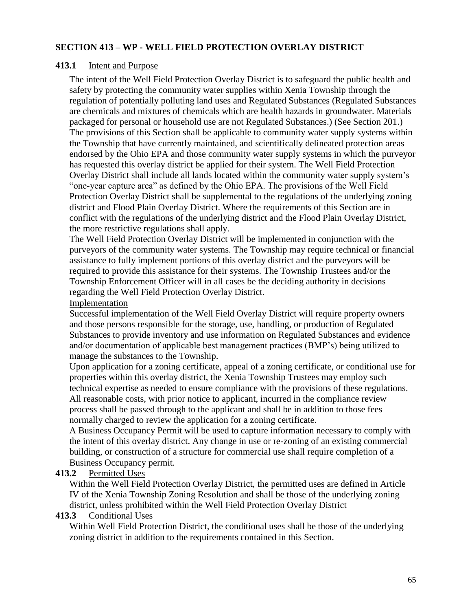#### **SECTION 413 – WP - WELL FIELD PROTECTION OVERLAY DISTRICT**

#### **413.1** Intent and Purpose

The intent of the Well Field Protection Overlay District is to safeguard the public health and safety by protecting the community water supplies within Xenia Township through the regulation of potentially polluting land uses and [Regulated Substances](file://///XTSBS/RedirectedFolders/SBlackaby/My%20Documents/Zoning%20Resolution/Public%20Drinking%20Water%20Standards.doc) (Regulated Substances are chemicals and mixtures of chemicals which are health hazards in groundwater. Materials packaged for personal or household use are not Regulated Substances.) (See Section 201.) The provisions of this Section shall be applicable to community water supply systems within the Township that have currently maintained, and scientifically delineated protection areas endorsed by the Ohio EPA and those community water supply systems in which the purveyor has requested this overlay district be applied for their system. The Well Field Protection Overlay District shall include all lands located within the community water supply system's "one-year capture area" as defined by the Ohio EPA. The provisions of the Well Field Protection Overlay District shall be supplemental to the regulations of the underlying zoning district and Flood Plain Overlay District. Where the requirements of this Section are in conflict with the regulations of the underlying district and the Flood Plain Overlay District, the more restrictive regulations shall apply.

The Well Field Protection Overlay District will be implemented in conjunction with the purveyors of the community water systems. The Township may require technical or financial assistance to fully implement portions of this overlay district and the purveyors will be required to provide this assistance for their systems. The Township Trustees and/or the Township Enforcement Officer will in all cases be the deciding authority in decisions regarding the Well Field Protection Overlay District.

### Implementation

Successful implementation of the Well Field Overlay District will require property owners and those persons responsible for the storage, use, handling, or production of Regulated Substances to provide inventory and use information on Regulated Substances and evidence and/or documentation of applicable best management practices (BMP's) being utilized to manage the substances to the Township.

Upon application for a zoning certificate, appeal of a zoning certificate, or conditional use for properties within this overlay district, the Xenia Township Trustees may employ such technical expertise as needed to ensure compliance with the provisions of these regulations. All reasonable costs, with prior notice to applicant, incurred in the compliance review process shall be passed through to the applicant and shall be in addition to those fees normally charged to review the application for a zoning certificate.

A Business Occupancy Permit will be used to capture information necessary to comply with the intent of this overlay district. Any change in use or re-zoning of an existing commercial building, or construction of a structure for commercial use shall require completion of a Business Occupancy permit.

#### **413.2** Permitted Uses

Within the Well Field Protection Overlay District, the permitted uses are defined in Article IV of the Xenia Township Zoning Resolution and shall be those of the underlying zoning district, unless prohibited within the Well Field Protection Overlay District

#### **413.3** Conditional Uses

Within Well Field Protection District, the conditional uses shall be those of the underlying zoning district in addition to the requirements contained in this Section.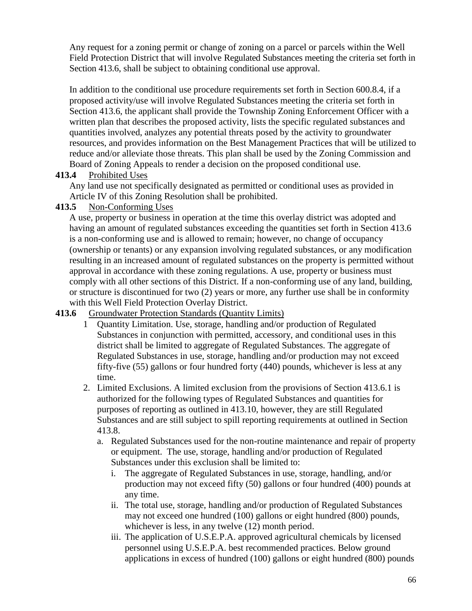Any request for a zoning permit or change of zoning on a parcel or parcels within the Well Field Protection District that will involve Regulated Substances meeting the criteria set forth in Section 413.6, shall be subject to obtaining conditional use approval.

In addition to the conditional use procedure requirements set forth in Section 600.8.4, if a proposed activity/use will involve Regulated Substances meeting the criteria set forth in Section 413.6, the applicant shall provide the Township Zoning Enforcement Officer with a written plan that describes the proposed activity, lists the specific regulated substances and quantities involved, analyzes any potential threats posed by the activity to groundwater resources, and provides information on the Best Management Practices that will be utilized to reduce and/or alleviate those threats. This plan shall be used by the Zoning Commission and Board of Zoning Appeals to render a decision on the proposed conditional use.

### **413.4** Prohibited Uses

Any land use not specifically designated as permitted or conditional uses as provided in Article IV of this Zoning Resolution shall be prohibited.

# **413.5** Non-Conforming Uses

A use, property or business in operation at the time this overlay district was adopted and having an amount of regulated substances exceeding the quantities set forth in Section 413.6 is a non-conforming use and is allowed to remain; however, no change of occupancy (ownership or tenants) or any expansion involving regulated substances, or any modification resulting in an increased amount of regulated substances on the property is permitted without approval in accordance with these zoning regulations. A use, property or business must comply with all other sections of this District. If a non-conforming use of any land, building, or structure is discontinued for two (2) years or more, any further use shall be in conformity with this Well Field Protection Overlay District.

## **413.6** Groundwater Protection Standards (Quantity Limits)

- 1 Quantity Limitation. Use, storage, handling and/or production of Regulated Substances in conjunction with permitted, accessory, and conditional uses in this district shall be limited to aggregate of Regulated Substances. The aggregate of Regulated Substances in use, storage, handling and/or production may not exceed fifty-five (55) gallons or four hundred forty (440) pounds, whichever is less at any time.
- 2. Limited Exclusions. A limited exclusion from the provisions of Section 413.6.1 is authorized for the following types of Regulated Substances and quantities for purposes of reporting as outlined in 413.10, however, they are still Regulated Substances and are still subject to spill reporting requirements at outlined in Section 413.8.
	- a. Regulated Substances used for the non-routine maintenance and repair of property or equipment. The use, storage, handling and/or production of Regulated Substances under this exclusion shall be limited to:
		- i. The aggregate of Regulated Substances in use, storage, handling, and/or production may not exceed fifty (50) gallons or four hundred (400) pounds at any time.
		- ii. The total use, storage, handling and/or production of Regulated Substances may not exceed one hundred (100) gallons or eight hundred (800) pounds, whichever is less, in any twelve  $(12)$  month period.
		- iii. The application of U.S.E.P.A. approved agricultural chemicals by licensed personnel using U.S.E.P.A. best recommended practices. Below ground applications in excess of hundred (100) gallons or eight hundred (800) pounds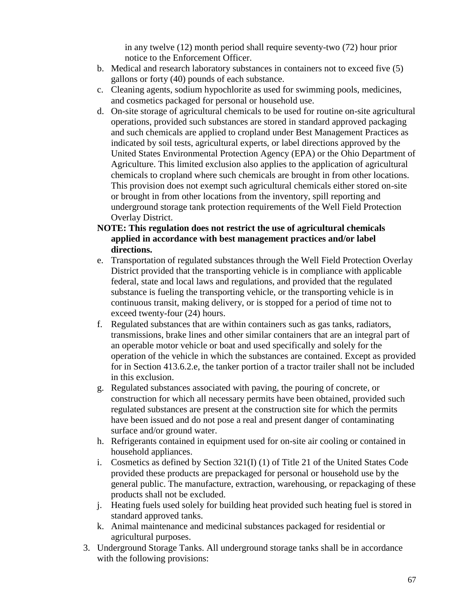in any twelve (12) month period shall require seventy-two (72) hour prior notice to the Enforcement Officer.

- b. Medical and research laboratory substances in containers not to exceed five (5) gallons or forty (40) pounds of each substance.
- c. Cleaning agents, sodium hypochlorite as used for swimming pools, medicines, and cosmetics packaged for personal or household use.
- d. On-site storage of agricultural chemicals to be used for routine on-site agricultural operations, provided such substances are stored in standard approved packaging and such chemicals are applied to cropland under Best Management Practices as indicated by soil tests, agricultural experts, or label directions approved by the United States Environmental Protection Agency (EPA) or the Ohio Department of Agriculture. This limited exclusion also applies to the application of agricultural chemicals to cropland where such chemicals are brought in from other locations. This provision does not exempt such agricultural chemicals either stored on-site or brought in from other locations from the inventory, spill reporting and underground storage tank protection requirements of the Well Field Protection Overlay District.
- **NOTE: This regulation does not restrict the use of agricultural chemicals applied in accordance with best management practices and/or label directions.**
- e. Transportation of regulated substances through the Well Field Protection Overlay District provided that the transporting vehicle is in compliance with applicable federal, state and local laws and regulations, and provided that the regulated substance is fueling the transporting vehicle, or the transporting vehicle is in continuous transit, making delivery, or is stopped for a period of time not to exceed twenty-four (24) hours.
- f. Regulated substances that are within containers such as gas tanks, radiators, transmissions, brake lines and other similar containers that are an integral part of an operable motor vehicle or boat and used specifically and solely for the operation of the vehicle in which the substances are contained. Except as provided for in Section 413.6.2.e, the tanker portion of a tractor trailer shall not be included in this exclusion.
- g. Regulated substances associated with paving, the pouring of concrete, or construction for which all necessary permits have been obtained, provided such regulated substances are present at the construction site for which the permits have been issued and do not pose a real and present danger of contaminating surface and/or ground water.
- h. Refrigerants contained in equipment used for on-site air cooling or contained in household appliances.
- i. Cosmetics as defined by Section 321(I) (1) of Title 21 of the United States Code provided these products are prepackaged for personal or household use by the general public. The manufacture, extraction, warehousing, or repackaging of these products shall not be excluded.
- j. Heating fuels used solely for building heat provided such heating fuel is stored in standard approved tanks.
- k. Animal maintenance and medicinal substances packaged for residential or agricultural purposes.
- 3. Underground Storage Tanks. All underground storage tanks shall be in accordance with the following provisions: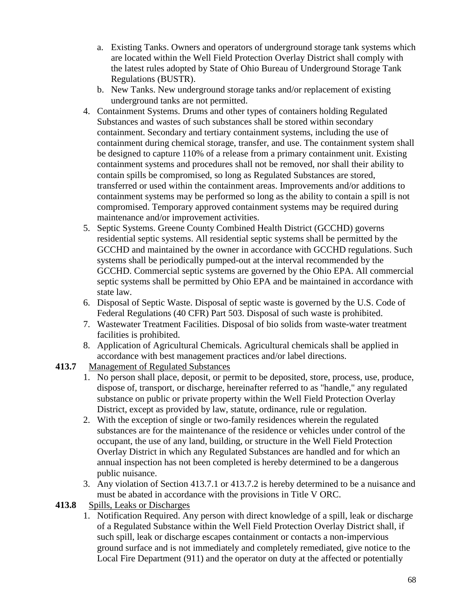- a. Existing Tanks. Owners and operators of underground storage tank systems which are located within the Well Field Protection Overlay District shall comply with the latest rules adopted by State of Ohio Bureau of Underground Storage Tank Regulations (BUSTR).
- b. New Tanks. New underground storage tanks and/or replacement of existing underground tanks are not permitted.
- 4. Containment Systems. Drums and other types of containers holding Regulated Substances and wastes of such substances shall be stored within secondary containment. Secondary and tertiary containment systems, including the use of containment during chemical storage, transfer, and use. The containment system shall be designed to capture 110% of a release from a primary containment unit. Existing containment systems and procedures shall not be removed, nor shall their ability to contain spills be compromised, so long as Regulated Substances are stored, transferred or used within the containment areas. Improvements and/or additions to containment systems may be performed so long as the ability to contain a spill is not compromised. Temporary approved containment systems may be required during maintenance and/or improvement activities.
- 5. Septic Systems. Greene County Combined Health District (GCCHD) governs residential septic systems. All residential septic systems shall be permitted by the GCCHD and maintained by the owner in accordance with GCCHD regulations. Such systems shall be periodically pumped-out at the interval recommended by the GCCHD. Commercial septic systems are governed by the Ohio EPA. All commercial septic systems shall be permitted by Ohio EPA and be maintained in accordance with state law.
- 6. Disposal of Septic Waste. Disposal of septic waste is governed by the U.S. Code of Federal Regulations (40 CFR) Part 503. Disposal of such waste is prohibited.
- 7. Wastewater Treatment Facilities. Disposal of bio solids from waste-water treatment facilities is prohibited.
- 8. Application of Agricultural Chemicals. Agricultural chemicals shall be applied in accordance with best management practices and/or label directions.
- **413.7** Management of Regulated Substances
	- 1. No person shall place, deposit, or permit to be deposited, store, process, use, produce, dispose of, transport, or discharge, hereinafter referred to as "handle," any regulated substance on public or private property within the Well Field Protection Overlay District, except as provided by law, statute, ordinance, rule or regulation.
	- 2. With the exception of single or two-family residences wherein the regulated substances are for the maintenance of the residence or vehicles under control of the occupant, the use of any land, building, or structure in the Well Field Protection Overlay District in which any Regulated Substances are handled and for which an annual inspection has not been completed is hereby determined to be a dangerous public nuisance.
	- 3. Any violation of Section 413.7.1 or 413.7.2 is hereby determined to be a nuisance and must be abated in accordance with the provisions in Title V ORC.
- **413.8** Spills, Leaks or Discharges
	- 1. Notification Required. Any person with direct knowledge of a spill, leak or discharge of a Regulated Substance within the Well Field Protection Overlay District shall, if such spill, leak or discharge escapes containment or contacts a non-impervious ground surface and is not immediately and completely remediated, give notice to the Local Fire Department (911) and the operator on duty at the affected or potentially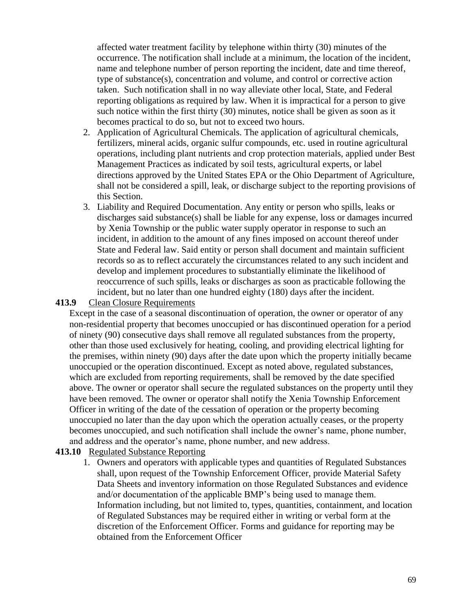affected water treatment facility by telephone within thirty (30) minutes of the occurrence. The notification shall include at a minimum, the location of the incident, name and telephone number of person reporting the incident, date and time thereof, type of substance(s), concentration and volume, and control or corrective action taken. Such notification shall in no way alleviate other local, State, and Federal reporting obligations as required by law. When it is impractical for a person to give such notice within the first thirty (30) minutes, notice shall be given as soon as it becomes practical to do so, but not to exceed two hours.

- 2. Application of Agricultural Chemicals. The application of agricultural chemicals, fertilizers, mineral acids, organic sulfur compounds, etc. used in routine agricultural operations, including plant nutrients and crop protection materials, applied under Best Management Practices as indicated by soil tests, agricultural experts, or label directions approved by the United States EPA or the Ohio Department of Agriculture, shall not be considered a spill, leak, or discharge subject to the reporting provisions of this Section.
- 3. Liability and Required Documentation. Any entity or person who spills, leaks or discharges said substance(s) shall be liable for any expense, loss or damages incurred by Xenia Township or the public water supply operator in response to such an incident, in addition to the amount of any fines imposed on account thereof under State and Federal law. Said entity or person shall document and maintain sufficient records so as to reflect accurately the circumstances related to any such incident and develop and implement procedures to substantially eliminate the likelihood of reoccurrence of such spills, leaks or discharges as soon as practicable following the incident, but no later than one hundred eighty (180) days after the incident.

#### **413.9** Clean Closure Requirements

Except in the case of a seasonal discontinuation of operation, the owner or operator of any non-residential property that becomes unoccupied or has discontinued operation for a period of ninety (90) consecutive days shall remove all regulated substances from the property, other than those used exclusively for heating, cooling, and providing electrical lighting for the premises, within ninety (90) days after the date upon which the property initially became unoccupied or the operation discontinued. Except as noted above, regulated substances, which are excluded from reporting requirements, shall be removed by the date specified above. The owner or operator shall secure the regulated substances on the property until they have been removed. The owner or operator shall notify the Xenia Township Enforcement Officer in writing of the date of the cessation of operation or the property becoming unoccupied no later than the day upon which the operation actually ceases, or the property becomes unoccupied, and such notification shall include the owner's name, phone number, and address and the operator's name, phone number, and new address.

### **413.10** Regulated Substance Reporting

1. Owners and operators with applicable types and quantities of Regulated Substances shall, upon request of the Township Enforcement Officer, provide Material Safety Data Sheets and inventory information on those Regulated Substances and evidence and/or documentation of the applicable BMP's being used to manage them. Information including, but not limited to, types, quantities, containment, and location of Regulated Substances may be required either in writing or verbal form at the discretion of the Enforcement Officer. Forms and guidance for reporting may be obtained from the Enforcement Officer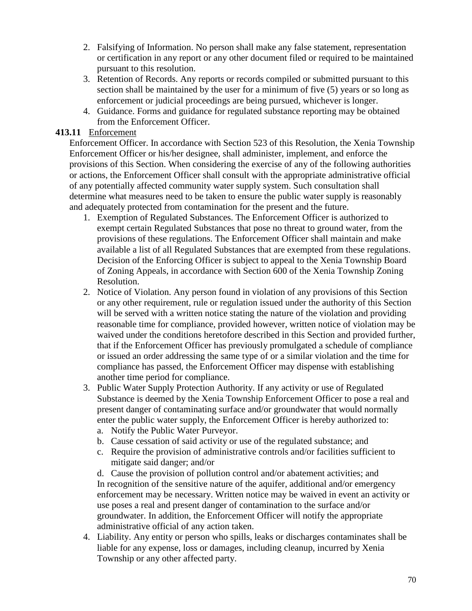- 2. Falsifying of Information. No person shall make any false statement, representation or certification in any report or any other document filed or required to be maintained pursuant to this resolution.
- 3. Retention of Records. Any reports or records compiled or submitted pursuant to this section shall be maintained by the user for a minimum of five (5) years or so long as enforcement or judicial proceedings are being pursued, whichever is longer.
- 4. Guidance. Forms and guidance for regulated substance reporting may be obtained from the Enforcement Officer.

### **413.11** Enforcement

Enforcement Officer. In accordance with Section 523 of this Resolution, the Xenia Township Enforcement Officer or his/her designee, shall administer, implement, and enforce the provisions of this Section. When considering the exercise of any of the following authorities or actions, the Enforcement Officer shall consult with the appropriate administrative official of any potentially affected community water supply system. Such consultation shall determine what measures need to be taken to ensure the public water supply is reasonably and adequately protected from contamination for the present and the future.

- 1. Exemption of Regulated Substances. The Enforcement Officer is authorized to exempt certain Regulated Substances that pose no threat to ground water, from the provisions of these regulations. The Enforcement Officer shall maintain and make available a list of all Regulated Substances that are exempted from these regulations. Decision of the Enforcing Officer is subject to appeal to the Xenia Township Board of Zoning Appeals, in accordance with Section 600 of the Xenia Township Zoning Resolution.
- 2. Notice of Violation. Any person found in violation of any provisions of this Section or any other requirement, rule or regulation issued under the authority of this Section will be served with a written notice stating the nature of the violation and providing reasonable time for compliance, provided however, written notice of violation may be waived under the conditions heretofore described in this Section and provided further, that if the Enforcement Officer has previously promulgated a schedule of compliance or issued an order addressing the same type of or a similar violation and the time for compliance has passed, the Enforcement Officer may dispense with establishing another time period for compliance.
- 3. Public Water Supply Protection Authority. If any activity or use of Regulated Substance is deemed by the Xenia Township Enforcement Officer to pose a real and present danger of contaminating surface and/or groundwater that would normally enter the public water supply, the Enforcement Officer is hereby authorized to:
	- a. Notify the Public Water Purveyor.
	- b. Cause cessation of said activity or use of the regulated substance; and
	- c. Require the provision of administrative controls and/or facilities sufficient to mitigate said danger; and/or

d. Cause the provision of pollution control and/or abatement activities; and In recognition of the sensitive nature of the aquifer, additional and/or emergency enforcement may be necessary. Written notice may be waived in event an activity or use poses a real and present danger of contamination to the surface and/or groundwater. In addition, the Enforcement Officer will notify the appropriate administrative official of any action taken.

4. Liability. Any entity or person who spills, leaks or discharges contaminates shall be liable for any expense, loss or damages, including cleanup, incurred by Xenia Township or any other affected party.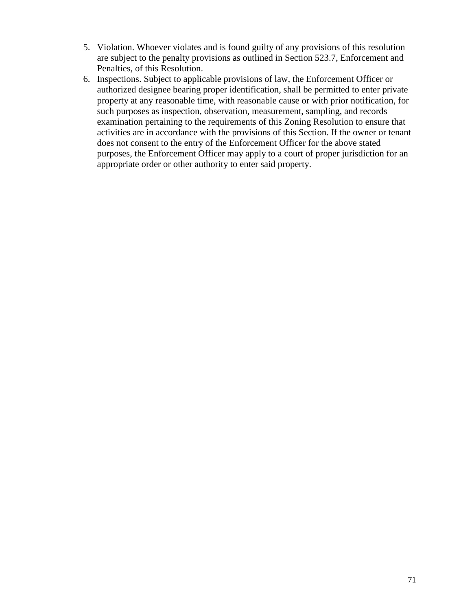- 5. Violation. Whoever violates and is found guilty of any provisions of this resolution are subject to the penalty provisions as outlined in Section 523.7, Enforcement and Penalties, of this Resolution.
- 6. Inspections. Subject to applicable provisions of law, the Enforcement Officer or authorized designee bearing proper identification, shall be permitted to enter private property at any reasonable time, with reasonable cause or with prior notification, for such purposes as inspection, observation, measurement, sampling, and records examination pertaining to the requirements of this Zoning Resolution to ensure that activities are in accordance with the provisions of this Section. If the owner or tenant does not consent to the entry of the Enforcement Officer for the above stated purposes, the Enforcement Officer may apply to a court of proper jurisdiction for an appropriate order or other authority to enter said property.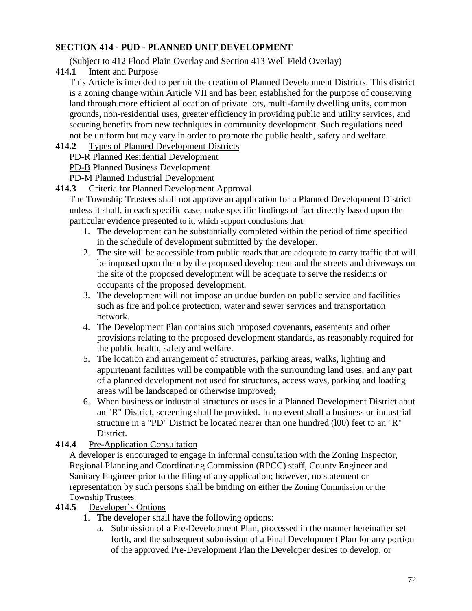# **SECTION 414 - PUD - PLANNED UNIT DEVELOPMENT**

(Subject to 412 Flood Plain Overlay and Section 413 Well Field Overlay)

**414.1** Intent and Purpose

This Article is intended to permit the creation of Planned Development Districts. This district is a zoning change within Article VII and has been established for the purpose of conserving land through more efficient allocation of private lots, multi-family dwelling units, common grounds, non-residential uses, greater efficiency in providing public and utility services, and securing benefits from new techniques in community development. Such regulations need not be uniform but may vary in order to promote the public health, safety and welfare.

## **414.2** Types of Planned Development Districts

PD-R Planned Residential Development

PD-B Planned Business Development

PD-M Planned Industrial Development

## **414.3** Criteria for Planned Development Approval

The Township Trustees shall not approve an application for a Planned Development District unless it shall, in each specific case, make specific findings of fact directly based upon the particular evidence presented to it, which support conclusions that:

- 1. The development can be substantially completed within the period of time specified in the schedule of development submitted by the developer.
- 2. The site will be accessible from public roads that are adequate to carry traffic that will be imposed upon them by the proposed development and the streets and driveways on the site of the proposed development will be adequate to serve the residents or occupants of the proposed development.
- 3. The development will not impose an undue burden on public service and facilities such as fire and police protection, water and sewer services and transportation network.
- 4. The Development Plan contains such proposed covenants, easements and other provisions relating to the proposed development standards, as reasonably required for the public health, safety and welfare.
- 5. The location and arrangement of structures, parking areas, walks, lighting and appurtenant facilities will be compatible with the surrounding land uses, and any part of a planned development not used for structures, access ways, parking and loading areas will be landscaped or otherwise improved;
- 6. When business or industrial structures or uses in a Planned Development District abut an "R" District, screening shall be provided. In no event shall a business or industrial structure in a "PD" District be located nearer than one hundred (l00) feet to an "R" District.
- **414.4** Pre-Application Consultation

A developer is encouraged to engage in informal consultation with the Zoning Inspector, Regional Planning and Coordinating Commission (RPCC) staff, County Engineer and Sanitary Engineer prior to the filing of any application; however, no statement or representation by such persons shall be binding on either the Zoning Commission or the Township Trustees.

- **414.5** Developer's Options
	- 1. The developer shall have the following options:
		- a. Submission of a Pre-Development Plan, processed in the manner hereinafter set forth, and the subsequent submission of a Final Development Plan for any portion of the approved Pre-Development Plan the Developer desires to develop, or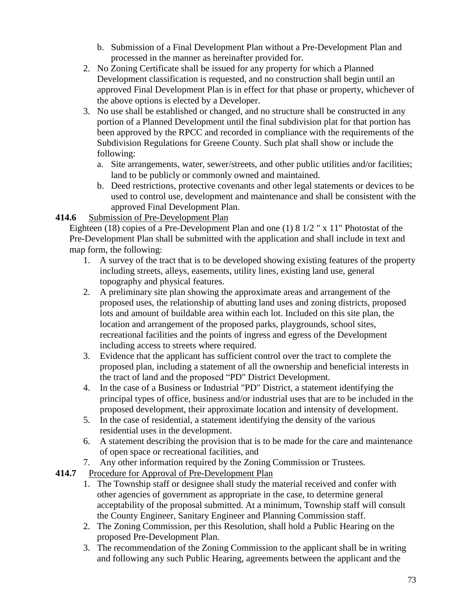- b. Submission of a Final Development Plan without a Pre-Development Plan and processed in the manner as hereinafter provided for.
- 2. No Zoning Certificate shall be issued for any property for which a Planned Development classification is requested, and no construction shall begin until an approved Final Development Plan is in effect for that phase or property, whichever of the above options is elected by a Developer.
- 3. No use shall be established or changed, and no structure shall be constructed in any portion of a Planned Development until the final subdivision plat for that portion has been approved by the RPCC and recorded in compliance with the requirements of the Subdivision Regulations for Greene County. Such plat shall show or include the following:
	- a. Site arrangements, water, sewer/streets, and other public utilities and/or facilities; land to be publicly or commonly owned and maintained.
	- b. Deed restrictions, protective covenants and other legal statements or devices to be used to control use, development and maintenance and shall be consistent with the approved Final Development Plan.

## **414.6** Submission of Pre-Development Plan

Eighteen (18) copies of a Pre-Development Plan and one (1) 8 1/2 " x 11" Photostat of the Pre-Development Plan shall be submitted with the application and shall include in text and map form, the following:

- 1. A survey of the tract that is to be developed showing existing features of the property including streets, alleys, easements, utility lines, existing land use, general topography and physical features.
- 2. A preliminary site plan showing the approximate areas and arrangement of the proposed uses, the relationship of abutting land uses and zoning districts, proposed lots and amount of buildable area within each lot. Included on this site plan, the location and arrangement of the proposed parks, playgrounds, school sites, recreational facilities and the points of ingress and egress of the Development including access to streets where required.
- 3. Evidence that the applicant has sufficient control over the tract to complete the proposed plan, including a statement of all the ownership and beneficial interests in the tract of land and the proposed "PD" District Development.
- 4. In the case of a Business or Industrial "PD" District, a statement identifying the principal types of office, business and/or industrial uses that are to be included in the proposed development, their approximate location and intensity of development.
- 5. In the case of residential, a statement identifying the density of the various residential uses in the development.
- 6. A statement describing the provision that is to be made for the care and maintenance of open space or recreational facilities, and
- 7. Any other information required by the Zoning Commission or Trustees.
- **414.7** Procedure for Approval of Pre-Development Plan
	- 1. The Township staff or designee shall study the material received and confer with other agencies of government as appropriate in the case, to determine general acceptability of the proposal submitted. At a minimum, Township staff will consult the County Engineer, Sanitary Engineer and Planning Commission staff.
	- 2. The Zoning Commission, per this Resolution, shall hold a Public Hearing on the proposed Pre-Development Plan.
	- 3. The recommendation of the Zoning Commission to the applicant shall be in writing and following any such Public Hearing, agreements between the applicant and the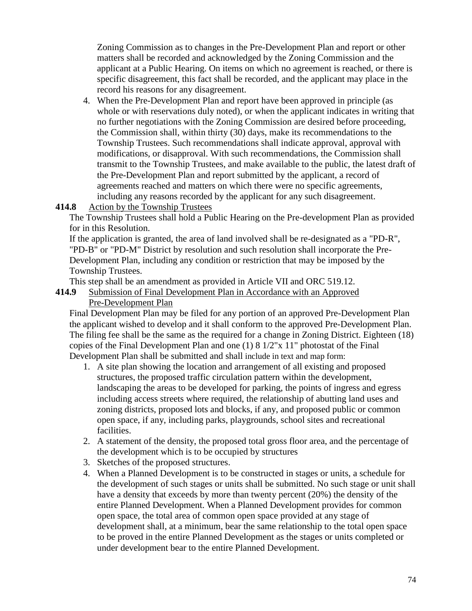Zoning Commission as to changes in the Pre-Development Plan and report or other matters shall be recorded and acknowledged by the Zoning Commission and the applicant at a Public Hearing. On items on which no agreement is reached, or there is specific disagreement, this fact shall be recorded, and the applicant may place in the record his reasons for any disagreement.

4. When the Pre-Development Plan and report have been approved in principle (as whole or with reservations duly noted), or when the applicant indicates in writing that no further negotiations with the Zoning Commission are desired before proceeding, the Commission shall, within thirty (30) days, make its recommendations to the Township Trustees. Such recommendations shall indicate approval, approval with modifications, or disapproval. With such recommendations, the Commission shall transmit to the Township Trustees, and make available to the public, the latest draft of the Pre-Development Plan and report submitted by the applicant, a record of agreements reached and matters on which there were no specific agreements, including any reasons recorded by the applicant for any such disagreement.

#### **414.8** Action by the Township Trustees

The Township Trustees shall hold a Public Hearing on the Pre-development Plan as provided for in this Resolution.

If the application is granted, the area of land involved shall be re-designated as a "PD-R", "PD-B" or "PD-M" District by resolution and such resolution shall incorporate the Pre-Development Plan, including any condition or restriction that may be imposed by the Township Trustees.

This step shall be an amendment as provided in Article VII and ORC 519.12.

#### **414.9** Submission of Final Development Plan in Accordance with an Approved Pre-Development Plan

Final Development Plan may be filed for any portion of an approved Pre-Development Plan the applicant wished to develop and it shall conform to the approved Pre-Development Plan. The filing fee shall be the same as the required for a change in Zoning District. Eighteen (18) copies of the Final Development Plan and one (1) 8 1/2"x 11" photostat of the Final Development Plan shall be submitted and shall include in text and map form:

- 1. A site plan showing the location and arrangement of all existing and proposed structures, the proposed traffic circulation pattern within the development, landscaping the areas to be developed for parking, the points of ingress and egress including access streets where required, the relationship of abutting land uses and zoning districts, proposed lots and blocks, if any, and proposed public or common open space, if any, including parks, playgrounds, school sites and recreational facilities.
- 2. A statement of the density, the proposed total gross floor area, and the percentage of the development which is to be occupied by structures
- 3. Sketches of the proposed structures.
- 4. When a Planned Development is to be constructed in stages or units, a schedule for the development of such stages or units shall be submitted. No such stage or unit shall have a density that exceeds by more than twenty percent (20%) the density of the entire Planned Development. When a Planned Development provides for common open space, the total area of common open space provided at any stage of development shall, at a minimum, bear the same relationship to the total open space to be proved in the entire Planned Development as the stages or units completed or under development bear to the entire Planned Development.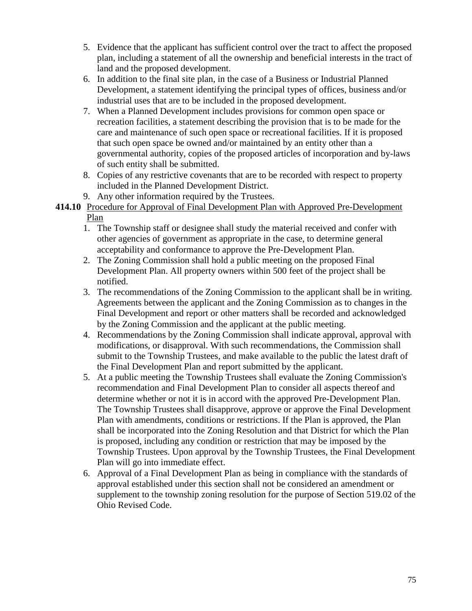- 5. Evidence that the applicant has sufficient control over the tract to affect the proposed plan, including a statement of all the ownership and beneficial interests in the tract of land and the proposed development.
- 6. In addition to the final site plan, in the case of a Business or Industrial Planned Development, a statement identifying the principal types of offices, business and/or industrial uses that are to be included in the proposed development.
- 7. When a Planned Development includes provisions for common open space or recreation facilities, a statement describing the provision that is to be made for the care and maintenance of such open space or recreational facilities. If it is proposed that such open space be owned and/or maintained by an entity other than a governmental authority, copies of the proposed articles of incorporation and by-laws of such entity shall be submitted.
- 8. Copies of any restrictive covenants that are to be recorded with respect to property included in the Planned Development District.
- 9. Any other information required by the Trustees.
- **414.10** Procedure for Approval of Final Development Plan with Approved Pre-Development Plan
	- 1. The Township staff or designee shall study the material received and confer with other agencies of government as appropriate in the case, to determine general acceptability and conformance to approve the Pre-Development Plan.
	- 2. The Zoning Commission shall hold a public meeting on the proposed Final Development Plan. All property owners within 500 feet of the project shall be notified.
	- 3. The recommendations of the Zoning Commission to the applicant shall be in writing. Agreements between the applicant and the Zoning Commission as to changes in the Final Development and report or other matters shall be recorded and acknowledged by the Zoning Commission and the applicant at the public meeting.
	- 4. Recommendations by the Zoning Commission shall indicate approval, approval with modifications, or disapproval. With such recommendations, the Commission shall submit to the Township Trustees, and make available to the public the latest draft of the Final Development Plan and report submitted by the applicant.
	- 5. At a public meeting the Township Trustees shall evaluate the Zoning Commission's recommendation and Final Development Plan to consider all aspects thereof and determine whether or not it is in accord with the approved Pre-Development Plan. The Township Trustees shall disapprove, approve or approve the Final Development Plan with amendments, conditions or restrictions. If the Plan is approved, the Plan shall be incorporated into the Zoning Resolution and that District for which the Plan is proposed, including any condition or restriction that may be imposed by the Township Trustees. Upon approval by the Township Trustees, the Final Development Plan will go into immediate effect.
	- 6. Approval of a Final Development Plan as being in compliance with the standards of approval established under this section shall not be considered an amendment or supplement to the township zoning resolution for the purpose of Section 519.02 of the Ohio Revised Code.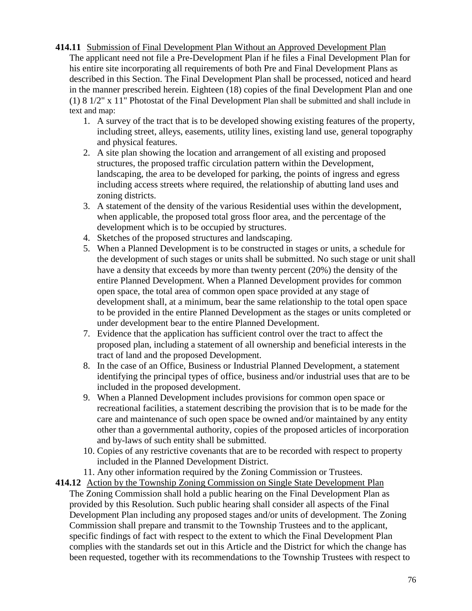- **414.11** Submission of Final Development Plan Without an Approved Development Plan The applicant need not file a Pre-Development Plan if he files a Final Development Plan for his entire site incorporating all requirements of both Pre and Final Development Plans as described in this Section. The Final Development Plan shall be processed, noticed and heard in the manner prescribed herein. Eighteen (18) copies of the final Development Plan and one (1) 8 1/2" x 11" Photostat of the Final Development Plan shall be submitted and shall include in text and map:
	- 1. A survey of the tract that is to be developed showing existing features of the property, including street, alleys, easements, utility lines, existing land use, general topography and physical features.
	- 2. A site plan showing the location and arrangement of all existing and proposed structures, the proposed traffic circulation pattern within the Development, landscaping, the area to be developed for parking, the points of ingress and egress including access streets where required, the relationship of abutting land uses and zoning districts.
	- 3. A statement of the density of the various Residential uses within the development, when applicable, the proposed total gross floor area, and the percentage of the development which is to be occupied by structures.
	- 4. Sketches of the proposed structures and landscaping.
	- 5. When a Planned Development is to be constructed in stages or units, a schedule for the development of such stages or units shall be submitted. No such stage or unit shall have a density that exceeds by more than twenty percent (20%) the density of the entire Planned Development. When a Planned Development provides for common open space, the total area of common open space provided at any stage of development shall, at a minimum, bear the same relationship to the total open space to be provided in the entire Planned Development as the stages or units completed or under development bear to the entire Planned Development.
	- 7. Evidence that the application has sufficient control over the tract to affect the proposed plan, including a statement of all ownership and beneficial interests in the tract of land and the proposed Development.
	- 8. In the case of an Office, Business or Industrial Planned Development, a statement identifying the principal types of office, business and/or industrial uses that are to be included in the proposed development.
	- 9. When a Planned Development includes provisions for common open space or recreational facilities, a statement describing the provision that is to be made for the care and maintenance of such open space be owned and/or maintained by any entity other than a governmental authority, copies of the proposed articles of incorporation and by-laws of such entity shall be submitted.
	- 10. Copies of any restrictive covenants that are to be recorded with respect to property included in the Planned Development District.
	- 11. Any other information required by the Zoning Commission or Trustees.
- **414.12** Action by the Township Zoning Commission on Single State Development Plan The Zoning Commission shall hold a public hearing on the Final Development Plan as provided by this Resolution. Such public hearing shall consider all aspects of the Final Development Plan including any proposed stages and/or units of development. The Zoning Commission shall prepare and transmit to the Township Trustees and to the applicant, specific findings of fact with respect to the extent to which the Final Development Plan complies with the standards set out in this Article and the District for which the change has been requested, together with its recommendations to the Township Trustees with respect to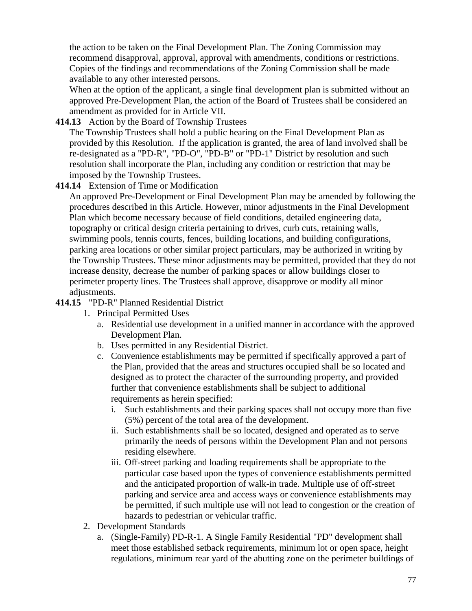the action to be taken on the Final Development Plan. The Zoning Commission may recommend disapproval, approval, approval with amendments, conditions or restrictions. Copies of the findings and recommendations of the Zoning Commission shall be made available to any other interested persons.

When at the option of the applicant, a single final development plan is submitted without an approved Pre-Development Plan, the action of the Board of Trustees shall be considered an amendment as provided for in Article VII.

#### **414.13** Action by the Board of Township Trustees

The Township Trustees shall hold a public hearing on the Final Development Plan as provided by this Resolution. If the application is granted, the area of land involved shall be re-designated as a "PD-R", "PD-O", "PD-B" or "PD-1" District by resolution and such resolution shall incorporate the Plan, including any condition or restriction that may be imposed by the Township Trustees.

## **414.14** Extension of Time or Modification

An approved Pre-Development or Final Development Plan may be amended by following the procedures described in this Article. However, minor adjustments in the Final Development Plan which become necessary because of field conditions, detailed engineering data, topography or critical design criteria pertaining to drives, curb cuts, retaining walls, swimming pools, tennis courts, fences, building locations, and building configurations, parking area locations or other similar project particulars, may be authorized in writing by the Township Trustees. These minor adjustments may be permitted, provided that they do not increase density, decrease the number of parking spaces or allow buildings closer to perimeter property lines. The Trustees shall approve, disapprove or modify all minor adjustments.

#### **414.15** "PD-R" Planned Residential District

- 1. Principal Permitted Uses
	- a. Residential use development in a unified manner in accordance with the approved Development Plan.
	- b. Uses permitted in any Residential District.
	- c. Convenience establishments may be permitted if specifically approved a part of the Plan, provided that the areas and structures occupied shall be so located and designed as to protect the character of the surrounding property, and provided further that convenience establishments shall be subject to additional requirements as herein specified:
		- i. Such establishments and their parking spaces shall not occupy more than five (5%) percent of the total area of the development.
		- ii. Such establishments shall be so located, designed and operated as to serve primarily the needs of persons within the Development Plan and not persons residing elsewhere.
		- iii. Off-street parking and loading requirements shall be appropriate to the particular case based upon the types of convenience establishments permitted and the anticipated proportion of walk-in trade. Multiple use of off-street parking and service area and access ways or convenience establishments may be permitted, if such multiple use will not lead to congestion or the creation of hazards to pedestrian or vehicular traffic.
- 2. Development Standards
	- a. (Single-Family) PD-R-1. A Single Family Residential "PD" development shall meet those established setback requirements, minimum lot or open space, height regulations, minimum rear yard of the abutting zone on the perimeter buildings of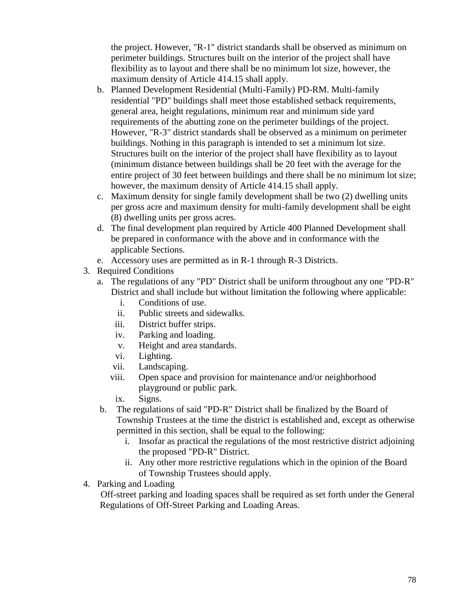the project. However, "R-1" district standards shall be observed as minimum on perimeter buildings. Structures built on the interior of the project shall have flexibility as to layout and there shall be no minimum lot size, however, the maximum density of Article 414.15 shall apply.

- b. Planned Development Residential (Multi-Family) PD-RM. Multi-family residential "PD" buildings shall meet those established setback requirements, general area, height regulations, minimum rear and minimum side yard requirements of the abutting zone on the perimeter buildings of the project. However, "R-3" district standards shall be observed as a minimum on perimeter buildings. Nothing in this paragraph is intended to set a minimum lot size. Structures built on the interior of the project shall have flexibility as to layout (minimum distance between buildings shall be 20 feet with the average for the entire project of 30 feet between buildings and there shall be no minimum lot size; however, the maximum density of Article 414.15 shall apply.
- c. Maximum density for single family development shall be two (2) dwelling units per gross acre and maximum density for multi-family development shall be eight (8) dwelling units per gross acres.
- d. The final development plan required by Article 400 Planned Development shall be prepared in conformance with the above and in conformance with the applicable Sections.
- e. Accessory uses are permitted as in R-1 through R-3 Districts.
- 3. Required Conditions
	- a. The regulations of any "PD" District shall be uniform throughout any one "PD-R" District and shall include but without limitation the following where applicable:
		- i. Conditions of use.
		- ii. Public streets and sidewalks.
		- iii. District buffer strips.
		- iv. Parking and loading.
		- v. Height and area standards.
		- vi. Lighting.
		- vii. Landscaping.
		- viii. Open space and provision for maintenance and/or neighborhood playground or public park.
		- ix. Signs.
	- b. The regulations of said "PD-R" District shall be finalized by the Board of Township Trustees at the time the district is established and, except as otherwise permitted in this section, shall be equal to the following:
		- i. Insofar as practical the regulations of the most restrictive district adjoining the proposed "PD-R" District.
		- ii. Any other more restrictive regulations which in the opinion of the Board of Township Trustees should apply.
- 4. Parking and Loading

Off-street parking and loading spaces shall be required as set forth under the General Regulations of Off-Street Parking and Loading Areas.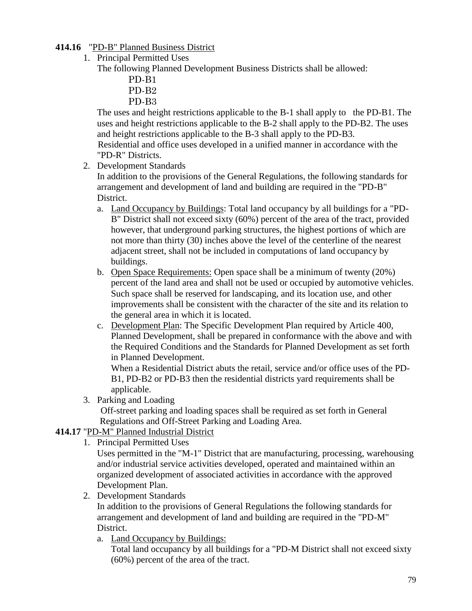## **414.16** "PD-B" Planned Business District

1. Principal Permitted Uses

The following Planned Development Business Districts shall be allowed:

- PD-B1
- PD-B2
- PD-B3

The uses and height restrictions applicable to the B-1 shall apply to the PD-B1. The uses and height restrictions applicable to the B-2 shall apply to the PD-B2. The uses and height restrictions applicable to the B-3 shall apply to the PD-B3. Residential and office uses developed in a unified manner in accordance with the "PD-R" Districts.

2. Development Standards

In addition to the provisions of the General Regulations, the following standards for arrangement and development of land and building are required in the "PD-B" District.

- a. Land Occupancy by Buildings: Total land occupancy by all buildings for a "PD-B" District shall not exceed sixty (60%) percent of the area of the tract, provided however, that underground parking structures, the highest portions of which are not more than thirty (30) inches above the level of the centerline of the nearest adjacent street, shall not be included in computations of land occupancy by buildings.
- b. Open Space Requirements: Open space shall be a minimum of twenty (20%) percent of the land area and shall not be used or occupied by automotive vehicles. Such space shall be reserved for landscaping, and its location use, and other improvements shall be consistent with the character of the site and its relation to the general area in which it is located.
- c. Development Plan: The Specific Development Plan required by Article 400, Planned Development, shall be prepared in conformance with the above and with the Required Conditions and the Standards for Planned Development as set forth in Planned Development.

When a Residential District abuts the retail, service and/or office uses of the PD-B1, PD-B2 or PD-B3 then the residential districts yard requirements shall be applicable.

3. Parking and Loading

Off-street parking and loading spaces shall be required as set forth in General Regulations and Off-Street Parking and Loading Area.

## **414.17** "PD-M" Planned Industrial District

1. Principal Permitted Uses

Uses permitted in the "M-1" District that are manufacturing, processing, warehousing and/or industrial service activities developed, operated and maintained within an organized development of associated activities in accordance with the approved Development Plan.

2. Development Standards

In addition to the provisions of General Regulations the following standards for arrangement and development of land and building are required in the "PD-M" District.

a. Land Occupancy by Buildings:

Total land occupancy by all buildings for a "PD-M District shall not exceed sixty (60%) percent of the area of the tract.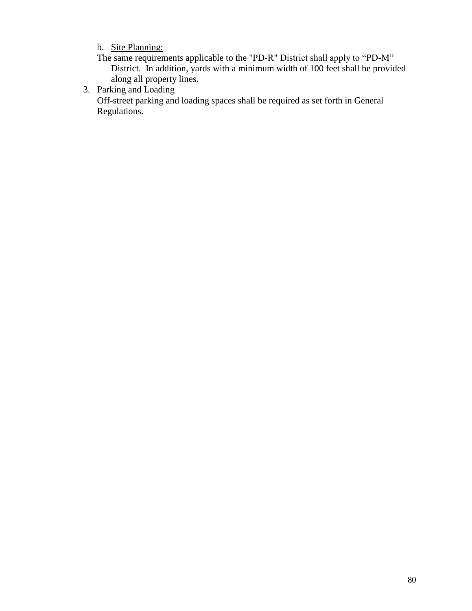b. Site Planning:

The same requirements applicable to the "PD-R" District shall apply to "PD-M" District. In addition, yards with a minimum width of 100 feet shall be provided along all property lines.

3. Parking and Loading

Off-street parking and loading spaces shall be required as set forth in General Regulations.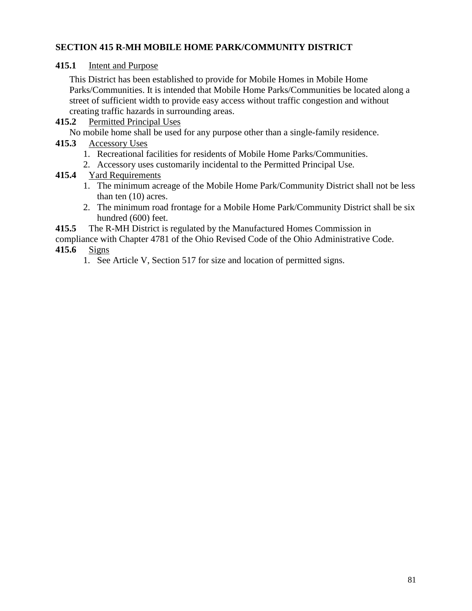## **SECTION 415 R-MH MOBILE HOME PARK/COMMUNITY DISTRICT**

#### **415.1** Intent and Purpose

This District has been established to provide for Mobile Homes in Mobile Home Parks/Communities. It is intended that Mobile Home Parks/Communities be located along a street of sufficient width to provide easy access without traffic congestion and without creating traffic hazards in surrounding areas.

#### **415.2** Permitted Principal Uses

No mobile home shall be used for any purpose other than a single-family residence.

#### **415.3** Accessory Uses

- 1. Recreational facilities for residents of Mobile Home Parks/Communities.
- 2. Accessory uses customarily incidental to the Permitted Principal Use.

## **415.4** Yard Requirements

- 1. The minimum acreage of the Mobile Home Park/Community District shall not be less than ten (10) acres.
- 2. The minimum road frontage for a Mobile Home Park/Community District shall be six hundred (600) feet.
- **415.5** The R-MH District is regulated by the Manufactured Homes Commission in
- compliance with Chapter 4781 of the Ohio Revised Code of the Ohio Administrative Code.

## **415.6** Signs

1. See Article V, Section 517 for size and location of permitted signs.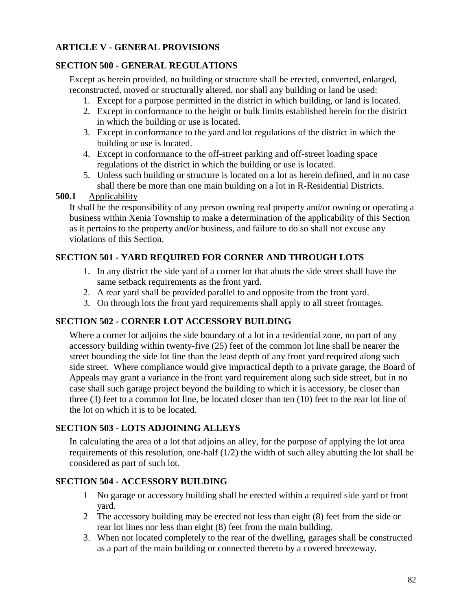# **ARTICLE V - GENERAL PROVISIONS**

## **SECTION 500 - GENERAL REGULATIONS**

Except as herein provided, no building or structure shall be erected, converted, enlarged, reconstructed, moved or structurally altered, nor shall any building or land be used:

- 1. Except for a purpose permitted in the district in which building, or land is located.
- 2. Except in conformance to the height or bulk limits established herein for the district in which the building or use is located.
- 3. Except in conformance to the yard and lot regulations of the district in which the building or use is located.
- 4. Except in conformance to the off-street parking and off-street loading space regulations of the district in which the building or use is located.
- 5. Unless such building or structure is located on a lot as herein defined, and in no case shall there be more than one main building on a lot in R-Residential Districts.

#### **500.1** Applicability

It shall be the responsibility of any person owning real property and/or owning or operating a business within Xenia Township to make a determination of the applicability of this Section as it pertains to the property and/or business, and failure to do so shall not excuse any violations of this Section.

## **SECTION 501 - YARD REQUIRED FOR CORNER AND THROUGH LOTS**

- 1. In any district the side yard of a corner lot that abuts the side street shall have the same setback requirements as the front yard.
- 2. A rear yard shall be provided parallel to and opposite from the front yard.
- 3. On through lots the front yard requirements shall apply to all street frontages.

#### **SECTION 502 - CORNER LOT ACCESSORY BUILDING**

Where a corner lot adjoins the side boundary of a lot in a residential zone, no part of any accessory building within twenty-five (25) feet of the common lot line shall be nearer the street bounding the side lot line than the least depth of any front yard required along such side street. Where compliance would give impractical depth to a private garage, the Board of Appeals may grant a variance in the front yard requirement along such side street, but in no case shall such garage project beyond the building to which it is accessory, be closer than three (3) feet to a common lot line, be located closer than ten (10) feet to the rear lot line of the lot on which it is to be located.

#### **SECTION 503 - LOTS ADJOINING ALLEYS**

In calculating the area of a lot that adjoins an alley, for the purpose of applying the lot area requirements of this resolution, one-half (1/2) the width of such alley abutting the lot shall be considered as part of such lot.

#### **SECTION 504 - ACCESSORY BUILDING**

- 1 No garage or accessory building shall be erected within a required side yard or front yard.
- 2 The accessory building may be erected not less than eight (8) feet from the side or rear lot lines nor less than eight (8) feet from the main building.
- 3. When not located completely to the rear of the dwelling, garages shall be constructed as a part of the main building or connected thereto by a covered breezeway.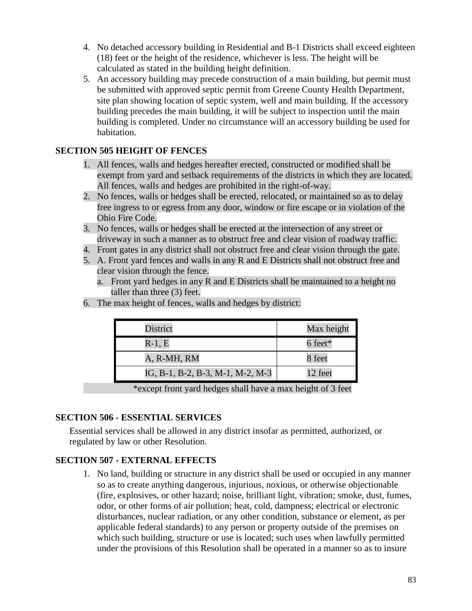- 4. No detached accessory building in Residential and B-1 Districts shall exceed eighteen (18) feet or the height of the residence, whichever is less. The height will be calculated as stated in the building height definition.
- 5. An accessory building may precede construction of a main building, but permit must be submitted with approved septic permit from Greene County Health Department, site plan showing location of septic system, well and main building. If the accessory building precedes the main building, it will be subject to inspection until the main building is completed. Under no circumstance will an accessory building be used for habitation.

## **SECTION 505 HEIGHT OF FENCES**

- 1. All fences, walls and hedges hereafter erected, constructed or modified shall be exempt from yard and setback requirements of the districts in which they are located. All fences, walls and hedges are prohibited in the right-of-way.
- 2. No fences, walls or hedges shall be erected, relocated, or maintained so as to delay free ingress to or egress from any door, window or fire escape or in violation of the Ohio Fire Code.
- 3. No fences, walls or hedges shall be erected at the intersection of any street or driveway in such a manner as to obstruct free and clear vision of roadway traffic.
- 4. Front gates in any district shall not obstruct free and clear vision through the gate.
- 5. A. Front yard fences and walls in any R and E Districts shall not obstruct free and clear vision through the fence.
	- a. Front yard hedges in any R and E Districts shall be maintained to a height no taller than three (3) feet.
- 6. The max height of fences, walls and hedges by district:

| District                         | Max height |
|----------------------------------|------------|
| $R-1, E$                         | 6 feet*    |
| A, R-MH, RM                      | 8 feet     |
| IG, B-1, B-2, B-3, M-1, M-2, M-3 | 12 feet    |

\*except front yard hedges shall have a max height of 3 feet

#### **SECTION 506 - ESSENTIAL SERVICES**

Essential services shall be allowed in any district insofar as permitted, authorized, or regulated by law or other Resolution.

## **SECTION 507 - EXTERNAL EFFECTS**

1. No land, building or structure in any district shall be used or occupied in any manner so as to create anything dangerous, injurious, noxious, or otherwise objectionable (fire, explosives, or other hazard; noise, brilliant light, vibration; smoke, dust, fumes, odor, or other forms of air pollution; heat, cold, dampness; electrical or electronic disturbances, nuclear radiation, or any other condition, substance or element, as per applicable federal standards) to any person or property outside of the premises on which such building, structure or use is located; such uses when lawfully permitted under the provisions of this Resolution shall be operated in a manner so as to insure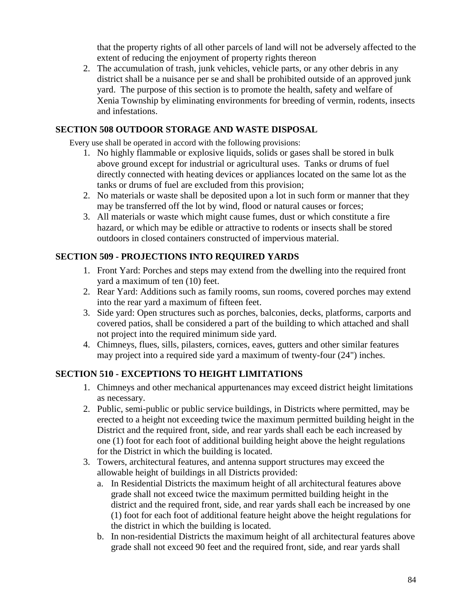that the property rights of all other parcels of land will not be adversely affected to the extent of reducing the enjoyment of property rights thereon

2. The accumulation of trash, junk vehicles, vehicle parts, or any other debris in any district shall be a nuisance per se and shall be prohibited outside of an approved junk yard. The purpose of this section is to promote the health, safety and welfare of Xenia Township by eliminating environments for breeding of vermin, rodents, insects and infestations.

## **SECTION 508 OUTDOOR STORAGE AND WASTE DISPOSAL**

Every use shall be operated in accord with the following provisions:

- 1. No highly flammable or explosive liquids, solids or gases shall be stored in bulk above ground except for industrial or agricultural uses. Tanks or drums of fuel directly connected with heating devices or appliances located on the same lot as the tanks or drums of fuel are excluded from this provision;
- 2. No materials or waste shall be deposited upon a lot in such form or manner that they may be transferred off the lot by wind, flood or natural causes or forces;
- 3. All materials or waste which might cause fumes, dust or which constitute a fire hazard, or which may be edible or attractive to rodents or insects shall be stored outdoors in closed containers constructed of impervious material.

## **SECTION 509 - PROJECTIONS INTO REQUIRED YARDS**

- 1. Front Yard: Porches and steps may extend from the dwelling into the required front yard a maximum of ten (10) feet.
- 2. Rear Yard: Additions such as family rooms, sun rooms, covered porches may extend into the rear yard a maximum of fifteen feet.
- 3. Side yard: Open structures such as porches, balconies, decks, platforms, carports and covered patios, shall be considered a part of the building to which attached and shall not project into the required minimum side yard.
- 4. Chimneys, flues, sills, pilasters, cornices, eaves, gutters and other similar features may project into a required side yard a maximum of twenty-four (24") inches.

# **SECTION 510 - EXCEPTIONS TO HEIGHT LIMITATIONS**

- 1. Chimneys and other mechanical appurtenances may exceed district height limitations as necessary.
- 2. Public, semi-public or public service buildings, in Districts where permitted, may be erected to a height not exceeding twice the maximum permitted building height in the District and the required front, side, and rear yards shall each be each increased by one (1) foot for each foot of additional building height above the height regulations for the District in which the building is located.
- 3. Towers, architectural features, and antenna support structures may exceed the allowable height of buildings in all Districts provided:
	- a. In Residential Districts the maximum height of all architectural features above grade shall not exceed twice the maximum permitted building height in the district and the required front, side, and rear yards shall each be increased by one (1) foot for each foot of additional feature height above the height regulations for the district in which the building is located.
	- b. In non-residential Districts the maximum height of all architectural features above grade shall not exceed 90 feet and the required front, side, and rear yards shall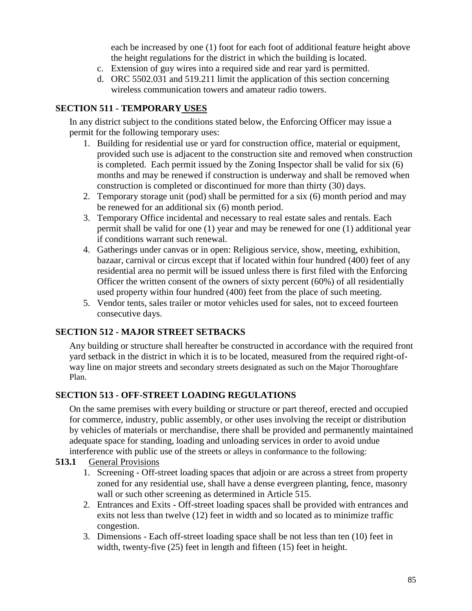each be increased by one (1) foot for each foot of additional feature height above the height regulations for the district in which the building is located.

- c. Extension of guy wires into a required side and rear yard is permitted.
- d. ORC 5502.031 and 519.211 limit the application of this section concerning wireless communication towers and amateur radio towers.

## **SECTION 511 - TEMPORARY USES**

In any district subject to the conditions stated below, the Enforcing Officer may issue a permit for the following temporary uses:

- 1. Building for residential use or yard for construction office, material or equipment, provided such use is adjacent to the construction site and removed when construction is completed. Each permit issued by the Zoning Inspector shall be valid for six (6) months and may be renewed if construction is underway and shall be removed when construction is completed or discontinued for more than thirty (30) days.
- 2. Temporary storage unit (pod) shall be permitted for a six (6) month period and may be renewed for an additional six (6) month period.
- 3. Temporary Office incidental and necessary to real estate sales and rentals. Each permit shall be valid for one (1) year and may be renewed for one (1) additional year if conditions warrant such renewal.
- 4. Gatherings under canvas or in open: Religious service, show, meeting, exhibition, bazaar, carnival or circus except that if located within four hundred (400) feet of any residential area no permit will be issued unless there is first filed with the Enforcing Officer the written consent of the owners of sixty percent (60%) of all residentially used property within four hundred (400) feet from the place of such meeting.
- 5. Vendor tents, sales trailer or motor vehicles used for sales, not to exceed fourteen consecutive days.

# **SECTION 512 - MAJOR STREET SETBACKS**

Any building or structure shall hereafter be constructed in accordance with the required front yard setback in the district in which it is to be located, measured from the required right-ofway line on major streets and secondary streets designated as such on the Major Thoroughfare Plan.

# **SECTION 513 - OFF-STREET LOADING REGULATIONS**

On the same premises with every building or structure or part thereof, erected and occupied for commerce, industry, public assembly, or other uses involving the receipt or distribution by vehicles of materials or merchandise, there shall be provided and permanently maintained adequate space for standing, loading and unloading services in order to avoid undue interference with public use of the streets or alleys in conformance to the following:

## **513.1** General Provisions

- 1. Screening Off-street loading spaces that adjoin or are across a street from property zoned for any residential use, shall have a dense evergreen planting, fence, masonry wall or such other screening as determined in Article 515.
- 2. Entrances and Exits Off-street loading spaces shall be provided with entrances and exits not less than twelve (12) feet in width and so located as to minimize traffic congestion.
- 3. Dimensions Each off-street loading space shall be not less than ten (10) feet in width, twenty-five (25) feet in length and fifteen (15) feet in height.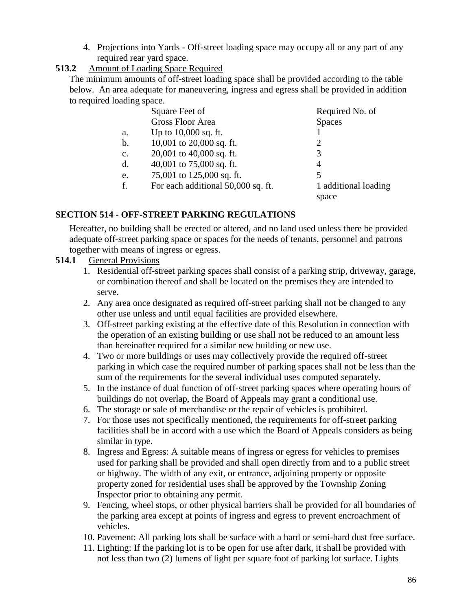4. Projections into Yards - Off-street loading space may occupy all or any part of any required rear yard space.

## **513.2** Amount of Loading Space Required

The minimum amounts of off-street loading space shall be provided according to the table below. An area adequate for maneuvering, ingress and egress shall be provided in addition to required loading space.

|                | Square Feet of                     | Required No. of             |
|----------------|------------------------------------|-----------------------------|
|                | <b>Gross Floor Area</b>            | <b>Spaces</b>               |
| a.             | Up to $10,000$ sq. ft.             |                             |
| b.             | 10,001 to 20,000 sq. ft.           | $\mathcal{D}_{\mathcal{L}}$ |
| $\mathbf{C}$ . | 20,001 to 40,000 sq. ft.           | 3                           |
| d.             | 40,001 to 75,000 sq. ft.           | 4                           |
| e.             | 75,001 to 125,000 sq. ft.          |                             |
| f.             | For each additional 50,000 sq. ft. | 1 additional loading        |
|                |                                    | space                       |

# **SECTION 514 - OFF-STREET PARKING REGULATIONS**

Hereafter, no building shall be erected or altered, and no land used unless there be provided adequate off-street parking space or spaces for the needs of tenants, personnel and patrons together with means of ingress or egress.

## **514.1** General Provisions

- 1. Residential off-street parking spaces shall consist of a parking strip, driveway, garage, or combination thereof and shall be located on the premises they are intended to serve.
- 2. Any area once designated as required off-street parking shall not be changed to any other use unless and until equal facilities are provided elsewhere.
- 3. Off-street parking existing at the effective date of this Resolution in connection with the operation of an existing building or use shall not be reduced to an amount less than hereinafter required for a similar new building or new use.
- 4. Two or more buildings or uses may collectively provide the required off-street parking in which case the required number of parking spaces shall not be less than the sum of the requirements for the several individual uses computed separately.
- 5. In the instance of dual function of off-street parking spaces where operating hours of buildings do not overlap, the Board of Appeals may grant a conditional use.
- 6. The storage or sale of merchandise or the repair of vehicles is prohibited.
- 7. For those uses not specifically mentioned, the requirements for off-street parking facilities shall be in accord with a use which the Board of Appeals considers as being similar in type.
- 8. Ingress and Egress: A suitable means of ingress or egress for vehicles to premises used for parking shall be provided and shall open directly from and to a public street or highway. The width of any exit, or entrance, adjoining property or opposite property zoned for residential uses shall be approved by the Township Zoning Inspector prior to obtaining any permit.
- 9. Fencing, wheel stops, or other physical barriers shall be provided for all boundaries of the parking area except at points of ingress and egress to prevent encroachment of vehicles.
- 10. Pavement: All parking lots shall be surface with a hard or semi-hard dust free surface.
- 11. Lighting: If the parking lot is to be open for use after dark, it shall be provided with not less than two (2) lumens of light per square foot of parking lot surface. Lights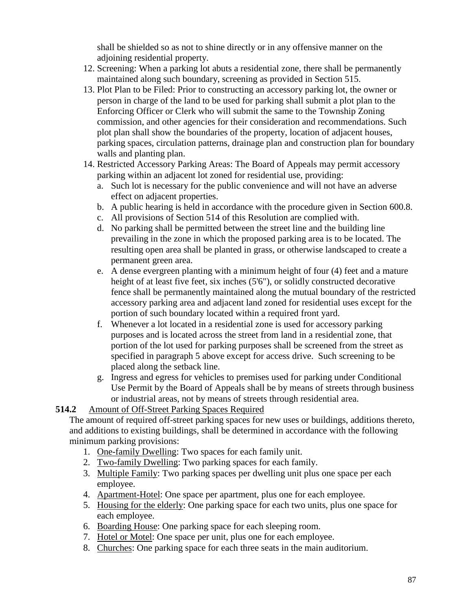shall be shielded so as not to shine directly or in any offensive manner on the adjoining residential property.

- 12. Screening: When a parking lot abuts a residential zone, there shall be permanently maintained along such boundary, screening as provided in Section 515.
- 13. Plot Plan to be Filed: Prior to constructing an accessory parking lot, the owner or person in charge of the land to be used for parking shall submit a plot plan to the Enforcing Officer or Clerk who will submit the same to the Township Zoning commission, and other agencies for their consideration and recommendations. Such plot plan shall show the boundaries of the property, location of adjacent houses, parking spaces, circulation patterns, drainage plan and construction plan for boundary walls and planting plan.
- 14. Restricted Accessory Parking Areas: The Board of Appeals may permit accessory parking within an adjacent lot zoned for residential use, providing:
	- a. Such lot is necessary for the public convenience and will not have an adverse effect on adjacent properties.
	- b. A public hearing is held in accordance with the procedure given in Section 600.8.
	- c. All provisions of Section 514 of this Resolution are complied with.
	- d. No parking shall be permitted between the street line and the building line prevailing in the zone in which the proposed parking area is to be located. The resulting open area shall be planted in grass, or otherwise landscaped to create a permanent green area.
	- e. A dense evergreen planting with a minimum height of four (4) feet and a mature height of at least five feet, six inches (5'6"), or solidly constructed decorative fence shall be permanently maintained along the mutual boundary of the restricted accessory parking area and adjacent land zoned for residential uses except for the portion of such boundary located within a required front yard.
	- f. Whenever a lot located in a residential zone is used for accessory parking purposes and is located across the street from land in a residential zone, that portion of the lot used for parking purposes shall be screened from the street as specified in paragraph 5 above except for access drive. Such screening to be placed along the setback line.
	- g. Ingress and egress for vehicles to premises used for parking under Conditional Use Permit by the Board of Appeals shall be by means of streets through business or industrial areas, not by means of streets through residential area.

# **514.2** Amount of Off-Street Parking Spaces Required

The amount of required off-street parking spaces for new uses or buildings, additions thereto, and additions to existing buildings, shall be determined in accordance with the following minimum parking provisions:

- 1. One-family Dwelling: Two spaces for each family unit.
- 2. Two-family Dwelling: Two parking spaces for each family.
- 3. Multiple Family: Two parking spaces per dwelling unit plus one space per each employee.
- 4. Apartment-Hotel: One space per apartment, plus one for each employee.
- 5. Housing for the elderly: One parking space for each two units, plus one space for each employee.
- 6. Boarding House: One parking space for each sleeping room.
- 7. Hotel or Motel: One space per unit, plus one for each employee.
- 8. Churches: One parking space for each three seats in the main auditorium.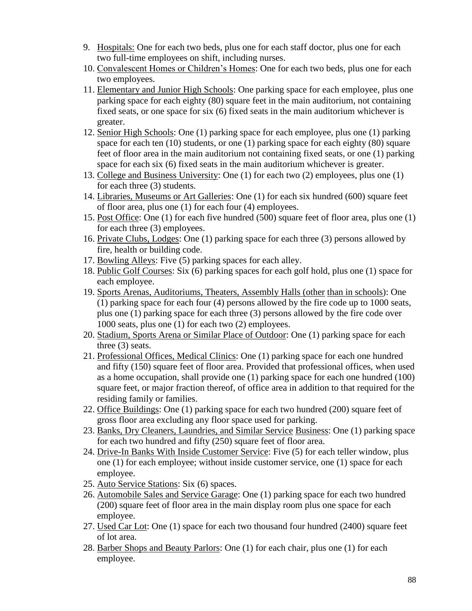- 9. Hospitals: One for each two beds, plus one for each staff doctor, plus one for each two full-time employees on shift, including nurses.
- 10. Convalescent Homes or Children's Homes: One for each two beds, plus one for each two employees.
- 11. Elementary and Junior High Schools: One parking space for each employee, plus one parking space for each eighty (80) square feet in the main auditorium, not containing fixed seats, or one space for six (6) fixed seats in the main auditorium whichever is greater.
- 12. Senior High Schools: One (1) parking space for each employee, plus one (1) parking space for each ten (10) students, or one (1) parking space for each eighty (80) square feet of floor area in the main auditorium not containing fixed seats, or one (1) parking space for each six (6) fixed seats in the main auditorium whichever is greater.
- 13. College and Business University: One (1) for each two (2) employees, plus one (1) for each three (3) students.
- 14. Libraries, Museums or Art Galleries: One (1) for each six hundred (600) square feet of floor area, plus one (1) for each four (4) employees.
- 15. Post Office: One (1) for each five hundred (500) square feet of floor area, plus one (1) for each three (3) employees.
- 16. Private Clubs, Lodges: One (1) parking space for each three (3) persons allowed by fire, health or building code.
- 17. Bowling Alleys: Five (5) parking spaces for each alley.
- 18. Public Golf Courses: Six (6) parking spaces for each golf hold, plus one (1) space for each employee.
- 19. Sports Arenas, Auditoriums, Theaters, Assembly Halls (other than in schools): One (1) parking space for each four (4) persons allowed by the fire code up to 1000 seats, plus one (1) parking space for each three (3) persons allowed by the fire code over 1000 seats, plus one (1) for each two (2) employees.
- 20. Stadium, Sports Arena or Similar Place of Outdoor: One (1) parking space for each three (3) seats.
- 21. Professional Offices, Medical Clinics: One (1) parking space for each one hundred and fifty (150) square feet of floor area. Provided that professional offices, when used as a home occupation, shall provide one (1) parking space for each one hundred (100) square feet, or major fraction thereof, of office area in addition to that required for the residing family or families.
- 22. Office Buildings: One (1) parking space for each two hundred (200) square feet of gross floor area excluding any floor space used for parking.
- 23. Banks, Dry Cleaners, Laundries, and Similar Service Business: One (1) parking space for each two hundred and fifty (250) square feet of floor area.
- 24. Drive-In Banks With Inside Customer Service: Five (5) for each teller window, plus one (1) for each employee; without inside customer service, one (1) space for each employee.
- 25. Auto Service Stations: Six (6) spaces.
- 26. Automobile Sales and Service Garage: One (1) parking space for each two hundred (200) square feet of floor area in the main display room plus one space for each employee.
- 27. Used Car Lot: One (1) space for each two thousand four hundred (2400) square feet of lot area.
- 28. Barber Shops and Beauty Parlors: One (1) for each chair, plus one (1) for each employee.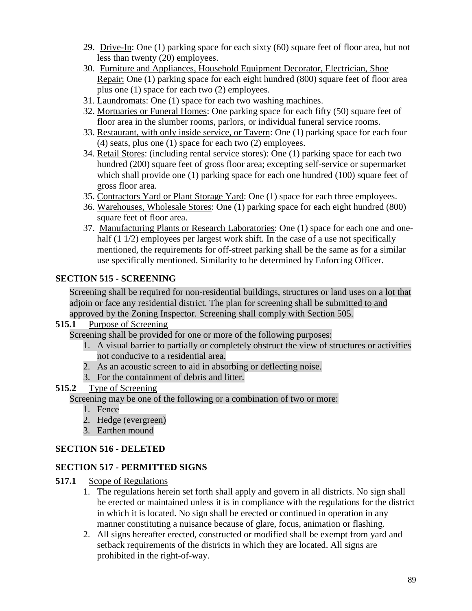- 29. Drive-In: One (1) parking space for each sixty (60) square feet of floor area, but not less than twenty (20) employees.
- 30. Furniture and Appliances, Household Equipment Decorator, Electrician, Shoe Repair: One (1) parking space for each eight hundred (800) square feet of floor area plus one (1) space for each two (2) employees.
- 31. Laundromats: One (1) space for each two washing machines.
- 32. Mortuaries or Funeral Homes: One parking space for each fifty (50) square feet of floor area in the slumber rooms, parlors, or individual funeral service rooms.
- 33. Restaurant, with only inside service, or Tavern: One (1) parking space for each four (4) seats, plus one (1) space for each two (2) employees.
- 34. Retail Stores: (including rental service stores): One (1) parking space for each two hundred (200) square feet of gross floor area; excepting self-service or supermarket which shall provide one (1) parking space for each one hundred (100) square feet of gross floor area.
- 35. Contractors Yard or Plant Storage Yard: One (1) space for each three employees.
- 36. Warehouses, Wholesale Stores: One (1) parking space for each eight hundred (800) square feet of floor area.
- 37. Manufacturing Plants or Research Laboratories: One (1) space for each one and onehalf (1 1/2) employees per largest work shift. In the case of a use not specifically mentioned, the requirements for off-street parking shall be the same as for a similar use specifically mentioned. Similarity to be determined by Enforcing Officer.

# **SECTION 515 - SCREENING**

Screening shall be required for non-residential buildings, structures or land uses on a lot that adjoin or face any residential district. The plan for screening shall be submitted to and approved by the Zoning Inspector. Screening shall comply with Section 505.

## **515.1** Purpose of Screening

Screening shall be provided for one or more of the following purposes:

- 1. A visual barrier to partially or completely obstruct the view of structures or activities not conducive to a residential area.
- 2. As an acoustic screen to aid in absorbing or deflecting noise.
- 3. For the containment of debris and litter.

# **515.2** Type of Screening

Screening may be one of the following or a combination of two or more:

- 1. Fence
- 2. Hedge (evergreen)
- 3. Earthen mound

# **SECTION 516 - DELETED**

# **SECTION 517 - PERMITTED SIGNS**

- **517.1** Scope of Regulations
	- 1. The regulations herein set forth shall apply and govern in all districts. No sign shall be erected or maintained unless it is in compliance with the regulations for the district in which it is located. No sign shall be erected or continued in operation in any manner constituting a nuisance because of glare, focus, animation or flashing.
	- 2. All signs hereafter erected, constructed or modified shall be exempt from yard and setback requirements of the districts in which they are located. All signs are prohibited in the right-of-way.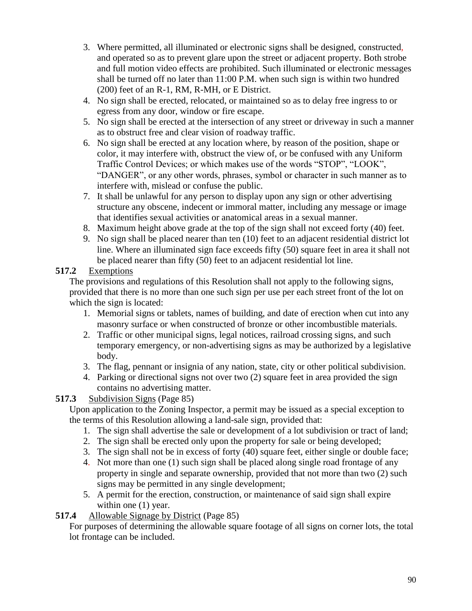- 3. Where permitted, all illuminated or electronic signs shall be designed, constructed, and operated so as to prevent glare upon the street or adjacent property. Both strobe and full motion video effects are prohibited. Such illuminated or electronic messages shall be turned off no later than 11:00 P.M. when such sign is within two hundred (200) feet of an R-1, RM, R-MH, or E District.
- 4. No sign shall be erected, relocated, or maintained so as to delay free ingress to or egress from any door, window or fire escape.
- 5. No sign shall be erected at the intersection of any street or driveway in such a manner as to obstruct free and clear vision of roadway traffic.
- 6. No sign shall be erected at any location where, by reason of the position, shape or color, it may interfere with, obstruct the view of, or be confused with any Uniform Traffic Control Devices; or which makes use of the words "STOP", "LOOK", "DANGER", or any other words, phrases, symbol or character in such manner as to interfere with, mislead or confuse the public.
- 7. It shall be unlawful for any person to display upon any sign or other advertising structure any obscene, indecent or immoral matter, including any message or image that identifies sexual activities or anatomical areas in a sexual manner.
- 8. Maximum height above grade at the top of the sign shall not exceed forty (40) feet.
- 9. No sign shall be placed nearer than ten (10) feet to an adjacent residential district lot line. Where an illuminated sign face exceeds fifty (50) square feet in area it shall not be placed nearer than fifty (50) feet to an adjacent residential lot line.

# **517.2** Exemptions

The provisions and regulations of this Resolution shall not apply to the following signs, provided that there is no more than one such sign per use per each street front of the lot on which the sign is located:

- 1. Memorial signs or tablets, names of building, and date of erection when cut into any masonry surface or when constructed of bronze or other incombustible materials.
- 2. Traffic or other municipal signs, legal notices, railroad crossing signs, and such temporary emergency, or non-advertising signs as may be authorized by a legislative body.
- 3. The flag, pennant or insignia of any nation, state, city or other political subdivision.
- 4. Parking or directional signs not over two (2) square feet in area provided the sign contains no advertising matter.

# **517.3** Subdivision Signs (Page 85)

Upon application to the Zoning Inspector, a permit may be issued as a special exception to the terms of this Resolution allowing a land-sale sign, provided that:

- 1. The sign shall advertise the sale or development of a lot subdivision or tract of land;
- 2. The sign shall be erected only upon the property for sale or being developed;
- 3. The sign shall not be in excess of forty (40) square feet, either single or double face;
- 4. Not more than one (1) such sign shall be placed along single road frontage of any property in single and separate ownership, provided that not more than two (2) such signs may be permitted in any single development;
- 5. A permit for the erection, construction, or maintenance of said sign shall expire within one  $(1)$  year.

# **517.4** Allowable Signage by District (Page 85)

For purposes of determining the allowable square footage of all signs on corner lots, the total lot frontage can be included.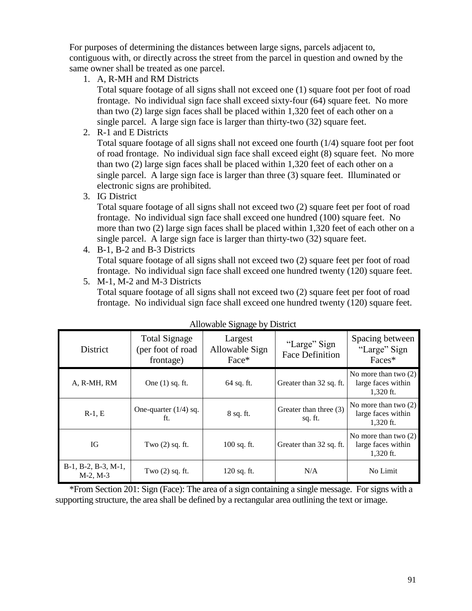For purposes of determining the distances between large signs, parcels adjacent to, contiguous with, or directly across the street from the parcel in question and owned by the same owner shall be treated as one parcel.

1. A, R-MH and RM Districts

Total square footage of all signs shall not exceed one (1) square foot per foot of road frontage. No individual sign face shall exceed sixty-four (64) square feet. No more than two (2) large sign faces shall be placed within 1,320 feet of each other on a single parcel. A large sign face is larger than thirty-two (32) square feet.

2. R-1 and E Districts

Total square footage of all signs shall not exceed one fourth (1/4) square foot per foot of road frontage. No individual sign face shall exceed eight (8) square feet. No more than two (2) large sign faces shall be placed within 1,320 feet of each other on a single parcel. A large sign face is larger than three (3) square feet. Illuminated or electronic signs are prohibited.

3. IG District

Total square footage of all signs shall not exceed two (2) square feet per foot of road frontage. No individual sign face shall exceed one hundred (100) square feet. No more than two (2) large sign faces shall be placed within 1,320 feet of each other on a single parcel. A large sign face is larger than thirty-two (32) square feet.

- 4. B-1, B-2 and B-3 Districts Total square footage of all signs shall not exceed two (2) square feet per foot of road frontage. No individual sign face shall exceed one hundred twenty (120) square feet.
- 5. M-1, M-2 and M-3 Districts Total square footage of all signs shall not exceed two (2) square feet per foot of road frontage. No individual sign face shall exceed one hundred twenty (120) square feet.

| District                             | <b>Total Signage</b><br>(per foot of road)<br>frontage) | Largest<br>Allowable Sign<br>Face* | "Large" Sign<br><b>Face Definition</b> | Spacing between<br>"Large" Sign<br>Faces*                   |
|--------------------------------------|---------------------------------------------------------|------------------------------------|----------------------------------------|-------------------------------------------------------------|
| A, R-MH, RM                          | One $(1)$ sq. ft.                                       | $64$ sq. ft.                       | Greater than 32 sq. ft.                | No more than two $(2)$<br>large faces within<br>1.320 ft.   |
| $R-1, E$                             | One-quarter $(1/4)$ sq.<br>ft.                          | $8$ sq. ft.                        | Greater than three (3)<br>sq. ft.      | No more than two $(2)$<br>large faces within<br>1,320 ft.   |
| IG                                   | Two $(2)$ sq. ft.                                       | $100$ sq. ft.                      | Greater than 32 sq. ft.                | No more than two $(2)$<br>large faces within<br>$1,320$ ft. |
| B-1, B-2, B-3, M-1,<br>$M-2$ , $M-3$ | Two $(2)$ sq. ft.                                       | $120$ sq. ft.                      | N/A                                    | No Limit                                                    |

|  | Allowable Signage by District |
|--|-------------------------------|
|  |                               |

\*From Section 201: Sign (Face): The area of a sign containing a single message. For signs with a supporting structure, the area shall be defined by a rectangular area outlining the text or image.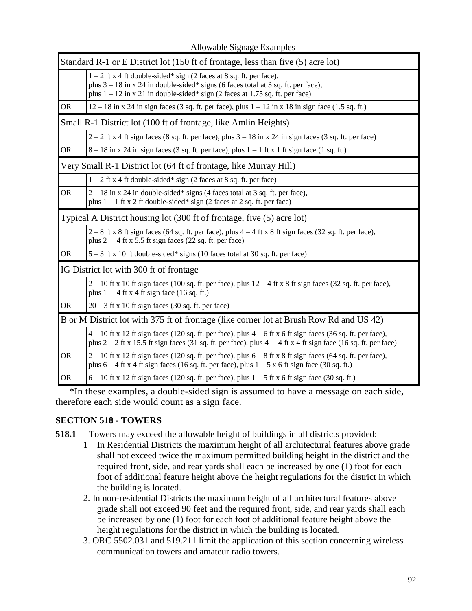| Standard R-1 or E District lot (150 ft of frontage, less than five (5) acre lot) |                                                                                                                                                                                                                                                |  |  |  |
|----------------------------------------------------------------------------------|------------------------------------------------------------------------------------------------------------------------------------------------------------------------------------------------------------------------------------------------|--|--|--|
|                                                                                  | $1 - 2$ ft x 4 ft double-sided* sign (2 faces at 8 sq. ft. per face),<br>plus $3 - 18$ in x 24 in double-sided* signs (6 faces total at 3 sq. ft. per face),<br>plus $1 - 12$ in x 21 in double-sided* sign (2 faces at 1.75 sq. ft. per face) |  |  |  |
| <b>OR</b>                                                                        | $12 - 18$ in x 24 in sign faces (3 sq. ft. per face), plus $1 - 12$ in x 18 in sign face (1.5 sq. ft.)                                                                                                                                         |  |  |  |
|                                                                                  | Small R-1 District lot (100 ft of frontage, like Amlin Heights)                                                                                                                                                                                |  |  |  |
|                                                                                  | $2-2$ ft x 4 ft sign faces (8 sq. ft. per face), plus $3-18$ in x 24 in sign faces (3 sq. ft. per face)                                                                                                                                        |  |  |  |
| <b>OR</b>                                                                        | $8-18$ in x 24 in sign faces (3 sq. ft. per face), plus $1-1$ ft x 1 ft sign face (1 sq. ft.)                                                                                                                                                  |  |  |  |
| Very Small R-1 District lot (64 ft of frontage, like Murray Hill)                |                                                                                                                                                                                                                                                |  |  |  |
|                                                                                  | $1 - 2$ ft x 4 ft double-sided* sign (2 faces at 8 sq. ft. per face)                                                                                                                                                                           |  |  |  |
| <b>OR</b>                                                                        | $2 - 18$ in x 24 in double-sided* signs (4 faces total at 3 sq. ft. per face),<br>plus $1 - 1$ ft x 2 ft double-sided* sign (2 faces at 2 sq. ft. per face)                                                                                    |  |  |  |
| Typical A District housing lot (300 ft of frontage, five (5) acre lot)           |                                                                                                                                                                                                                                                |  |  |  |
|                                                                                  | $2-8$ ft x 8 ft sign faces (64 sq. ft. per face), plus $4-4$ ft x 8 ft sign faces (32 sq. ft. per face),<br>plus $2 - 4$ ft x 5.5 ft sign faces (22 sq. ft. per face)                                                                          |  |  |  |
| <b>OR</b>                                                                        | 5 - 3 ft x 10 ft double-sided* signs (10 faces total at 30 sq. ft. per face)                                                                                                                                                                   |  |  |  |
|                                                                                  | IG District lot with 300 ft of frontage                                                                                                                                                                                                        |  |  |  |
|                                                                                  | $2-10$ ft x 10 ft sign faces (100 sq. ft. per face), plus $12-4$ ft x 8 ft sign faces (32 sq. ft. per face),<br>plus $1 - 4$ ft x 4 ft sign face (16 sq. ft.)                                                                                  |  |  |  |
| <b>OR</b>                                                                        | $20 - 3$ ft x 10 ft sign faces (30 sq. ft. per face)                                                                                                                                                                                           |  |  |  |
|                                                                                  | B or M District lot with 375 ft of frontage (like corner lot at Brush Row Rd and US 42)                                                                                                                                                        |  |  |  |
|                                                                                  | $4-10$ ft x 12 ft sign faces (120 sq. ft. per face), plus $4-6$ ft x 6 ft sign faces (36 sq. ft. per face),<br>plus $2-2$ ft x 15.5 ft sign faces (31 sq. ft. per face), plus $4-4$ ft x 4 ft sign face (16 sq. ft. per face)                  |  |  |  |
| <b>OR</b>                                                                        | $2-10$ ft x 12 ft sign faces (120 sq. ft. per face), plus $6-8$ ft x 8 ft sign faces (64 sq. ft. per face),<br>plus $6 - 4$ ft x 4 ft sign faces (16 sq. ft. per face), plus $1 - 5$ x 6 ft sign face (30 sq. ft.)                             |  |  |  |
| <b>OR</b>                                                                        | $6 - 10$ ft x 12 ft sign faces (120 sq. ft. per face), plus $1 - 5$ ft x 6 ft sign face (30 sq. ft.)                                                                                                                                           |  |  |  |

Allowable Signage Examples

\*In these examples, a double-sided sign is assumed to have a message on each side, therefore each side would count as a sign face.

# **SECTION 518 - TOWERS**

**518.1** Towers may exceed the allowable height of buildings in all districts provided:

- 1 In Residential Districts the maximum height of all architectural features above grade shall not exceed twice the maximum permitted building height in the district and the required front, side, and rear yards shall each be increased by one (1) foot for each foot of additional feature height above the height regulations for the district in which the building is located.
- 2. In non-residential Districts the maximum height of all architectural features above grade shall not exceed 90 feet and the required front, side, and rear yards shall each be increased by one (1) foot for each foot of additional feature height above the height regulations for the district in which the building is located.
- 3. ORC 5502.031 and 519.211 limit the application of this section concerning wireless communication towers and amateur radio towers.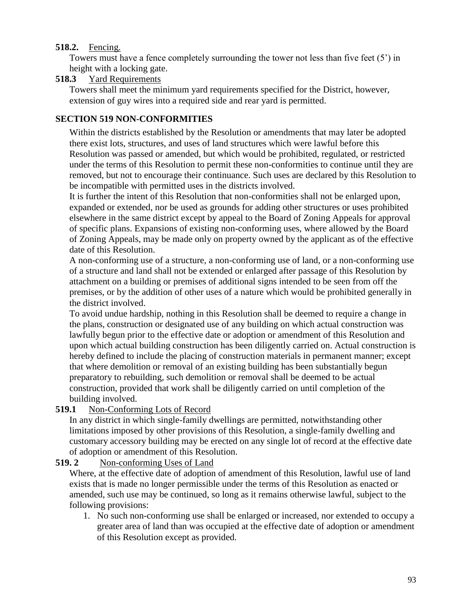## **518.2.** Fencing.

Towers must have a fence completely surrounding the tower not less than five feet (5') in height with a locking gate.

## **518.3** Yard Requirements

Towers shall meet the minimum yard requirements specified for the District, however, extension of guy wires into a required side and rear yard is permitted.

# **SECTION 519 NON-CONFORMITIES**

Within the districts established by the Resolution or amendments that may later be adopted there exist lots, structures, and uses of land structures which were lawful before this Resolution was passed or amended, but which would be prohibited, regulated, or restricted under the terms of this Resolution to permit these non-conformities to continue until they are removed, but not to encourage their continuance. Such uses are declared by this Resolution to be incompatible with permitted uses in the districts involved.

It is further the intent of this Resolution that non-conformities shall not be enlarged upon, expanded or extended, nor be used as grounds for adding other structures or uses prohibited elsewhere in the same district except by appeal to the Board of Zoning Appeals for approval of specific plans. Expansions of existing non-conforming uses, where allowed by the Board of Zoning Appeals, may be made only on property owned by the applicant as of the effective date of this Resolution.

A non-conforming use of a structure, a non-conforming use of land, or a non-conforming use of a structure and land shall not be extended or enlarged after passage of this Resolution by attachment on a building or premises of additional signs intended to be seen from off the premises, or by the addition of other uses of a nature which would be prohibited generally in the district involved.

To avoid undue hardship, nothing in this Resolution shall be deemed to require a change in the plans, construction or designated use of any building on which actual construction was lawfully begun prior to the effective date or adoption or amendment of this Resolution and upon which actual building construction has been diligently carried on. Actual construction is hereby defined to include the placing of construction materials in permanent manner; except that where demolition or removal of an existing building has been substantially begun preparatory to rebuilding, such demolition or removal shall be deemed to be actual construction, provided that work shall be diligently carried on until completion of the building involved.

# **519.1** Non-Conforming Lots of Record

In any district in which single-family dwellings are permitted, notwithstanding other limitations imposed by other provisions of this Resolution, a single-family dwelling and customary accessory building may be erected on any single lot of record at the effective date of adoption or amendment of this Resolution.

# **519. 2** Non-conforming Uses of Land

Where, at the effective date of adoption of amendment of this Resolution, lawful use of land exists that is made no longer permissible under the terms of this Resolution as enacted or amended, such use may be continued, so long as it remains otherwise lawful, subject to the following provisions:

1. No such non-conforming use shall be enlarged or increased, nor extended to occupy a greater area of land than was occupied at the effective date of adoption or amendment of this Resolution except as provided.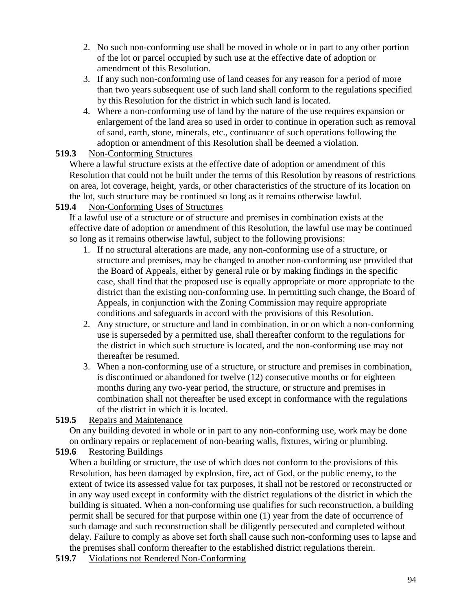- 2. No such non-conforming use shall be moved in whole or in part to any other portion of the lot or parcel occupied by such use at the effective date of adoption or amendment of this Resolution.
- 3. If any such non-conforming use of land ceases for any reason for a period of more than two years subsequent use of such land shall conform to the regulations specified by this Resolution for the district in which such land is located.
- 4. Where a non-conforming use of land by the nature of the use requires expansion or enlargement of the land area so used in order to continue in operation such as removal of sand, earth, stone, minerals, etc., continuance of such operations following the adoption or amendment of this Resolution shall be deemed a violation.

## **519.3** Non-Conforming Structures

Where a lawful structure exists at the effective date of adoption or amendment of this Resolution that could not be built under the terms of this Resolution by reasons of restrictions on area, lot coverage, height, yards, or other characteristics of the structure of its location on the lot, such structure may be continued so long as it remains otherwise lawful.

# **519.4** Non-Conforming Uses of Structures

If a lawful use of a structure or of structure and premises in combination exists at the effective date of adoption or amendment of this Resolution, the lawful use may be continued so long as it remains otherwise lawful, subject to the following provisions:

- 1. If no structural alterations are made, any non-conforming use of a structure, or structure and premises, may be changed to another non-conforming use provided that the Board of Appeals, either by general rule or by making findings in the specific case, shall find that the proposed use is equally appropriate or more appropriate to the district than the existing non-conforming use. In permitting such change, the Board of Appeals, in conjunction with the Zoning Commission may require appropriate conditions and safeguards in accord with the provisions of this Resolution.
- 2. Any structure, or structure and land in combination, in or on which a non-conforming use is superseded by a permitted use, shall thereafter conform to the regulations for the district in which such structure is located, and the non-conforming use may not thereafter be resumed.
- 3. When a non-conforming use of a structure, or structure and premises in combination, is discontinued or abandoned for twelve (12) consecutive months or for eighteen months during any two-year period, the structure, or structure and premises in combination shall not thereafter be used except in conformance with the regulations of the district in which it is located.

# **519.5** Repairs and Maintenance

On any building devoted in whole or in part to any non-conforming use, work may be done on ordinary repairs or replacement of non-bearing walls, fixtures, wiring or plumbing.

# **519.6** Restoring Buildings

When a building or structure, the use of which does not conform to the provisions of this Resolution, has been damaged by explosion, fire, act of God, or the public enemy, to the extent of twice its assessed value for tax purposes, it shall not be restored or reconstructed or in any way used except in conformity with the district regulations of the district in which the building is situated. When a non-conforming use qualifies for such reconstruction, a building permit shall be secured for that purpose within one (1) year from the date of occurrence of such damage and such reconstruction shall be diligently persecuted and completed without delay. Failure to comply as above set forth shall cause such non-conforming uses to lapse and the premises shall conform thereafter to the established district regulations therein.

**519.7** Violations not Rendered Non-Conforming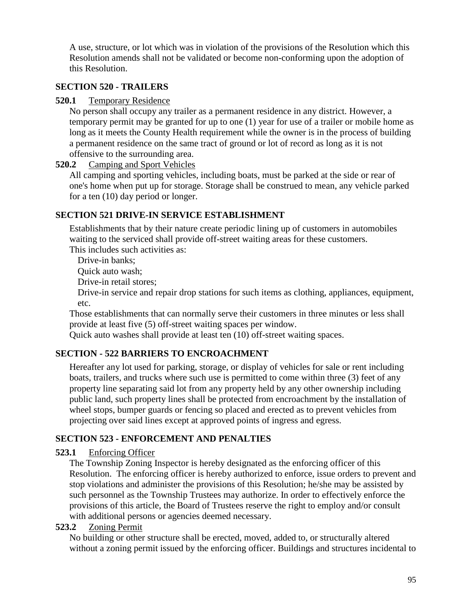A use, structure, or lot which was in violation of the provisions of the Resolution which this Resolution amends shall not be validated or become non-conforming upon the adoption of this Resolution.

## **SECTION 520 - TRAILERS**

#### **520.1** Temporary Residence

No person shall occupy any trailer as a permanent residence in any district. However, a temporary permit may be granted for up to one (1) year for use of a trailer or mobile home as long as it meets the County Health requirement while the owner is in the process of building a permanent residence on the same tract of ground or lot of record as long as it is not offensive to the surrounding area.

#### **520.2** Camping and Sport Vehicles

All camping and sporting vehicles, including boats, must be parked at the side or rear of one's home when put up for storage. Storage shall be construed to mean, any vehicle parked for a ten (10) day period or longer.

## **SECTION 521 DRIVE-IN SERVICE ESTABLISHMENT**

Establishments that by their nature create periodic lining up of customers in automobiles waiting to the serviced shall provide off-street waiting areas for these customers. This includes such activities as:

Drive-in banks;

Quick auto wash;

Drive-in retail stores;

Drive-in service and repair drop stations for such items as clothing, appliances, equipment, etc.

Those establishments that can normally serve their customers in three minutes or less shall provide at least five (5) off-street waiting spaces per window.

Quick auto washes shall provide at least ten (10) off-street waiting spaces.

# **SECTION - 522 BARRIERS TO ENCROACHMENT**

Hereafter any lot used for parking, storage, or display of vehicles for sale or rent including boats, trailers, and trucks where such use is permitted to come within three (3) feet of any property line separating said lot from any property held by any other ownership including public land, such property lines shall be protected from encroachment by the installation of wheel stops, bumper guards or fencing so placed and erected as to prevent vehicles from projecting over said lines except at approved points of ingress and egress.

# **SECTION 523 - ENFORCEMENT AND PENALTIES**

## **523.1** Enforcing Officer

The Township Zoning Inspector is hereby designated as the enforcing officer of this Resolution. The enforcing officer is hereby authorized to enforce, issue orders to prevent and stop violations and administer the provisions of this Resolution; he/she may be assisted by such personnel as the Township Trustees may authorize. In order to effectively enforce the provisions of this article, the Board of Trustees reserve the right to employ and/or consult with additional persons or agencies deemed necessary.

## **523.2** Zoning Permit

No building or other structure shall be erected, moved, added to, or structurally altered without a zoning permit issued by the enforcing officer. Buildings and structures incidental to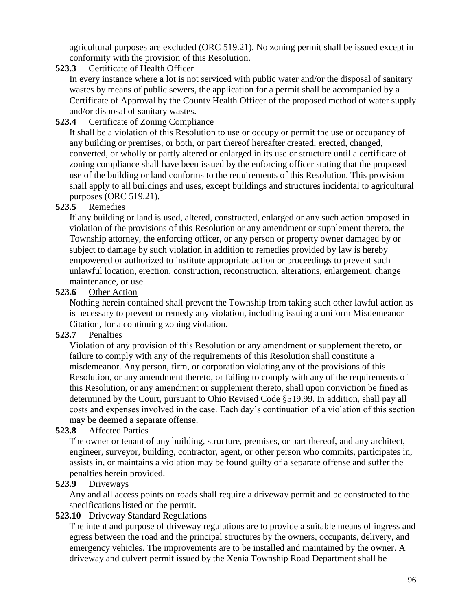agricultural purposes are excluded (ORC 519.21). No zoning permit shall be issued except in conformity with the provision of this Resolution.

## **523.3** Certificate of Health Officer

In every instance where a lot is not serviced with public water and/or the disposal of sanitary wastes by means of public sewers, the application for a permit shall be accompanied by a Certificate of Approval by the County Health Officer of the proposed method of water supply and/or disposal of sanitary wastes.

## **523.4** Certificate of Zoning Compliance

It shall be a violation of this Resolution to use or occupy or permit the use or occupancy of any building or premises, or both, or part thereof hereafter created, erected, changed, converted, or wholly or partly altered or enlarged in its use or structure until a certificate of zoning compliance shall have been issued by the enforcing officer stating that the proposed use of the building or land conforms to the requirements of this Resolution. This provision shall apply to all buildings and uses, except buildings and structures incidental to agricultural purposes (ORC 519.21).

## **523.5** Remedies

If any building or land is used, altered, constructed, enlarged or any such action proposed in violation of the provisions of this Resolution or any amendment or supplement thereto, the Township attorney, the enforcing officer, or any person or property owner damaged by or subject to damage by such violation in addition to remedies provided by law is hereby empowered or authorized to institute appropriate action or proceedings to prevent such unlawful location, erection, construction, reconstruction, alterations, enlargement, change maintenance, or use.

## **523.6** Other Action

Nothing herein contained shall prevent the Township from taking such other lawful action as is necessary to prevent or remedy any violation, including issuing a uniform Misdemeanor Citation, for a continuing zoning violation.

## **523.7** Penalties

Violation of any provision of this Resolution or any amendment or supplement thereto, or failure to comply with any of the requirements of this Resolution shall constitute a misdemeanor. Any person, firm, or corporation violating any of the provisions of this Resolution, or any amendment thereto, or failing to comply with any of the requirements of this Resolution, or any amendment or supplement thereto, shall upon conviction be fined as determined by the Court, pursuant to Ohio Revised Code §519.99. In addition, shall pay all costs and expenses involved in the case. Each day's continuation of a violation of this section may be deemed a separate offense.

# **523.8** Affected Parties

The owner or tenant of any building, structure, premises, or part thereof, and any architect, engineer, surveyor, building, contractor, agent, or other person who commits, participates in, assists in, or maintains a violation may be found guilty of a separate offense and suffer the penalties herein provided.

# **523.9** Driveways

Any and all access points on roads shall require a driveway permit and be constructed to the specifications listed on the permit.

## **523.10** Driveway Standard Regulations

The intent and purpose of driveway regulations are to provide a suitable means of ingress and egress between the road and the principal structures by the owners, occupants, delivery, and emergency vehicles. The improvements are to be installed and maintained by the owner. A driveway and culvert permit issued by the Xenia Township Road Department shall be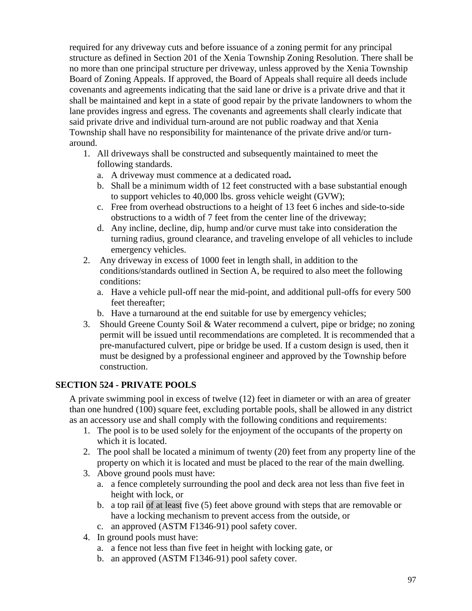required for any driveway cuts and before issuance of a zoning permit for any principal structure as defined in Section 201 of the Xenia Township Zoning Resolution. There shall be no more than one principal structure per driveway, unless approved by the Xenia Township Board of Zoning Appeals. If approved, the Board of Appeals shall require all deeds include covenants and agreements indicating that the said lane or drive is a private drive and that it shall be maintained and kept in a state of good repair by the private landowners to whom the lane provides ingress and egress. The covenants and agreements shall clearly indicate that said private drive and individual turn-around are not public roadway and that Xenia Township shall have no responsibility for maintenance of the private drive and/or turnaround.

- 1. All driveways shall be constructed and subsequently maintained to meet the following standards.
	- a. A driveway must commence at a dedicated road**.**
	- b. Shall be a minimum width of 12 feet constructed with a base substantial enough to support vehicles to 40,000 lbs. gross vehicle weight (GVW);
	- c. Free from overhead obstructions to a height of 13 feet 6 inches and side-to-side obstructions to a width of 7 feet from the center line of the driveway;
	- d. Any incline, decline, dip, hump and/or curve must take into consideration the turning radius, ground clearance, and traveling envelope of all vehicles to include emergency vehicles.
- 2. Any driveway in excess of 1000 feet in length shall, in addition to the conditions/standards outlined in Section A, be required to also meet the following conditions:
	- a. Have a vehicle pull-off near the mid-point, and additional pull-offs for every 500 feet thereafter;
	- b. Have a turnaround at the end suitable for use by emergency vehicles;
- 3. Should Greene County Soil & Water recommend a culvert, pipe or bridge; no zoning permit will be issued until recommendations are completed. It is recommended that a pre-manufactured culvert, pipe or bridge be used. If a custom design is used, then it must be designed by a professional engineer and approved by the Township before construction.

# **SECTION 524 - PRIVATE POOLS**

A private swimming pool in excess of twelve (12) feet in diameter or with an area of greater than one hundred (100) square feet, excluding portable pools, shall be allowed in any district as an accessory use and shall comply with the following conditions and requirements:

- 1. The pool is to be used solely for the enjoyment of the occupants of the property on which it is located.
- 2. The pool shall be located a minimum of twenty (20) feet from any property line of the property on which it is located and must be placed to the rear of the main dwelling.
- 3. Above ground pools must have:
	- a. a fence completely surrounding the pool and deck area not less than five feet in height with lock, or
	- b. a top rail of at least five (5) feet above ground with steps that are removable or have a locking mechanism to prevent access from the outside, or
	- c. an approved (ASTM F1346-91) pool safety cover.
- 4. In ground pools must have:
	- a. a fence not less than five feet in height with locking gate, or
	- b. an approved (ASTM F1346-91) pool safety cover.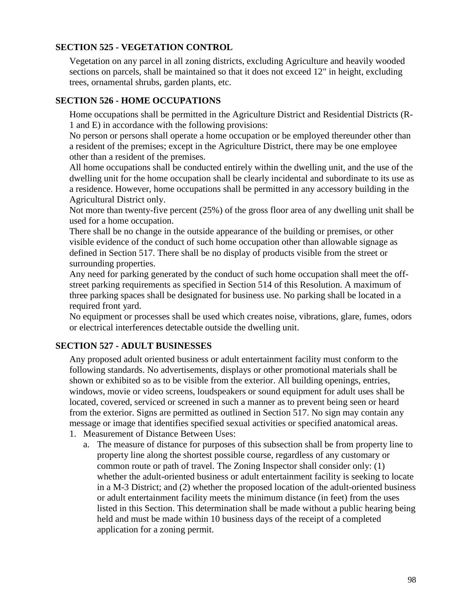## **SECTION 525 - VEGETATION CONTROL**

Vegetation on any parcel in all zoning districts, excluding Agriculture and heavily wooded sections on parcels, shall be maintained so that it does not exceed 12" in height, excluding trees, ornamental shrubs, garden plants, etc.

#### **SECTION 526 - HOME OCCUPATIONS**

Home occupations shall be permitted in the Agriculture District and Residential Districts (R-1 and E) in accordance with the following provisions:

No person or persons shall operate a home occupation or be employed thereunder other than a resident of the premises; except in the Agriculture District, there may be one employee other than a resident of the premises.

All home occupations shall be conducted entirely within the dwelling unit, and the use of the dwelling unit for the home occupation shall be clearly incidental and subordinate to its use as a residence. However, home occupations shall be permitted in any accessory building in the Agricultural District only.

Not more than twenty-five percent (25%) of the gross floor area of any dwelling unit shall be used for a home occupation.

There shall be no change in the outside appearance of the building or premises, or other visible evidence of the conduct of such home occupation other than allowable signage as defined in Section 517. There shall be no display of products visible from the street or surrounding properties.

Any need for parking generated by the conduct of such home occupation shall meet the offstreet parking requirements as specified in Section 514 of this Resolution. A maximum of three parking spaces shall be designated for business use. No parking shall be located in a required front yard.

No equipment or processes shall be used which creates noise, vibrations, glare, fumes, odors or electrical interferences detectable outside the dwelling unit.

## **SECTION 527 - ADULT BUSINESSES**

Any proposed adult oriented business or adult entertainment facility must conform to the following standards. No advertisements, displays or other promotional materials shall be shown or exhibited so as to be visible from the exterior. All building openings, entries, windows, movie or video screens, loudspeakers or sound equipment for adult uses shall be located, covered, serviced or screened in such a manner as to prevent being seen or heard from the exterior. Signs are permitted as outlined in Section 517. No sign may contain any message or image that identifies specified sexual activities or specified anatomical areas.

- 1. Measurement of Distance Between Uses:
	- a. The measure of distance for purposes of this subsection shall be from property line to property line along the shortest possible course, regardless of any customary or common route or path of travel. The Zoning Inspector shall consider only: (1) whether the adult-oriented business or adult entertainment facility is seeking to locate in a M-3 District; and (2) whether the proposed location of the adult-oriented business or adult entertainment facility meets the minimum distance (in feet) from the uses listed in this Section. This determination shall be made without a public hearing being held and must be made within 10 business days of the receipt of a completed application for a zoning permit.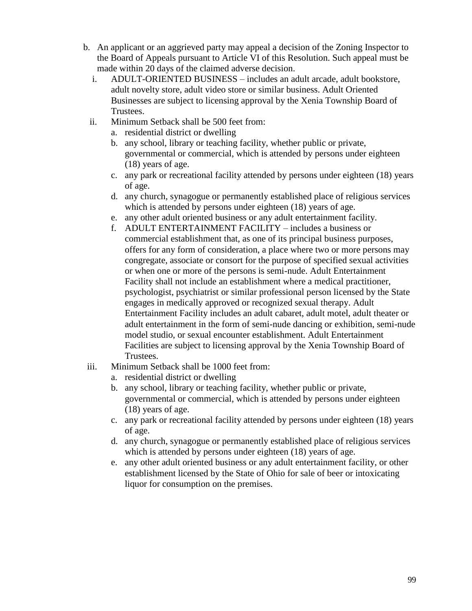- b. An applicant or an aggrieved party may appeal a decision of the Zoning Inspector to the Board of Appeals pursuant to Article VI of this Resolution. Such appeal must be made within 20 days of the claimed adverse decision.
	- i. ADULT-ORIENTED BUSINESS includes an adult arcade, adult bookstore, adult novelty store, adult video store or similar business. Adult Oriented Businesses are subject to licensing approval by the Xenia Township Board of Trustees.
	- ii. Minimum Setback shall be 500 feet from:
		- a. residential district or dwelling
		- b. any school, library or teaching facility, whether public or private, governmental or commercial, which is attended by persons under eighteen (18) years of age.
		- c. any park or recreational facility attended by persons under eighteen (18) years of age.
		- d. any church, synagogue or permanently established place of religious services which is attended by persons under eighteen  $(18)$  years of age.
		- e. any other adult oriented business or any adult entertainment facility.
		- f. ADULT ENTERTAINMENT FACILITY includes a business or commercial establishment that, as one of its principal business purposes, offers for any form of consideration, a place where two or more persons may congregate, associate or consort for the purpose of specified sexual activities or when one or more of the persons is semi-nude. Adult Entertainment Facility shall not include an establishment where a medical practitioner, psychologist, psychiatrist or similar professional person licensed by the State engages in medically approved or recognized sexual therapy. Adult Entertainment Facility includes an adult cabaret, adult motel, adult theater or adult entertainment in the form of semi-nude dancing or exhibition, semi-nude model studio, or sexual encounter establishment. Adult Entertainment Facilities are subject to licensing approval by the Xenia Township Board of Trustees.
- iii. Minimum Setback shall be 1000 feet from:
	- a. residential district or dwelling
	- b. any school, library or teaching facility, whether public or private, governmental or commercial, which is attended by persons under eighteen (18) years of age.
	- c. any park or recreational facility attended by persons under eighteen (18) years of age.
	- d. any church, synagogue or permanently established place of religious services which is attended by persons under eighteen  $(18)$  years of age.
	- e. any other adult oriented business or any adult entertainment facility, or other establishment licensed by the State of Ohio for sale of beer or intoxicating liquor for consumption on the premises.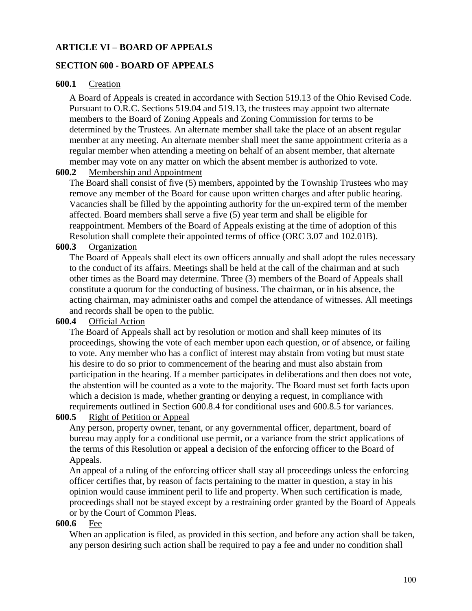#### **ARTICLE VI – BOARD OF APPEALS**

#### **SECTION 600 - BOARD OF APPEALS**

#### **600.1** Creation

A Board of Appeals is created in accordance with Section 519.13 of the Ohio Revised Code. Pursuant to O.R.C. Sections 519.04 and 519.13, the trustees may appoint two alternate members to the Board of Zoning Appeals and Zoning Commission for terms to be determined by the Trustees. An alternate member shall take the place of an absent regular member at any meeting. An alternate member shall meet the same appointment criteria as a regular member when attending a meeting on behalf of an absent member, that alternate member may vote on any matter on which the absent member is authorized to vote.

#### **600.2** Membership and Appointment

The Board shall consist of five (5) members, appointed by the Township Trustees who may remove any member of the Board for cause upon written charges and after public hearing. Vacancies shall be filled by the appointing authority for the un-expired term of the member affected. Board members shall serve a five (5) year term and shall be eligible for reappointment. Members of the Board of Appeals existing at the time of adoption of this Resolution shall complete their appointed terms of office (ORC 3.07 and 102.01B).

#### **600.3** Organization

The Board of Appeals shall elect its own officers annually and shall adopt the rules necessary to the conduct of its affairs. Meetings shall be held at the call of the chairman and at such other times as the Board may determine. Three (3) members of the Board of Appeals shall constitute a quorum for the conducting of business. The chairman, or in his absence, the acting chairman, may administer oaths and compel the attendance of witnesses. All meetings and records shall be open to the public.

#### **600.4** Official Action

The Board of Appeals shall act by resolution or motion and shall keep minutes of its proceedings, showing the vote of each member upon each question, or of absence, or failing to vote. Any member who has a conflict of interest may abstain from voting but must state his desire to do so prior to commencement of the hearing and must also abstain from participation in the hearing. If a member participates in deliberations and then does not vote, the abstention will be counted as a vote to the majority. The Board must set forth facts upon which a decision is made, whether granting or denying a request, in compliance with requirements outlined in Section 600.8.4 for conditional uses and 600.8.5 for variances.

#### **600.5** Right of Petition or Appeal

Any person, property owner, tenant, or any governmental officer, department, board of bureau may apply for a conditional use permit, or a variance from the strict applications of the terms of this Resolution or appeal a decision of the enforcing officer to the Board of Appeals.

An appeal of a ruling of the enforcing officer shall stay all proceedings unless the enforcing officer certifies that, by reason of facts pertaining to the matter in question, a stay in his opinion would cause imminent peril to life and property. When such certification is made, proceedings shall not be stayed except by a restraining order granted by the Board of Appeals or by the Court of Common Pleas.

#### **600.6** Fee

When an application is filed, as provided in this section, and before any action shall be taken, any person desiring such action shall be required to pay a fee and under no condition shall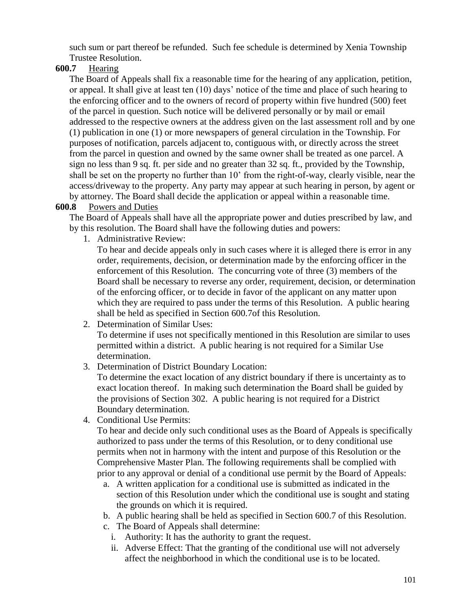such sum or part thereof be refunded. Such fee schedule is determined by Xenia Township Trustee Resolution.

## **600.7** Hearing

The Board of Appeals shall fix a reasonable time for the hearing of any application, petition, or appeal. It shall give at least ten (10) days' notice of the time and place of such hearing to the enforcing officer and to the owners of record of property within five hundred (500) feet of the parcel in question. Such notice will be delivered personally or by mail or email addressed to the respective owners at the address given on the last assessment roll and by one (1) publication in one (1) or more newspapers of general circulation in the Township. For purposes of notification, parcels adjacent to, contiguous with, or directly across the street from the parcel in question and owned by the same owner shall be treated as one parcel. A sign no less than 9 sq. ft. per side and no greater than 32 sq. ft., provided by the Township, shall be set on the property no further than 10' from the right-of-way, clearly visible, near the access/driveway to the property. Any party may appear at such hearing in person, by agent or by attorney. The Board shall decide the application or appeal within a reasonable time.

## **600.8** Powers and Duties

The Board of Appeals shall have all the appropriate power and duties prescribed by law, and by this resolution. The Board shall have the following duties and powers:

1. Administrative Review:

To hear and decide appeals only in such cases where it is alleged there is error in any order, requirements, decision, or determination made by the enforcing officer in the enforcement of this Resolution. The concurring vote of three (3) members of the Board shall be necessary to reverse any order, requirement, decision, or determination of the enforcing officer, or to decide in favor of the applicant on any matter upon which they are required to pass under the terms of this Resolution. A public hearing shall be held as specified in Section 600.7of this Resolution.

2. Determination of Similar Uses:

To determine if uses not specifically mentioned in this Resolution are similar to uses permitted within a district. A public hearing is not required for a Similar Use determination.

3. Determination of District Boundary Location:

To determine the exact location of any district boundary if there is uncertainty as to exact location thereof. In making such determination the Board shall be guided by the provisions of Section 302. A public hearing is not required for a District Boundary determination.

4. Conditional Use Permits:

To hear and decide only such conditional uses as the Board of Appeals is specifically authorized to pass under the terms of this Resolution, or to deny conditional use permits when not in harmony with the intent and purpose of this Resolution or the Comprehensive Master Plan. The following requirements shall be complied with prior to any approval or denial of a conditional use permit by the Board of Appeals:

- a. A written application for a conditional use is submitted as indicated in the section of this Resolution under which the conditional use is sought and stating the grounds on which it is required.
- b. A public hearing shall be held as specified in Section 600.7 of this Resolution.
- c. The Board of Appeals shall determine:
	- i. Authority: It has the authority to grant the request.
	- ii. Adverse Effect: That the granting of the conditional use will not adversely affect the neighborhood in which the conditional use is to be located.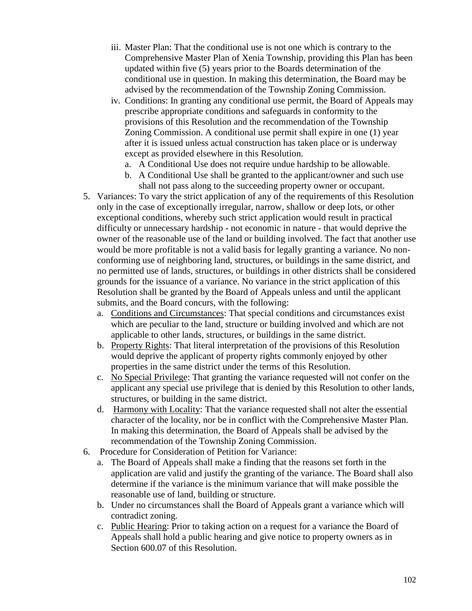- iii. Master Plan: That the conditional use is not one which is contrary to the Comprehensive Master Plan of Xenia Township, providing this Plan has been updated within five (5) years prior to the Boards determination of the conditional use in question. In making this determination, the Board may be advised by the recommendation of the Township Zoning Commission.
- iv. Conditions: In granting any conditional use permit, the Board of Appeals may prescribe appropriate conditions and safeguards in conformity to the provisions of this Resolution and the recommendation of the Township Zoning Commission. A conditional use permit shall expire in one (1) year after it is issued unless actual construction has taken place or is underway except as provided elsewhere in this Resolution.
	- a. A Conditional Use does not require undue hardship to be allowable.
	- b. A Conditional Use shall be granted to the applicant/owner and such use shall not pass along to the succeeding property owner or occupant.
- 5. Variances: To vary the strict application of any of the requirements of this Resolution only in the case of exceptionally irregular, narrow, shallow or deep lots, or other exceptional conditions, whereby such strict application would result in practical difficulty or unnecessary hardship - not economic in nature - that would deprive the owner of the reasonable use of the land or building involved. The fact that another use would be more profitable is not a valid basis for legally granting a variance. No nonconforming use of neighboring land, structures, or buildings in the same district, and no permitted use of lands, structures, or buildings in other districts shall be considered grounds for the issuance of a variance. No variance in the strict application of this Resolution shall be granted by the Board of Appeals unless and until the applicant submits, and the Board concurs, with the following:
	- a. Conditions and Circumstances: That special conditions and circumstances exist which are peculiar to the land, structure or building involved and which are not applicable to other lands, structures, or buildings in the same district.
	- b. Property Rights: That literal interpretation of the provisions of this Resolution would deprive the applicant of property rights commonly enjoyed by other properties in the same district under the terms of this Resolution.
	- c. No Special Privilege: That granting the variance requested will not confer on the applicant any special use privilege that is denied by this Resolution to other lands, structures, or building in the same district.
	- d. Harmony with Locality: That the variance requested shall not alter the essential character of the locality, nor be in conflict with the Comprehensive Master Plan. In making this determination, the Board of Appeals shall be advised by the recommendation of the Township Zoning Commission.
- 6. Procedure for Consideration of Petition for Variance:
	- a. The Board of Appeals shall make a finding that the reasons set forth in the application are valid and justify the granting of the variance. The Board shall also determine if the variance is the minimum variance that will make possible the reasonable use of land, building or structure.
	- b. Under no circumstances shall the Board of Appeals grant a variance which will contradict zoning.
	- c. Public Hearing: Prior to taking action on a request for a variance the Board of Appeals shall hold a public hearing and give notice to property owners as in Section 600.07 of this Resolution.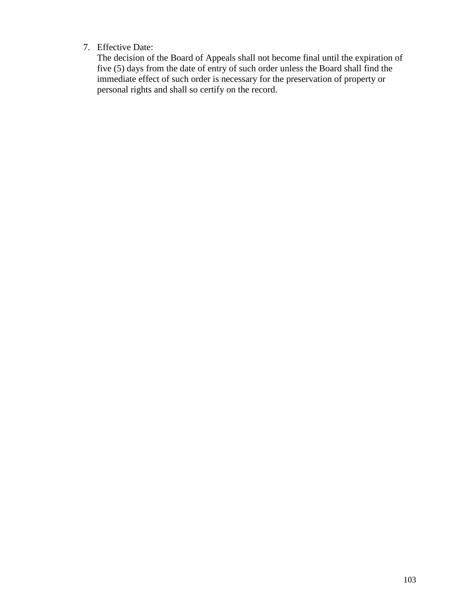## 7. Effective Date:

The decision of the Board of Appeals shall not become final until the expiration of five (5) days from the date of entry of such order unless the Board shall find the immediate effect of such order is necessary for the preservation of property or personal rights and shall so certify on the record.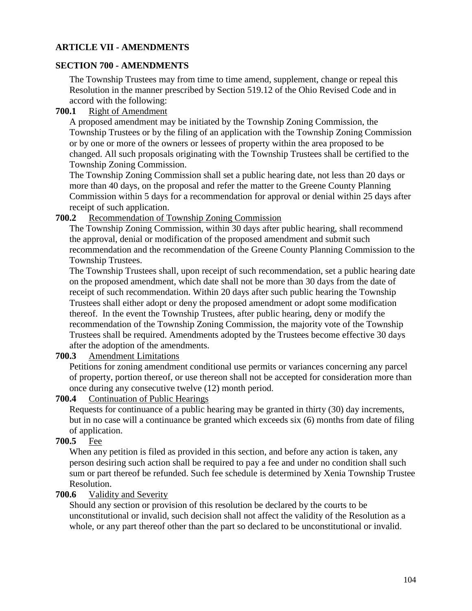## **ARTICLE VII - AMENDMENTS**

## **SECTION 700 - AMENDMENTS**

The Township Trustees may from time to time amend, supplement, change or repeal this Resolution in the manner prescribed by Section 519.12 of the Ohio Revised Code and in accord with the following:

## **700.1** Right of Amendment

A proposed amendment may be initiated by the Township Zoning Commission, the Township Trustees or by the filing of an application with the Township Zoning Commission or by one or more of the owners or lessees of property within the area proposed to be changed. All such proposals originating with the Township Trustees shall be certified to the Township Zoning Commission.

The Township Zoning Commission shall set a public hearing date, not less than 20 days or more than 40 days, on the proposal and refer the matter to the Greene County Planning Commission within 5 days for a recommendation for approval or denial within 25 days after receipt of such application.

#### **700.2** Recommendation of Township Zoning Commission

The Township Zoning Commission, within 30 days after public hearing, shall recommend the approval, denial or modification of the proposed amendment and submit such recommendation and the recommendation of the Greene County Planning Commission to the Township Trustees.

The Township Trustees shall, upon receipt of such recommendation, set a public hearing date on the proposed amendment, which date shall not be more than 30 days from the date of receipt of such recommendation. Within 20 days after such public hearing the Township Trustees shall either adopt or deny the proposed amendment or adopt some modification thereof. In the event the Township Trustees, after public hearing, deny or modify the recommendation of the Township Zoning Commission, the majority vote of the Township Trustees shall be required. Amendments adopted by the Trustees become effective 30 days after the adoption of the amendments.

## **700.3** Amendment Limitations

Petitions for zoning amendment conditional use permits or variances concerning any parcel of property, portion thereof, or use thereon shall not be accepted for consideration more than once during any consecutive twelve (12) month period.

#### **700.4** Continuation of Public Hearings

Requests for continuance of a public hearing may be granted in thirty (30) day increments, but in no case will a continuance be granted which exceeds six (6) months from date of filing of application.

## **700.5** Fee

When any petition is filed as provided in this section, and before any action is taken, any person desiring such action shall be required to pay a fee and under no condition shall such sum or part thereof be refunded. Such fee schedule is determined by Xenia Township Trustee Resolution.

## **700.6** Validity and Severity

Should any section or provision of this resolution be declared by the courts to be unconstitutional or invalid, such decision shall not affect the validity of the Resolution as a whole, or any part thereof other than the part so declared to be unconstitutional or invalid.